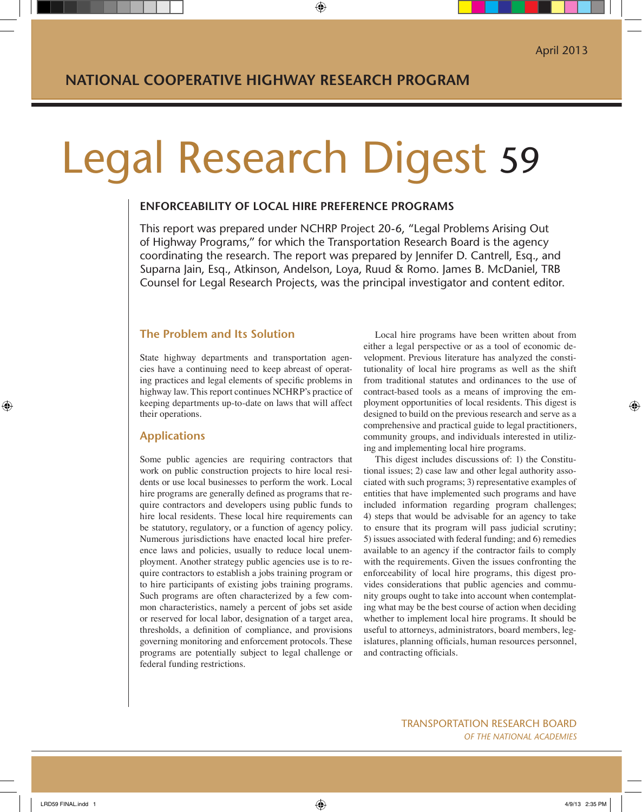# Legal Research Digest 59

## **enforceability of local hire preference programs**

This report was prepared under NCHRP Project 20-6, "Legal Problems Arising Out of Highway Programs," for which the Transportation Research Board is the agency coordinating the research. The report was prepared by Jennifer D. Cantrell, Esq., and Suparna Jain, Esq., Atkinson, Andelson, Loya, Ruud & Romo. James B. McDaniel, TRB Counsel for Legal Research Projects, was the principal investigator and content editor.

## **The Problem and Its Solution**

State highway departments and transportation agencies have a continuing need to keep abreast of operating practices and legal elements of specific problems in highway law. This report continues NCHRP's practice of keeping departments up-to-date on laws that will affect their operations.

# **Applications**

Some public agencies are requiring contractors that work on public construction projects to hire local residents or use local businesses to perform the work. Local hire programs are generally defined as programs that require contractors and developers using public funds to hire local residents. These local hire requirements can be statutory, regulatory, or a function of agency policy. Numerous jurisdictions have enacted local hire preference laws and policies, usually to reduce local unemployment. Another strategy public agencies use is to require contractors to establish a jobs training program or to hire participants of existing jobs training programs. Such programs are often characterized by a few common characteristics, namely a percent of jobs set aside or reserved for local labor, designation of a target area, thresholds, a definition of compliance, and provisions governing monitoring and enforcement protocols. These programs are potentially subject to legal challenge or federal funding restrictions.

Local hire programs have been written about from either a legal perspective or as a tool of economic development. Previous literature has analyzed the constitutionality of local hire programs as well as the shift from traditional statutes and ordinances to the use of contract-based tools as a means of improving the employment opportunities of local residents. This digest is designed to build on the previous research and serve as a comprehensive and practical guide to legal practitioners, community groups, and individuals interested in utilizing and implementing local hire programs.

This digest includes discussions of: 1) the Constitutional issues; 2) case law and other legal authority associated with such programs; 3) representative examples of entities that have implemented such programs and have included information regarding program challenges; 4) steps that would be advisable for an agency to take to ensure that its program will pass judicial scrutiny; 5) issues associated with federal funding; and 6) remedies available to an agency if the contractor fails to comply with the requirements. Given the issues confronting the enforceability of local hire programs, this digest provides considerations that public agencies and community groups ought to take into account when contemplating what may be the best course of action when deciding whether to implement local hire programs. It should be useful to attorneys, administrators, board members, legislatures, planning officials, human resources personnel, and contracting officials.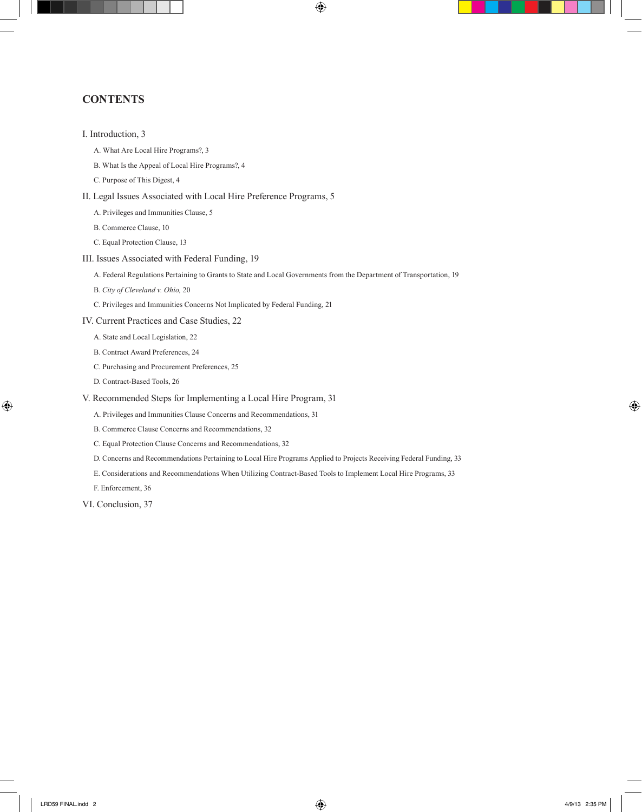# **CONTENTS**

|                                                                    | I. Introduction, 3                                                                                                   |
|--------------------------------------------------------------------|----------------------------------------------------------------------------------------------------------------------|
|                                                                    | A. What Are Local Hire Programs?, 3                                                                                  |
|                                                                    | B. What Is the Appeal of Local Hire Programs?, 4                                                                     |
|                                                                    | C. Purpose of This Digest, 4                                                                                         |
| II. Legal Issues Associated with Local Hire Preference Programs, 5 |                                                                                                                      |
|                                                                    | A. Privileges and Immunities Clause, 5                                                                               |
|                                                                    | B. Commerce Clause, 10                                                                                               |
|                                                                    | C. Equal Protection Clause, 13                                                                                       |
| III. Issues Associated with Federal Funding, 19                    |                                                                                                                      |
|                                                                    | A. Federal Regulations Pertaining to Grants to State and Local Governments from the Department of Transportation, 19 |
|                                                                    | B. City of Cleveland v. Ohio, 20                                                                                     |
|                                                                    | C. Privileges and Immunities Concerns Not Implicated by Federal Funding, 21                                          |
| IV. Current Practices and Case Studies, 22                         |                                                                                                                      |
|                                                                    | A. State and Local Legislation, 22                                                                                   |
|                                                                    | B. Contract Award Preferences, 24                                                                                    |
|                                                                    | C. Purchasing and Procurement Preferences, 25                                                                        |
|                                                                    | D. Contract-Based Tools, 26                                                                                          |
|                                                                    | V. Recommended Steps for Implementing a Local Hire Program, 31                                                       |
|                                                                    | A. Privileges and Immunities Clause Concerns and Recommendations, 31                                                 |
|                                                                    | B. Commerce Clause Concerns and Recommendations, 32                                                                  |
|                                                                    | C. Equal Protection Clause Concerns and Recommendations, 32                                                          |
|                                                                    | D. Concerns and Recommendations Pertaining to Local Hire Programs Applied to Projects Receiving Federal Funding, 33  |

E. Considerations and Recommendations When Utilizing Contract-Based Tools to Implement Local Hire Programs, 33

F. Enforcement, 36

VI. Conclusion, 37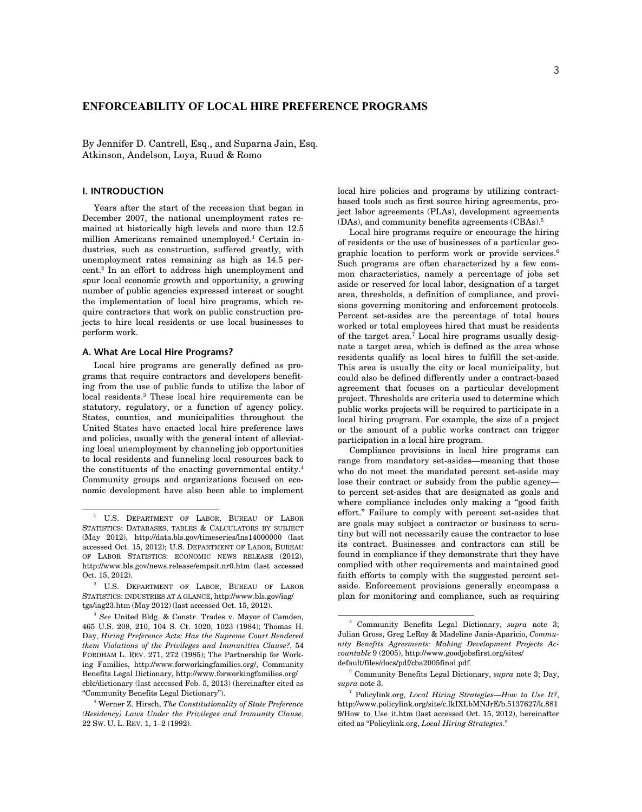## **ENFORCEABILITY OF LOCAL HIRE PREFERENCE PROGRAMS**

By Jennifer D. Cantrell, Esq., and Suparna Jain, Esq. Atkinson, Andelson, Loya, Ruud & Romo

## **I. INTRODUCTION**

Years after the start of the recession that began in December 2007, the national unemployment rates remained at historically high levels and more than 12.5 million Americans remained unemployed.<sup>1</sup> Certain industries, such as construction, suffered greatly, with unemployment rates remaining as high as 14.5 percent.2 In an effort to address high unemployment and spur local economic growth and opportunity, a growing number of public agencies expressed interest or sought the implementation of local hire programs, which require contractors that work on public construction projects to hire local residents or use local businesses to perform work.

## **A. What Are Local Hire Programs?**

Local hire programs are generally defined as programs that require contractors and developers benefiting from the use of public funds to utilize the labor of local residents.3 These local hire requirements can be statutory, regulatory, or a function of agency policy. States, counties, and municipalities throughout the United States have enacted local hire preference laws and policies, usually with the general intent of alleviating local unemployment by channeling job opportunities to local residents and funneling local resources back to the constituents of the enacting governmental entity.4 Community groups and organizations focused on economic development have also been able to implement local hire policies and programs by utilizing contractbased tools such as first source hiring agreements, project labor agreements (PLAs), development agreements (DAs), and community benefits agreements (CBAs).5

Local hire programs require or encourage the hiring of residents or the use of businesses of a particular geographic location to perform work or provide services.6 Such programs are often characterized by a few common characteristics, namely a percentage of jobs set aside or reserved for local labor, designation of a target area, thresholds, a definition of compliance, and provisions governing monitoring and enforcement protocols. Percent set-asides are the percentage of total hours worked or total employees hired that must be residents of the target area.7 Local hire programs usually designate a target area, which is defined as the area whose residents qualify as local hires to fulfill the set-aside. This area is usually the city or local municipality, but could also be defined differently under a contract-based agreement that focuses on a particular development project. Thresholds are criteria used to determine which public works projects will be required to participate in a local hiring program. For example, the size of a project or the amount of a public works contract can trigger participation in a local hire program.

Compliance provisions in local hire programs can range from mandatory set-asides—meaning that those who do not meet the mandated percent set-aside may lose their contract or subsidy from the public agency to percent set-asides that are designated as goals and where compliance includes only making a "good faith effort." Failure to comply with percent set-asides that are goals may subject a contractor or business to scrutiny but will not necessarily cause the contractor to lose its contract. Businesses and contractors can still be found in compliance if they demonstrate that they have complied with other requirements and maintained good faith efforts to comply with the suggested percent setaside. Enforcement provisions generally encompass a plan for monitoring and compliance, such as requiring

 <sup>1</sup> U.S. DEPARTMENT OF LABOR, BUREAU OF LABOR STATISTICS: DATABASES, TABLES & CALCULATORS BY SUBJECT (May 2012), http://data.bls.gov/timeseries/lns14000000 (last accessed Oct. 15, 2012); U.S. DEPARTMENT OF LABOR, BUREAU OF LABOR STATISTICS: ECONOMIC NEWS RELEASE (2012), http://www.bls.gov/news.release/empsit.nr0.htm (last accessed Oct. 15, 2012).

U.S. DEPARTMENT OF LABOR, BUREAU OF LABOR STATISTICS: INDUSTRIES AT A GLANCE, http://www.bls.gov/iag/ tgs/iag23.htm (May 2012) (last accessed Oct. 15, 2012).

*See* United Bldg. & Constr. Trades v. Mayor of Camden, 465 U.S. 208, 210, 104 S. Ct. 1020, 1023 (1984); Thomas H. Day, *Hiring Preference Acts: Has the Supreme Court Rendered them Violations of the Privileges and Immunities Clause?*, 54 FORDHAM L. REV. 271, 272 (1985); The Partnership for Working Families, http://www.forworkingfamilies.org/, Community Benefits Legal Dictionary, http://www.forworkingfamilies.org/ cblc/dictionary (last accessed Feb. 5, 2013) (hereinafter cited as "Community Benefits Legal Dictionary"). 4

Werner Z. Hirsch, *The Constitutionality of State Preference (Residency) Laws Under the Privileges and Immunity Clause*, 22 SW. U. L. REV. 1, 1–2 (1992).

 $rac{1}{5}$  Community Benefits Legal Dictionary, *supra* note 3; Julian Gross, Greg LeRoy & Madeline Janis-Aparicio, *Community Benefits Agreements: Making Development Projects Accountable* 9 (2005), http://www.goodjobsfirst.org/sites/ default/files/docs/pdf/cba2005final.pdf. 6

Community Benefits Legal Dictionary, *supra* note 3; Day, *supra* note 3. 7

Policylink.org, *Local Hiring Strategies—How to Use It?*, http://www.policylink.org/site/c.lkIXLbMNJrE/b.5137627/k.881 9/How\_to\_Use\_it.htm (last accessed Oct. 15, 2012), hereinafter cited as "Policylink.org, *Local Hiring Strategies*."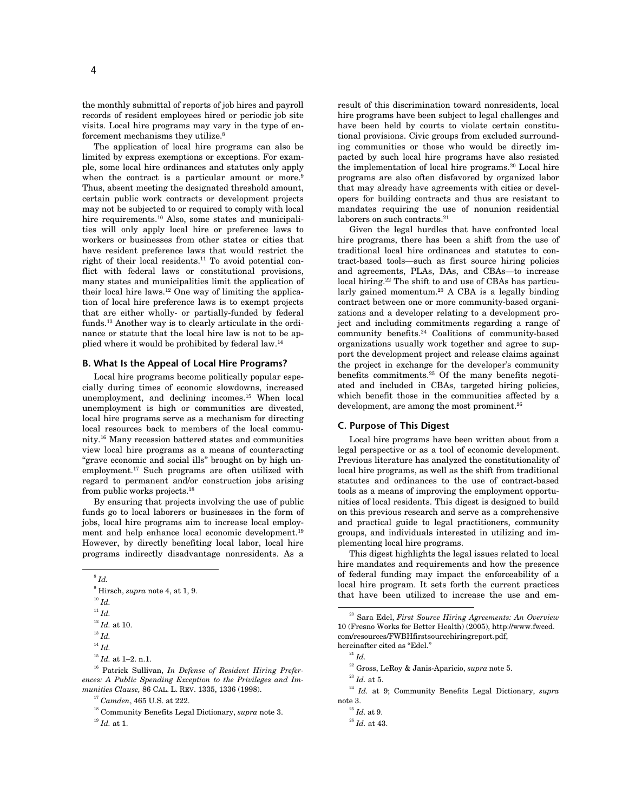the monthly submittal of reports of job hires and payroll records of resident employees hired or periodic job site visits. Local hire programs may vary in the type of enforcement mechanisms they utilize.<sup>8</sup>

The application of local hire programs can also be limited by express exemptions or exceptions. For example, some local hire ordinances and statutes only apply when the contract is a particular amount or more.<sup>9</sup> Thus, absent meeting the designated threshold amount, certain public work contracts or development projects may not be subjected to or required to comply with local hire requirements.<sup>10</sup> Also, some states and municipalities will only apply local hire or preference laws to workers or businesses from other states or cities that have resident preference laws that would restrict the right of their local residents.<sup>11</sup> To avoid potential conflict with federal laws or constitutional provisions, many states and municipalities limit the application of their local hire laws.12 One way of limiting the application of local hire preference laws is to exempt projects that are either wholly- or partially-funded by federal funds.13 Another way is to clearly articulate in the ordinance or statute that the local hire law is not to be applied where it would be prohibited by federal law.14

#### **B. What Is the Appeal of Local Hire Programs?**

Local hire programs become politically popular especially during times of economic slowdowns, increased unemployment, and declining incomes.15 When local unemployment is high or communities are divested, local hire programs serve as a mechanism for directing local resources back to members of the local community.16 Many recession battered states and communities view local hire programs as a means of counteracting "grave economic and social ills" brought on by high unemployment.17 Such programs are often utilized with regard to permanent and/or construction jobs arising from public works projects.18

By ensuring that projects involving the use of public funds go to local laborers or businesses in the form of jobs, local hire programs aim to increase local employment and help enhance local economic development.<sup>19</sup> However, by directly benefiting local labor, local hire programs indirectly disadvantage nonresidents. As a

<sup>12</sup> *Id.* at 10. 13 *Id.*

result of this discrimination toward nonresidents, local hire programs have been subject to legal challenges and have been held by courts to violate certain constitutional provisions. Civic groups from excluded surrounding communities or those who would be directly impacted by such local hire programs have also resisted the implementation of local hire programs.20 Local hire programs are also often disfavored by organized labor that may already have agreements with cities or developers for building contracts and thus are resistant to mandates requiring the use of nonunion residential laborers on such contracts.<sup>21</sup>

Given the legal hurdles that have confronted local hire programs, there has been a shift from the use of traditional local hire ordinances and statutes to contract-based tools—such as first source hiring policies and agreements, PLAs, DAs, and CBAs—to increase local hiring.<sup>22</sup> The shift to and use of CBAs has particularly gained momentum.<sup>23</sup> A CBA is a legally binding contract between one or more community-based organizations and a developer relating to a development project and including commitments regarding a range of community benefits.24 Coalitions of community-based organizations usually work together and agree to support the development project and release claims against the project in exchange for the developer's community benefits commitments.25 Of the many benefits negotiated and included in CBAs, targeted hiring policies, which benefit those in the communities affected by a development, are among the most prominent.<sup>26</sup>

## **C. Purpose of This Digest**

Local hire programs have been written about from a legal perspective or as a tool of economic development. Previous literature has analyzed the constitutionality of local hire programs, as well as the shift from traditional statutes and ordinances to the use of contract-based tools as a means of improving the employment opportunities of local residents. This digest is designed to build on this previous research and serve as a comprehensive and practical guide to legal practitioners, community groups, and individuals interested in utilizing and implementing local hire programs.

This digest highlights the legal issues related to local hire mandates and requirements and how the presence of federal funding may impact the enforceability of a local hire program. It sets forth the current practices that have been utilized to increase the use and em-

 <sup>8</sup> ° *Id.*<br>9 т.

 $\int_{10}^{9}$  Hirsch, *supra* note 4, at 1, 9.<br> $\frac{10}{1}$ *Id.* 

 $^{11}$   $Id.$ 

 $\prescript{14}{}{Id.}$   $\prescript{15}{}{Id.}$  at 1–2. n.1.

<sup>&</sup>lt;sup>16</sup> Patrick Sullivan, *In Defense of Resident Hiring Preferences: A Public Spending Exception to the Privileges and Immunities Clause,* 86 CAL. L. REV. 1335, 1336 (1998). 17 *Camden*, 465 U.S. at 222. 18 Community Benefits Legal Dictionary, *supra* note 3. 19 *Id.* at 1.

 <sup>20</sup> Sara Edel, *First Source Hiring Agreements: An Overview* 10 (Fresno Works for Better Health) (2005), http://www.fwced. com/resources/FWBHfirstsourcehiringreport.pdf, hereinafter cited as "Edel." 21 *Id.*

<sup>22</sup> Gross, LeRoy & Janis-Aparicio, *supra* note 5. 23 *Id.* at 5. 24 *Id.* at 9; Community Benefits Legal Dictionary, *supra* note 3. 25 *Id.* at 9. 26 *Id.* at 43.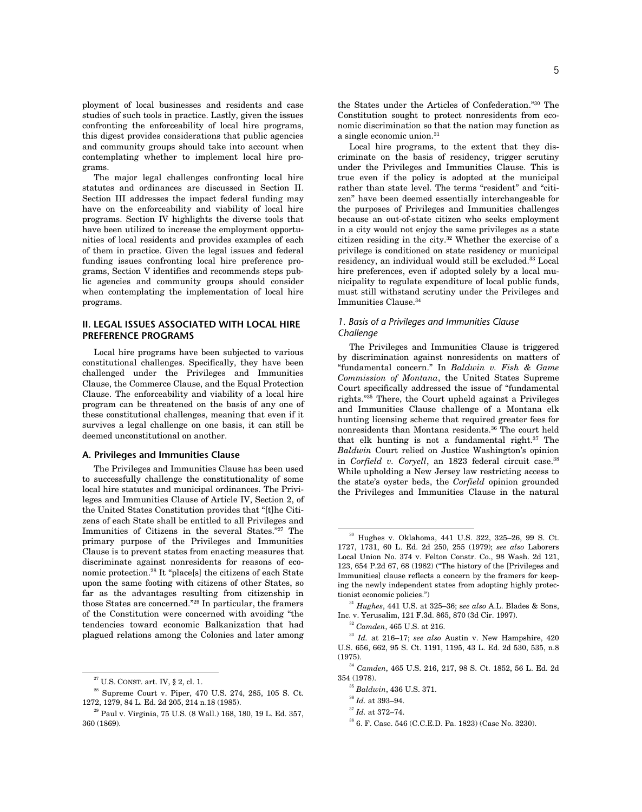5

ployment of local businesses and residents and case studies of such tools in practice. Lastly, given the issues confronting the enforceability of local hire programs, this digest provides considerations that public agencies and community groups should take into account when contemplating whether to implement local hire programs.

The major legal challenges confronting local hire statutes and ordinances are discussed in Section II. Section III addresses the impact federal funding may have on the enforceability and viability of local hire programs. Section IV highlights the diverse tools that have been utilized to increase the employment opportunities of local residents and provides examples of each of them in practice. Given the legal issues and federal funding issues confronting local hire preference programs, Section V identifies and recommends steps public agencies and community groups should consider when contemplating the implementation of local hire programs.

## **II. LEGAL ISSUES ASSOCIATED WITH LOCAL HIRE PREFERENCE PROGRAMS**

Local hire programs have been subjected to various constitutional challenges. Specifically, they have been challenged under the Privileges and Immunities Clause, the Commerce Clause, and the Equal Protection Clause. The enforceability and viability of a local hire program can be threatened on the basis of any one of these constitutional challenges, meaning that even if it survives a legal challenge on one basis, it can still be deemed unconstitutional on another.

#### **A. Privileges and Immunities Clause**

The Privileges and Immunities Clause has been used to successfully challenge the constitutionality of some local hire statutes and municipal ordinances. The Privileges and Immunities Clause of Article IV, Section 2, of the United States Constitution provides that "[t]he Citizens of each State shall be entitled to all Privileges and Immunities of Citizens in the several States."27 The primary purpose of the Privileges and Immunities Clause is to prevent states from enacting measures that discriminate against nonresidents for reasons of economic protection.28 It "place[s] the citizens of each State upon the same footing with citizens of other States, so far as the advantages resulting from citizenship in those States are concerned."29 In particular, the framers of the Constitution were concerned with avoiding "the tendencies toward economic Balkanization that had plagued relations among the Colonies and later among

the States under the Articles of Confederation."30 The Constitution sought to protect nonresidents from economic discrimination so that the nation may function as a single economic union.31

Local hire programs, to the extent that they discriminate on the basis of residency, trigger scrutiny under the Privileges and Immunities Clause. This is true even if the policy is adopted at the municipal rather than state level. The terms "resident" and "citizen" have been deemed essentially interchangeable for the purposes of Privileges and Immunities challenges because an out-of-state citizen who seeks employment in a city would not enjoy the same privileges as a state citizen residing in the city.32 Whether the exercise of a privilege is conditioned on state residency or municipal residency, an individual would still be excluded.33 Local hire preferences, even if adopted solely by a local municipality to regulate expenditure of local public funds, must still withstand scrutiny under the Privileges and Immunities Clause.34

## *1. Basis of a Privileges and Immunities Clause Challenge*

The Privileges and Immunities Clause is triggered by discrimination against nonresidents on matters of "fundamental concern." In *Baldwin v. Fish & Game Commission of Montana*, the United States Supreme Court specifically addressed the issue of "fundamental rights."35 There, the Court upheld against a Privileges and Immunities Clause challenge of a Montana elk hunting licensing scheme that required greater fees for nonresidents than Montana residents.36 The court held that elk hunting is not a fundamental right.37 The *Baldwin* Court relied on Justice Washington's opinion in *Corfield v. Coryell*, an 1823 federal circuit case.<sup>38</sup> While upholding a New Jersey law restricting access to the state's oyster beds, the *Corfield* opinion grounded the Privileges and Immunities Clause in the natural

<sup>&</sup>lt;sup>27</sup> U.S. CONST. art. IV, § 2, cl. 1.<br><sup>28</sup> Supreme Court v. Piper, 470 U.S. 274, 285, 105 S. Ct. 1272, 1279, 84 L. Ed. 2d 205, 214 n.18 (1985).

 $^{29}$  Paul v. Virginia, 75 U.S. (8 Wall.) 168, 180, 19 L. Ed. 357, 360 (1869).

 <sup>30</sup> Hughes v. Oklahoma, 441 U.S. 322, 325–26, 99 S. Ct. 1727, 1731, 60 L. Ed. 2d 250, 255 (1979); *see also* Laborers Local Union No. 374 v. Felton Constr. Co., 98 Wash. 2d 121, 123, 654 P.2d 67, 68 (1982) ("The history of the [Privileges and Immunities] clause reflects a concern by the framers for keeping the newly independent states from adopting highly protectionist economic policies.") 31 *Hughes*, 441 U.S. at 325–36; s*ee also* A.L. Blades & Sons,

Inc. v. Yerusalim, 121 F.3d. 865, 870 (3d Cir. 1997). 32 *Camden*, 465 U.S. at 216. 33 *Id.* at 216–17; *see also* Austin v. New Hampshire, 420

U.S. 656, 662, 95 S. Ct. 1191, 1195, 43 L. Ed. 2d 530, 535, n.8 (1975). 34 *Camden*, 465 U.S. 216, 217, 98 S. Ct. 1852, 56 L. Ed. 2d

<sup>354 (1978). 35</sup> *Baldwin*, 436 U.S. 371. 36 *Id.* at 393–94. 37 *Id.* at 372–74. 38 6. F. Case. 546 (C.C.E.D. Pa. 1823) (Case No. 3230).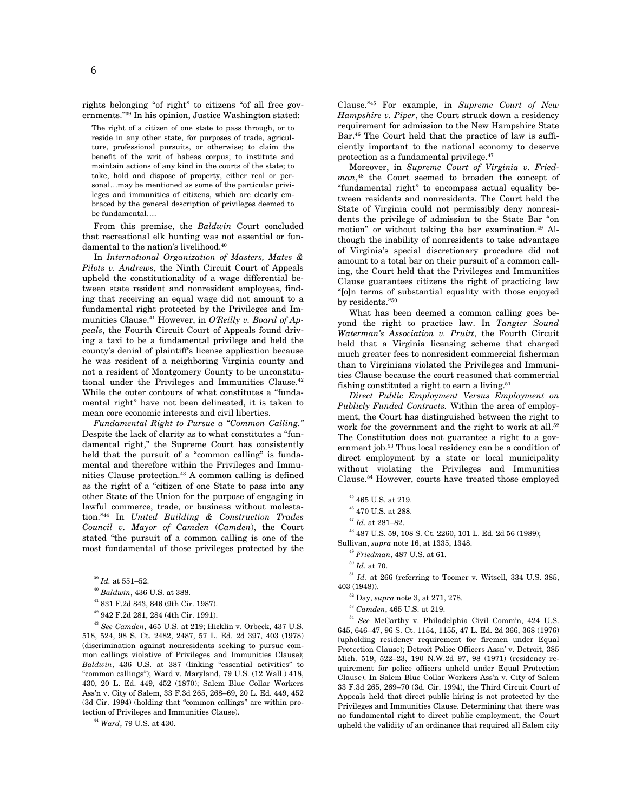rights belonging "of right" to citizens "of all free governments."39 In his opinion, Justice Washington stated:

The right of a citizen of one state to pass through, or to reside in any other state, for purposes of trade, agriculture, professional pursuits, or otherwise; to claim the benefit of the writ of habeas corpus; to institute and maintain actions of any kind in the courts of the state; to take, hold and dispose of property, either real or personal…may be mentioned as some of the particular privileges and immunities of citizens, which are clearly embraced by the general description of privileges deemed to be fundamental….

From this premise, the *Baldwin* Court concluded that recreational elk hunting was not essential or fundamental to the nation's livelihood.40

In *International Organization of Masters, Mates & Pilots v. Andrews*, the Ninth Circuit Court of Appeals upheld the constitutionality of a wage differential between state resident and nonresident employees, finding that receiving an equal wage did not amount to a fundamental right protected by the Privileges and Immunities Clause.41 However, in *O'Reilly v. Board of Appeals*, the Fourth Circuit Court of Appeals found driving a taxi to be a fundamental privilege and held the county's denial of plaintiff's license application because he was resident of a neighboring Virginia county and not a resident of Montgomery County to be unconstitutional under the Privileges and Immunities Clause.<sup>42</sup> While the outer contours of what constitutes a "fundamental right" have not been delineated, it is taken to mean core economic interests and civil liberties.

*Fundamental Right to Pursue a "Common Calling."*  Despite the lack of clarity as to what constitutes a "fundamental right," the Supreme Court has consistently held that the pursuit of a "common calling" is fundamental and therefore within the Privileges and Immunities Clause protection.43 A common calling is defined as the right of a "citizen of one State to pass into any other State of the Union for the purpose of engaging in lawful commerce, trade, or business without molestation."44 In *United Building & Construction Trades Council v. Mayor of Camden* (*Camden*), the Court stated "the pursuit of a common calling is one of the most fundamental of those privileges protected by the

<sup>43</sup> *See Camden*, 465 U.S. at 219; Hicklin v. Orbeck, 437 U.S. 518, 524, 98 S. Ct. 2482, 2487, 57 L. Ed. 2d 397, 403 (1978) (discrimination against nonresidents seeking to pursue common callings violative of Privileges and Immunities Clause); *Baldwin*, 436 U.S. at 387 (linking "essential activities" to "common callings"); Ward v. Maryland, 79 U.S. (12 Wall.) 418, 430, 20 L. Ed. 449, 452 (1870); Salem Blue Collar Workers Ass'n v. City of Salem, 33 F.3d 265, 268–69, 20 L. Ed. 449, 452 (3d Cir. 1994) (holding that "common callings" are within protection of Privileges and Immunities Clause). 44 *Ward*, 79 U.S. at 430.

Clause."45 For example, in *Supreme Court of New Hampshire v. Piper*, the Court struck down a residency requirement for admission to the New Hampshire State Bar.46 The Court held that the practice of law is sufficiently important to the national economy to deserve protection as a fundamental privilege.47

Moreover, in *Supreme Court of Virginia v. Friedman*, 48 the Court seemed to broaden the concept of "fundamental right" to encompass actual equality between residents and nonresidents. The Court held the State of Virginia could not permissibly deny nonresidents the privilege of admission to the State Bar "on motion" or without taking the bar examination.49 Although the inability of nonresidents to take advantage of Virginia's special discretionary procedure did not amount to a total bar on their pursuit of a common calling, the Court held that the Privileges and Immunities Clause guarantees citizens the right of practicing law "[o]n terms of substantial equality with those enjoyed by residents."50

What has been deemed a common calling goes beyond the right to practice law. In *Tangier Sound Waterman's Association v. Pruitt*, the Fourth Circuit held that a Virginia licensing scheme that charged much greater fees to nonresident commercial fisherman than to Virginians violated the Privileges and Immunities Clause because the court reasoned that commercial fishing constituted a right to earn a living.<sup>51</sup>

*Direct Public Employment Versus Employment on Publicly Funded Contracts.* Within the area of employment, the Court has distinguished between the right to work for the government and the right to work at all.<sup>52</sup> The Constitution does not guarantee a right to a government job.53 Thus local residency can be a condition of direct employment by a state or local municipality without violating the Privileges and Immunities Clause.54 However, courts have treated those employed

<sup>49</sup> *Friedman*, 487 U.S. at 61.<br><sup>50</sup> *Id.* at 70.<br><sup>51</sup> *Id.* at 266 (referring to Toomer v. Witsell, 334 U.S. 385, 403 (1948)).

403 (1948)). 52 Day, *supra* note 3, at 271, 278. 53 *Camden*, 465 U.S. at 219. 54 *See* McCarthy v. Philadelphia Civil Comm'n, 424 U.S. 645, 646–47, 96 S. Ct. 1154, 1155, 47 L. Ed. 2d 366, 368 (1976) (upholding residency requirement for firemen under Equal Protection Clause); Detroit Police Officers Assn' v. Detroit, 385 Mich. 519, 522–23, 190 N.W.2d 97, 98 (1971) (residency requirement for police officers upheld under Equal Protection Clause). In Salem Blue Collar Workers Ass'n v. City of Salem 33 F.3d 265, 269–70 (3d. Cir. 1994), the Third Circuit Court of Appeals held that direct public hiring is not protected by the Privileges and Immunities Clause. Determining that there was no fundamental right to direct public employment, the Court upheld the validity of an ordinance that required all Salem city

<sup>39</sup> *Id.* at 551–52. 40 *Baldwin*, 436 U.S. at 388. 41 831 F.2d 843, 846 (9th Cir. 1987).

<sup>42 942</sup> F.2d 281, 284 (4th Cir. 1991).

 $45$  465 U.S. at 219.

<sup>&</sup>lt;sup>46</sup> 470 U.S. at 288.

<sup>&</sup>lt;sup>47</sup> *Id.* at 281–82.<br><sup>48</sup> 487 U.S. 59, 108 S. Ct. 2260, 101 L. Ed. 2d 56 (1989);<br>Sullivan, *supra* note 16, at 1335, 1348.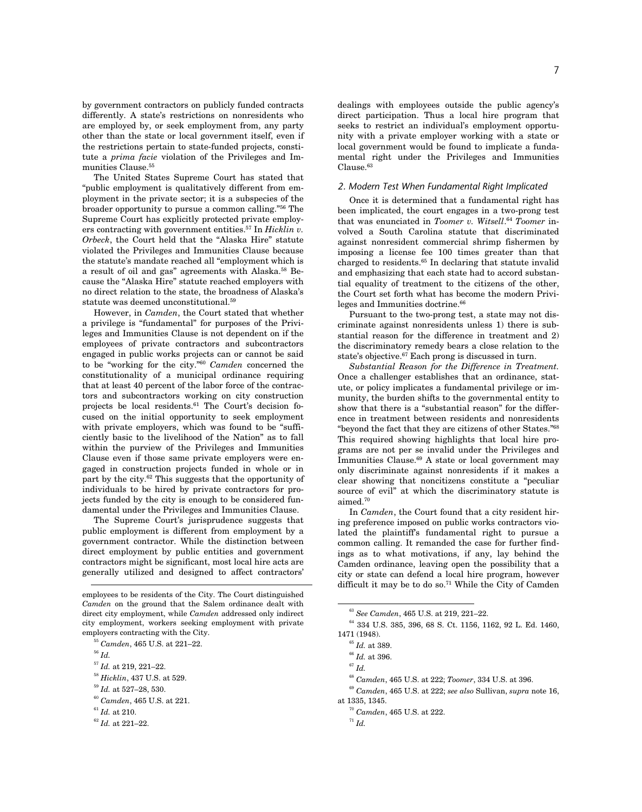by government contractors on publicly funded contracts differently. A state's restrictions on nonresidents who are employed by, or seek employment from, any party other than the state or local government itself, even if the restrictions pertain to state-funded projects, constitute a *prima facie* violation of the Privileges and Immunities Clause.<sup>55</sup>

The United States Supreme Court has stated that "public employment is qualitatively different from employment in the private sector; it is a subspecies of the broader opportunity to pursue a common calling."56 The Supreme Court has explicitly protected private employers contracting with government entities.57 In *Hicklin v. Orbeck*, the Court held that the "Alaska Hire" statute violated the Privileges and Immunities Clause because the statute's mandate reached all "employment which is a result of oil and gas" agreements with Alaska.58 Because the "Alaska Hire" statute reached employers with no direct relation to the state, the broadness of Alaska's statute was deemed unconstitutional.59

However, in *Camden*, the Court stated that whether a privilege is "fundamental" for purposes of the Privileges and Immunities Clause is not dependent on if the employees of private contractors and subcontractors engaged in public works projects can or cannot be said to be "working for the city."60 *Camden* concerned the constitutionality of a municipal ordinance requiring that at least 40 percent of the labor force of the contractors and subcontractors working on city construction projects be local residents.61 The Court's decision focused on the initial opportunity to seek employment with private employers, which was found to be "sufficiently basic to the livelihood of the Nation" as to fall within the purview of the Privileges and Immunities Clause even if those same private employers were engaged in construction projects funded in whole or in part by the city.62 This suggests that the opportunity of individuals to be hired by private contractors for projects funded by the city is enough to be considered fundamental under the Privileges and Immunities Clause.

The Supreme Court's jurisprudence suggests that public employment is different from employment by a government contractor. While the distinction between direct employment by public entities and government contractors might be significant, most local hire acts are generally utilized and designed to affect contractors'

employees to be residents of the City. The Court distinguished *Camden* on the ground that the Salem ordinance dealt with direct city employment, while *Camden* addressed only indirect city employment, workers seeking employment with private employers contracting with the City. 55 *Camden*, 465 U.S. at 221–22. 56 *Id.*

-

dealings with employees outside the public agency's direct participation. Thus a local hire program that seeks to restrict an individual's employment opportunity with a private employer working with a state or local government would be found to implicate a fundamental right under the Privileges and Immunities  $Cl_{\text{AlISE}}$   $^{63}$ 

#### *2. Modern Test When Fundamental Right Implicated*

Once it is determined that a fundamental right has been implicated, the court engages in a two-prong test that was enunciated in *Toomer v. Witsell*. <sup>64</sup> *Toomer* involved a South Carolina statute that discriminated against nonresident commercial shrimp fishermen by imposing a license fee 100 times greater than that charged to residents.65 In declaring that statute invalid and emphasizing that each state had to accord substantial equality of treatment to the citizens of the other, the Court set forth what has become the modern Privileges and Immunities doctrine.<sup>66</sup>

Pursuant to the two-prong test, a state may not discriminate against nonresidents unless 1) there is substantial reason for the difference in treatment and 2) the discriminatory remedy bears a close relation to the state's objective.<sup>67</sup> Each prong is discussed in turn.

*Substantial Reason for the Difference in Treatment.* Once a challenger establishes that an ordinance, statute, or policy implicates a fundamental privilege or immunity, the burden shifts to the governmental entity to show that there is a "substantial reason" for the difference in treatment between residents and nonresidents "beyond the fact that they are citizens of other States."68 This required showing highlights that local hire programs are not per se invalid under the Privileges and Immunities Clause.69 A state or local government may only discriminate against nonresidents if it makes a clear showing that noncitizens constitute a "peculiar source of evil" at which the discriminatory statute is aimed.70

In *Camden*, the Court found that a city resident hiring preference imposed on public works contractors violated the plaintiff's fundamental right to pursue a common calling. It remanded the case for further findings as to what motivations, if any, lay behind the Camden ordinance, leaving open the possibility that a city or state can defend a local hire program, however difficult it may be to do so.<sup>71</sup> While the City of Camden

<sup>&</sup>lt;sup>57</sup> *Id.* at 219, 221–22.<br><sup>58</sup> *Hicklin*, 437 U.S. at 529.<br><sup>59</sup> *Id.* at 527–28, 530.<br><sup>60</sup> *Camden*, 465 U.S. at 221.<br><sup>61</sup> *Id.* at 210.<br><sup>62</sup> *Id.* at 221–22.

<sup>&</sup>lt;sup>63</sup> *See Camden*, 465 U.S. at 219, 221–22.<br><sup>64</sup> 334 U.S. 385, 396, 68 S. Ct. 1156, 1162, 92 L. Ed. 1460, 1471 (1948).

<sup>65</sup> *Id.* at 389. 66 *Id.* at 396. 67 *Id.*

<sup>68</sup> *Camden*, 465 U.S. at 222; *Toomer*, 334 U.S. at 396. 69 *Camden*, 465 U.S. at 222; *see also* Sullivan, *supra* note 16,

 $\frac{70}{71}$  *Camden*, 465 U.S. at 222.  $\frac{71}{71}$  *Id.*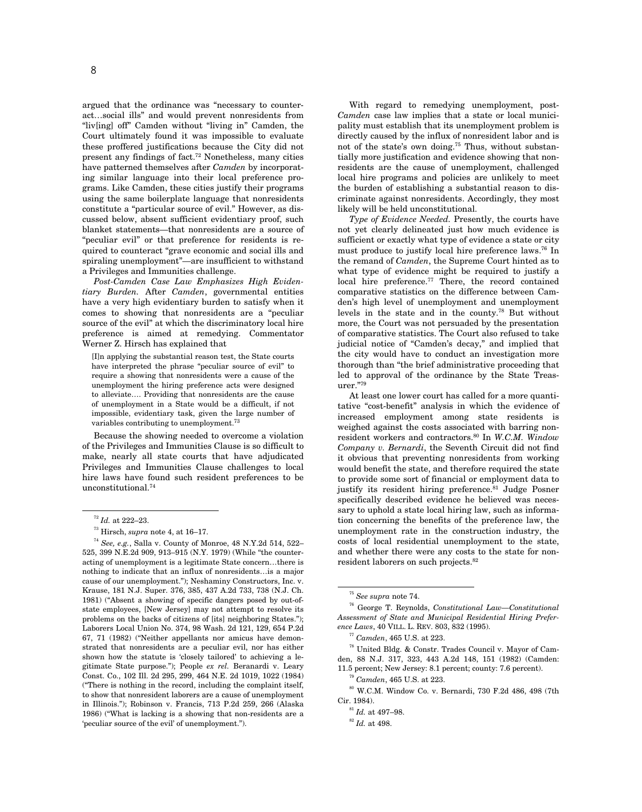argued that the ordinance was "necessary to counteract…social ills" and would prevent nonresidents from "liv[ing] off" Camden without "living in" Camden, the Court ultimately found it was impossible to evaluate these proffered justifications because the City did not present any findings of fact.72 Nonetheless, many cities have patterned themselves after *Camden* by incorporating similar language into their local preference programs. Like Camden, these cities justify their programs using the same boilerplate language that nonresidents constitute a "particular source of evil." However, as discussed below, absent sufficient evidentiary proof, such blanket statements—that nonresidents are a source of "peculiar evil" or that preference for residents is required to counteract "grave economic and social ills and spiraling unemployment"—are insufficient to withstand a Privileges and Immunities challenge.

*Post-Camden Case Law Emphasizes High Evidentiary Burden.* After *Camden*, governmental entities have a very high evidentiary burden to satisfy when it comes to showing that nonresidents are a "peculiar source of the evil" at which the discriminatory local hire preference is aimed at remedying. Commentator Werner Z. Hirsch has explained that

[I]n applying the substantial reason test, the State courts have interpreted the phrase "peculiar source of evil" to require a showing that nonresidents were a cause of the unemployment the hiring preference acts were designed to alleviate…. Providing that nonresidents are the cause of unemployment in a State would be a difficult, if not impossible, evidentiary task, given the large number of variables contributing to unemployment.<sup>73</sup>

Because the showing needed to overcome a violation of the Privileges and Immunities Clause is so difficult to make, nearly all state courts that have adjudicated Privileges and Immunities Clause challenges to local hire laws have found such resident preferences to be unconstitutional.74

With regard to remedying unemployment, post-*Camden* case law implies that a state or local municipality must establish that its unemployment problem is directly caused by the influx of nonresident labor and is not of the state's own doing.75 Thus, without substantially more justification and evidence showing that nonresidents are the cause of unemployment, challenged local hire programs and policies are unlikely to meet the burden of establishing a substantial reason to discriminate against nonresidents. Accordingly, they most likely will be held unconstitutional.

*Type of Evidence Needed.* Presently, the courts have not yet clearly delineated just how much evidence is sufficient or exactly what type of evidence a state or city must produce to justify local hire preference laws.76 In the remand of *Camden*, the Supreme Court hinted as to what type of evidence might be required to justify a local hire preference.77 There, the record contained comparative statistics on the difference between Camden's high level of unemployment and unemployment levels in the state and in the county.78 But without more, the Court was not persuaded by the presentation of comparative statistics. The Court also refused to take judicial notice of "Camden's decay," and implied that the city would have to conduct an investigation more thorough than "the brief administrative proceeding that led to approval of the ordinance by the State Treasurer."79

At least one lower court has called for a more quantitative "cost-benefit" analysis in which the evidence of increased employment among state residents is weighed against the costs associated with barring nonresident workers and contractors.80 In *W.C.M. Window Company v. Bernardi*, the Seventh Circuit did not find it obvious that preventing nonresidents from working would benefit the state, and therefore required the state to provide some sort of financial or employment data to justify its resident hiring preference.<sup>81</sup> Judge Posner specifically described evidence he believed was necessary to uphold a state local hiring law, such as information concerning the benefits of the preference law, the unemployment rate in the construction industry, the costs of local residential unemployment to the state, and whether there were any costs to the state for nonresident laborers on such projects.82

<sup>72</sup> *Id.* at 222–23. 73 Hirsch, *supra* note 4, at 16–17. 74 *See, e.g.*, Salla v. County of Monroe, 48 N.Y.2d 514, 522– 525, 399 N.E.2d 909, 913–915 (N.Y. 1979) (While "the counteracting of unemployment is a legitimate State concern…there is nothing to indicate that an influx of nonresidents…is a major cause of our unemployment."); Neshaminy Constructors, Inc. v. Krause, 181 N.J. Super. 376, 385, 437 A.2d 733, 738 (N.J. Ch. 1981) ("Absent a showing of specific dangers posed by out-ofstate employees, [New Jersey] may not attempt to resolve its problems on the backs of citizens of [its] neighboring States."); Laborers Local Union No. 374, 98 Wash. 2d 121, 129, 654 P.2d 67, 71 (1982) ("Neither appellants nor amicus have demonstrated that nonresidents are a peculiar evil, nor has either shown how the statute is 'closely tailored' to achieving a legitimate State purpose."); People *ex rel.* Beranardi v. Leary Const. Co., 102 Ill. 2d 295, 299, 464 N.E. 2d 1019, 1022 (1984) ("There is nothing in the record, including the complaint itself, to show that nonresident laborers are a cause of unemployment in Illinois."); Robinson v. Francis, 713 P.2d 259, 266 (Alaska 1986) ("What is lacking is a showing that non-residents are a 'peculiar source of the evil' of unemployment.").

<sup>75</sup> *See supra* note 74. 76 George T. Reynolds, *Constitutional Law—Constitutional Assessment of State and Municipal Residential Hiring Preference Laws*, 40 VILL. L. REV. 803, 832 (1995). 77 *Camden*, 465 U.S. at 223.

<sup>78</sup> United Bldg. & Constr. Trades Council v. Mayor of Camden, 88 N.J. 317, 323, 443 A.2d 148, 151 (1982) (Camden: 11.5 percent; New Jersey: 8.1 percent; county: 7.6 percent).

<sup>&</sup>lt;sup>79</sup> Camden, 465 U.S. at 223.<br><sup>80</sup> W.C.M. Window Co. v. Bernardi, 730 F.2d 486, 498 (7th Cir. 1984).<br><sup>81</sup> *Id.* at 497–98.<br><sup>82</sup> *Id.* at 498.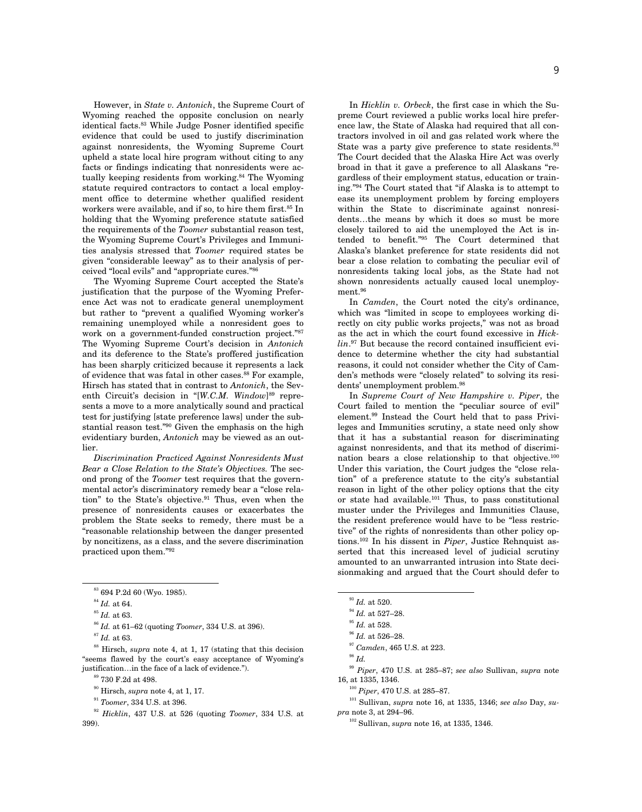However, in *State v. Antonich*, the Supreme Court of Wyoming reached the opposite conclusion on nearly identical facts.83 While Judge Posner identified specific evidence that could be used to justify discrimination against nonresidents, the Wyoming Supreme Court upheld a state local hire program without citing to any facts or findings indicating that nonresidents were actually keeping residents from working.<sup>84</sup> The Wyoming statute required contractors to contact a local employment office to determine whether qualified resident workers were available, and if so, to hire them first.<sup>85</sup> In holding that the Wyoming preference statute satisfied the requirements of the *Toomer* substantial reason test, the Wyoming Supreme Court's Privileges and Immunities analysis stressed that *Toomer* required states be given "considerable leeway" as to their analysis of perceived "local evils" and "appropriate cures."86

The Wyoming Supreme Court accepted the State's justification that the purpose of the Wyoming Preference Act was not to eradicate general unemployment but rather to "prevent a qualified Wyoming worker's remaining unemployed while a nonresident goes to work on a government-funded construction project."<sup>87</sup> The Wyoming Supreme Court's decision in *Antonich*  and its deference to the State's proffered justification has been sharply criticized because it represents a lack of evidence that was fatal in other cases.<sup>88</sup> For example, Hirsch has stated that in contrast to *Antonich*, the Seventh Circuit's decision in "[*W.C.M. Window*]<sup>89</sup> represents a move to a more analytically sound and practical test for justifying [state preference laws] under the substantial reason test."90 Given the emphasis on the high evidentiary burden, *Antonich* may be viewed as an outlier.

*Discrimination Practiced Against Nonresidents Must Bear a Close Relation to the State's Objectives.* The second prong of the *Toomer* test requires that the governmental actor's discriminatory remedy bear a "close relation" to the State's objective.<sup>91</sup> Thus, even when the presence of nonresidents causes or exacerbates the problem the State seeks to remedy, there must be a "reasonable relationship between the danger presented by noncitizens, as a class, and the severe discrimination practiced upon them."92

<sup>84</sup> *Id.* at 64.<br><sup>85</sup> *Id.* at 63.<br><sup>86</sup> *Id.* at 61–62 (quoting *Toomer*, 334 U.S. at 396).<br><sup>87</sup> *Id.* at 63.<br><sup>88</sup> Hirsch, *supra* note 4, at 1, 17 (stating that this decision "seems flawed by the court's easy acceptance of Wyoming's justification…in the face of a lack of evidence."). 89 730 F.2d at 498.

<sup>90</sup> Hirsch, *supra* note 4, at 1, 17.<br><sup>91</sup> *Toomer*, 334 U.S. at 396.<br><sup>92</sup> *Hicklin*, 437 U.S. at 526 (quoting *Toomer*, 334 U.S. at 399).

In *Hicklin v. Orbeck*, the first case in which the Supreme Court reviewed a public works local hire preference law, the State of Alaska had required that all contractors involved in oil and gas related work where the State was a party give preference to state residents.<sup>93</sup> The Court decided that the Alaska Hire Act was overly broad in that it gave a preference to all Alaskans "regardless of their employment status, education or training."94 The Court stated that "if Alaska is to attempt to ease its unemployment problem by forcing employers within the State to discriminate against nonresidents…the means by which it does so must be more closely tailored to aid the unemployed the Act is intended to benefit."95 The Court determined that Alaska's blanket preference for state residents did not bear a close relation to combating the peculiar evil of nonresidents taking local jobs, as the State had not shown nonresidents actually caused local unemployment.<sup>96</sup>

In *Camden*, the Court noted the city's ordinance, which was "limited in scope to employees working directly on city public works projects," was not as broad as the act in which the court found excessive in *Hicklin*. 97 But because the record contained insufficient evidence to determine whether the city had substantial reasons, it could not consider whether the City of Camden's methods were "closely related" to solving its residents' unemployment problem.98

In *Supreme Court of New Hampshire v. Piper*, the Court failed to mention the "peculiar source of evil" element.99 Instead the Court held that to pass Privileges and Immunities scrutiny, a state need only show that it has a substantial reason for discriminating against nonresidents, and that its method of discrimination bears a close relationship to that objective.100 Under this variation, the Court judges the "close relation" of a preference statute to the city's substantial reason in light of the other policy options that the city or state had available.101 Thus, to pass constitutional muster under the Privileges and Immunities Clause, the resident preference would have to be "less restrictive" of the rights of nonresidents than other policy options.102 In his dissent in *Piper*, Justice Rehnquist asserted that this increased level of judicial scrutiny amounted to an unwarranted intrusion into State decisionmaking and argued that the Court should defer to

<sup>93</sup> *Id.* at 527–28.<br><sup>95</sup> *Id.* at 527–28.<br><sup>95</sup> *Id.* at 528.<br><sup>97</sup> *Camden*, 465 U.S. at 223.<br><sup>98</sup> *Id.* 

 <sup>83 694</sup> P.2d 60 (Wyo. 1985).

<sup>99</sup> *Piper*, 470 U.S. at 285–87; *see also* Sullivan, *supra* note 16, at 1335, 1346. 100 *Piper*, 470 U.S. at 285–87. 101 Sullivan, *supra* note 16, at 1335, 1346; *see also* Day, *su-*

*pra* note 3, at 294–96.

<sup>102</sup> Sullivan, *supra* note 16, at 1335, 1346.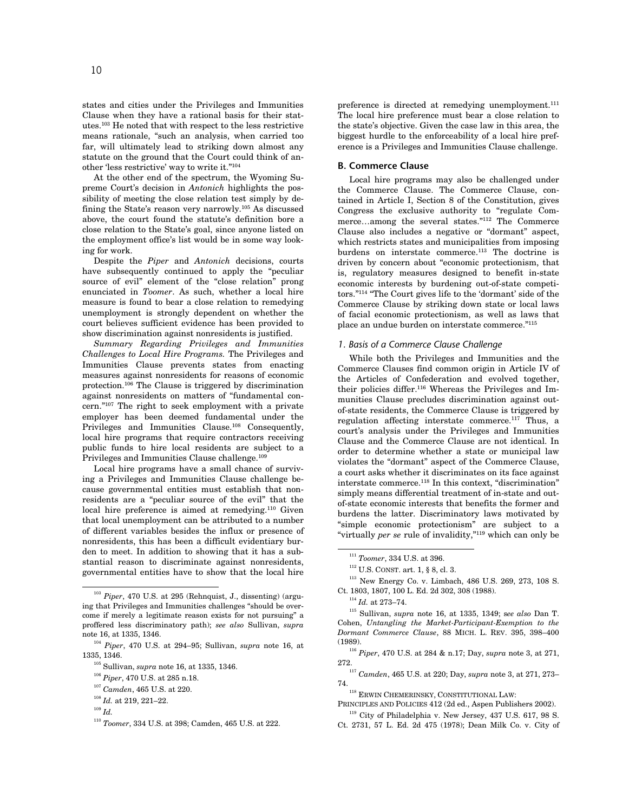other 'less restrictive' way to write it."104

At the other end of the spectrum, the Wyoming Supreme Court's decision in *Antonich* highlights the possibility of meeting the close relation test simply by defining the State's reason very narrowly.105 As discussed above, the court found the statute's definition bore a close relation to the State's goal, since anyone listed on the employment office's list would be in some way looking for work.

Despite the *Piper* and *Antonich* decisions, courts have subsequently continued to apply the "peculiar source of evil" element of the "close relation" prong enunciated in *Toomer*. As such, whether a local hire measure is found to bear a close relation to remedying unemployment is strongly dependent on whether the court believes sufficient evidence has been provided to show discrimination against nonresidents is justified.

*Summary Regarding Privileges and Immunities Challenges to Local Hire Programs.* The Privileges and Immunities Clause prevents states from enacting measures against nonresidents for reasons of economic protection.106 The Clause is triggered by discrimination against nonresidents on matters of "fundamental concern."107 The right to seek employment with a private employer has been deemed fundamental under the Privileges and Immunities Clause.<sup>108</sup> Consequently, local hire programs that require contractors receiving public funds to hire local residents are subject to a Privileges and Immunities Clause challenge.<sup>109</sup>

Local hire programs have a small chance of surviving a Privileges and Immunities Clause challenge because governmental entities must establish that nonresidents are a "peculiar source of the evil" that the local hire preference is aimed at remedying.110 Given that local unemployment can be attributed to a number of different variables besides the influx or presence of nonresidents, this has been a difficult evidentiary burden to meet. In addition to showing that it has a substantial reason to discriminate against nonresidents, governmental entities have to show that the local hire

<sup>110</sup> *Toomer*, 334 U.S. at 398; Camden, 465 U.S. at 222.

preference is directed at remedying unemployment.<sup>111</sup> The local hire preference must bear a close relation to the state's objective. Given the case law in this area, the biggest hurdle to the enforceability of a local hire preference is a Privileges and Immunities Clause challenge.

## **B. Commerce Clause**

Local hire programs may also be challenged under the Commerce Clause. The Commerce Clause, contained in Article I, Section 8 of the Constitution, gives Congress the exclusive authority to "regulate Commerce…among the several states."112 The Commerce Clause also includes a negative or "dormant" aspect, which restricts states and municipalities from imposing burdens on interstate commerce.<sup>113</sup> The doctrine is driven by concern about "economic protectionism, that is, regulatory measures designed to benefit in-state economic interests by burdening out-of-state competitors."114 "The Court gives life to the 'dormant' side of the Commerce Clause by striking down state or local laws of facial economic protectionism, as well as laws that place an undue burden on interstate commerce."115

## *1. Basis of a Commerce Clause Challenge*

While both the Privileges and Immunities and the Commerce Clauses find common origin in Article IV of the Articles of Confederation and evolved together, their policies differ.116 Whereas the Privileges and Immunities Clause precludes discrimination against outof-state residents, the Commerce Clause is triggered by regulation affecting interstate commerce.<sup>117</sup> Thus, a court's analysis under the Privileges and Immunities Clause and the Commerce Clause are not identical. In order to determine whether a state or municipal law violates the "dormant" aspect of the Commerce Clause, a court asks whether it discriminates on its face against interstate commerce.118 In this context, "discrimination" simply means differential treatment of in-state and outof-state economic interests that benefits the former and burdens the latter. Discriminatory laws motivated by "simple economic protectionism" are subject to a "virtually *per se* rule of invalidity,"119 which can only be

<sup>111</sup> *Toomer*, 334 U.S. at 396.<br><sup>112</sup> U.S. CONST. art. 1, § 8, cl. 3.<br><sup>113</sup> New Energy Co. v. Limbach, 486 U.S. 269, 273, 108 S.<br>Ct. 1803, 1807, 100 L. Ed. 2d 302, 308 (1988).

Ct. 1803, 1807, 100 L. Ed. 2d 302, 308 (1988). 114 *Id.* at 273–74. 115 Sullivan, *supra* note 16, at 1335, 1349; s*ee also* Dan T. Cohen, *Untangling the Market-Participant-Exemption to the Dormant Commerce Clause*, 88 MICH. L. REV. 395, 398–400

(1989). 116 *Piper*, 470 U.S. at 284 & n.17; Day, *supra* note 3, at 271, 272. 117 *Camden*, 465 U.S. at 220; Day, *supra* note 3, at 271, 273–

<sup>118</sup> ERWIN CHEMERINSKY, CONSTITUTIONAL LAW:<br>PRINCIPLES AND POLICIES 412 (2d ed., Aspen Publishers 2002).

 $P<sup>119</sup>$  City of Philadelphia v. New Jersey, 437 U.S. 617, 98 S. Ct. 2731, 57 L. Ed. 2d 475 (1978); Dean Milk Co. v. City of

 <sup>103</sup> *Piper*, 470 U.S. at 295 (Rehnquist, J., dissenting) (arguing that Privileges and Immunities challenges "should be overcome if merely a legitimate reason exists for not pursuing" a proffered less discriminatory path); *see also* Sullivan, *supra* note 16, at 1335, 1346. 104 *Piper*, 470 U.S. at 294–95; Sullivan, *supra* note 16, at

<sup>1335, 1346.&</sup>lt;br>
<sup>105</sup> Sullivan, *supra* note 16, at 1335, 1346.<br>
<sup>106</sup> *Piper*, 470 U.S. at 285 n.18.<br>
<sup>107</sup> *Camden*, 465 U.S. at 220.<br>
<sup>108</sup> *Id.* at 219, 221–22.<br>
<sup>109</sup> *Id.*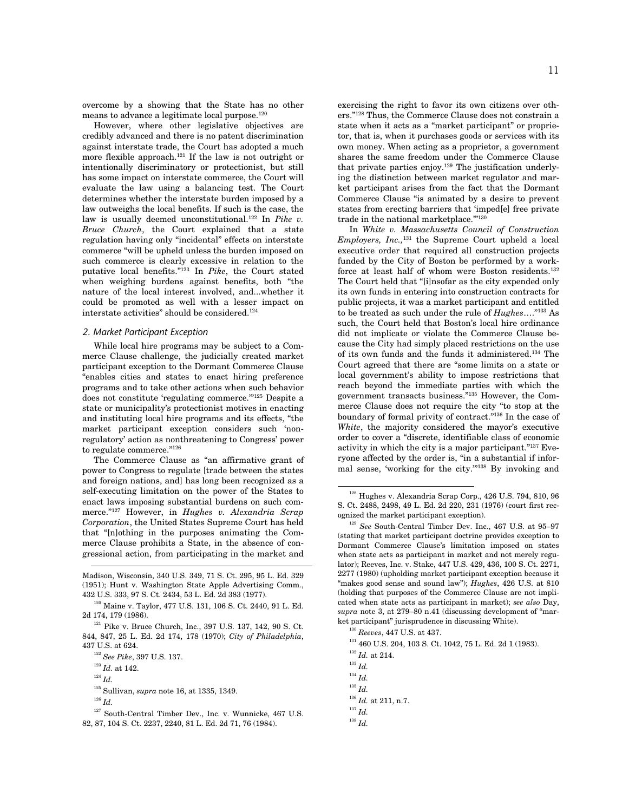overcome by a showing that the State has no other means to advance a legitimate local purpose.<sup>120</sup>

However, where other legislative objectives are credibly advanced and there is no patent discrimination against interstate trade, the Court has adopted a much more flexible approach.<sup>121</sup> If the law is not outright or intentionally discriminatory or protectionist, but still has some impact on interstate commerce, the Court will evaluate the law using a balancing test. The Court determines whether the interstate burden imposed by a law outweighs the local benefits. If such is the case, the law is usually deemed unconstitutional.<sup>122</sup> In *Pike v. Bruce Church*, the Court explained that a state regulation having only "incidental" effects on interstate commerce "will be upheld unless the burden imposed on such commerce is clearly excessive in relation to the putative local benefits."123 In *Pike*, the Court stated when weighing burdens against benefits, both "the nature of the local interest involved, and...whether it could be promoted as well with a lesser impact on interstate activities" should be considered.124

## *2. Market Participant Exception*

While local hire programs may be subject to a Commerce Clause challenge, the judicially created market participant exception to the Dormant Commerce Clause "enables cities and states to enact hiring preference programs and to take other actions when such behavior does not constitute 'regulating commerce.'"125 Despite a state or municipality's protectionist motives in enacting and instituting local hire programs and its effects, "the market participant exception considers such 'nonregulatory' action as nonthreatening to Congress' power to regulate commerce."126

The Commerce Clause as "an affirmative grant of power to Congress to regulate [trade between the states and foreign nations, and] has long been recognized as a self-executing limitation on the power of the States to enact laws imposing substantial burdens on such commerce."127 However, in *Hughes v. Alexandria Scrap Corporation*, the United States Supreme Court has held that "[n]othing in the purposes animating the Commerce Clause prohibits a State, in the absence of congressional action, from participating in the market and

- 
- 

-

82, 87, 104 S. Ct. 2237, 2240, 81 L. Ed. 2d 71, 76 (1984).

exercising the right to favor its own citizens over others."128 Thus, the Commerce Clause does not constrain a state when it acts as a "market participant" or proprietor, that is, when it purchases goods or services with its own money. When acting as a proprietor, a government shares the same freedom under the Commerce Clause that private parties enjoy.<sup>129</sup> The justification underlying the distinction between market regulator and market participant arises from the fact that the Dormant Commerce Clause "is animated by a desire to prevent states from erecting barriers that 'imped[e] free private trade in the national marketplace.'"130

In *White v. Massachusetts Council of Construction Employers, Inc.,*131 the Supreme Court upheld a local executive order that required all construction projects funded by the City of Boston be performed by a workforce at least half of whom were Boston residents.<sup>132</sup> The Court held that "[i]nsofar as the city expended only its own funds in entering into construction contracts for public projects, it was a market participant and entitled to be treated as such under the rule of *Hughes*…."133 As such, the Court held that Boston's local hire ordinance did not implicate or violate the Commerce Clause because the City had simply placed restrictions on the use of its own funds and the funds it administered.134 The Court agreed that there are "some limits on a state or local government's ability to impose restrictions that reach beyond the immediate parties with which the government transacts business."135 However, the Commerce Clause does not require the city "to stop at the boundary of formal privity of contract."136 In the case of *White*, the majority considered the mayor's executive order to cover a "discrete, identifiable class of economic activity in which the city is a major participant."137 Everyone affected by the order is, "in a substantial if informal sense, 'working for the city.'"138 By invoking and

- 
- <sup>134</sup> *Id.*

- 
- <sup>138</sup> *Id.*

Madison, Wisconsin, 340 U.S. 349, 71 S. Ct. 295, 95 L. Ed. 329 (1951); Hunt v. Washington State Apple Advertising Comm.,

<sup>432</sup> U.S. 333, 97 S. Ct. 2434, 53 L. Ed. 2d 383 (1977).<br><sup>120</sup> Maine v. Taylor, 477 U.S. 131, 106 S. Ct. 2440, 91 L. Ed.<br>2d 174, 179 (1986).

 $121$  Pike v. Bruce Church, Inc., 397 U.S. 137, 142, 90 S. Ct. 844, 847, 25 L. Ed. 2d 174, 178 (1970); *City of Philadelphia*, 437 U.S. at 624.<br><sup>122</sup> *See Pike*, 397 U.S. 137.<br><sup>123</sup> *Id.* at 142.<br><sup>124</sup> *Id.* <sup>125</sup> Sullivan, *supra* note 16, at 1335, 1349.<br><sup>126</sup> *Id.* 

<sup>&</sup>lt;sup>127</sup> South-Central Timber Dev., Inc. v. Wunnicke, 467 U.S.

 <sup>128</sup> Hughes v. Alexandria Scrap Corp., 426 U.S. 794, 810, 96 S. Ct. 2488, 2498, 49 L. Ed. 2d 220, 231 (1976) (court first recognized the market participant exception). 129 *See* South-Central Timber Dev. Inc., 467 U.S. at 95–97

<sup>(</sup>stating that market participant doctrine provides exception to Dormant Commerce Clause's limitation imposed on states when state acts as participant in market and not merely regulator); Reeves, Inc. v. Stake, 447 U.S. 429, 436, 100 S. Ct. 2271, 2277 (1980) (upholding market participant exception because it "makes good sense and sound law"); *Hughes*, 426 U.S. at 810 (holding that purposes of the Commerce Clause are not implicated when state acts as participant in market); *see also* Day, *supra* note 3, at 279–80 n.41 (discussing development of "market participant" jurisprudence in discussing White).<br><sup>130</sup> *Reeves*, 447 U.S. at 437.<br><sup>131</sup> 460 U.S. 204, 103 S. Ct. 1042, 75 L. Ed. 2d 1 (1983).<br><sup>132</sup> *Id.* at 214.<br><sup>133</sup> *Id.* 

<sup>135</sup> *Id.*

<sup>&</sup>lt;sup>136</sup> *Id.* at 211, n.7.<br><sup>137</sup> *Id.*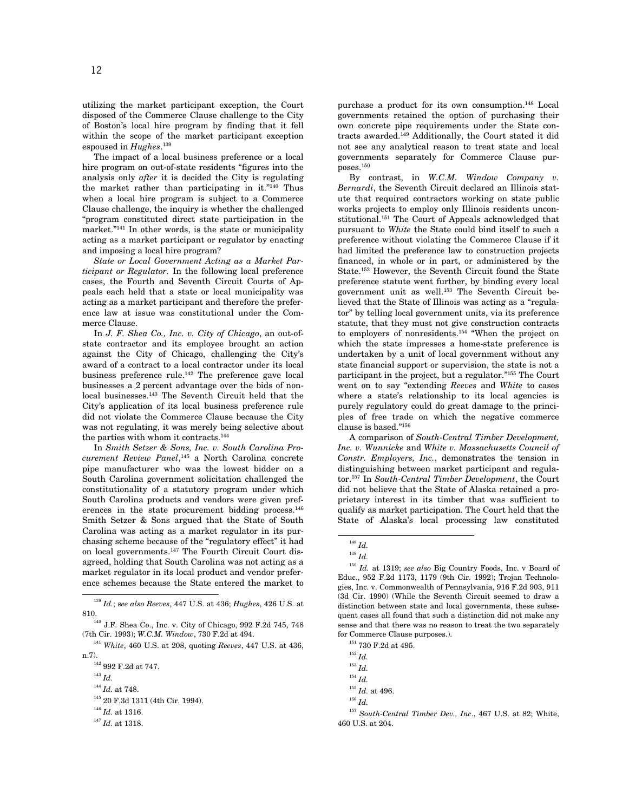utilizing the market participant exception, the Court disposed of the Commerce Clause challenge to the City of Boston's local hire program by finding that it fell within the scope of the market participant exception espoused in *Hughes*. 139

The impact of a local business preference or a local hire program on out-of-state residents "figures into the analysis only *after* it is decided the City is regulating the market rather than participating in it."140 Thus when a local hire program is subject to a Commerce Clause challenge, the inquiry is whether the challenged "program constituted direct state participation in the market."<sup>141</sup> In other words, is the state or municipality acting as a market participant or regulator by enacting and imposing a local hire program?

*State or Local Government Acting as a Market Participant or Regulator.* In the following local preference cases, the Fourth and Seventh Circuit Courts of Appeals each held that a state or local municipality was acting as a market participant and therefore the preference law at issue was constitutional under the Commerce Clause.

In *J. F. Shea Co., Inc. v. City of Chicago*, an out-ofstate contractor and its employee brought an action against the City of Chicago, challenging the City's award of a contract to a local contractor under its local business preference rule.142 The preference gave local businesses a 2 percent advantage over the bids of nonlocal businesses.143 The Seventh Circuit held that the City's application of its local business preference rule did not violate the Commerce Clause because the City was not regulating, it was merely being selective about the parties with whom it contracts.144

In *Smith Setzer & Sons, Inc. v. South Carolina Procurement Review Panel*, 145 a North Carolina concrete pipe manufacturer who was the lowest bidder on a South Carolina government solicitation challenged the constitutionality of a statutory program under which South Carolina products and vendors were given preferences in the state procurement bidding process.146 Smith Setzer & Sons argued that the State of South Carolina was acting as a market regulator in its purchasing scheme because of the "regulatory effect" it had on local governments.147 The Fourth Circuit Court disagreed, holding that South Carolina was not acting as a market regulator in its local product and vendor preference schemes because the State entered the market to

<sup>141</sup> White, 460 U.S. at 208, quoting *Reeves*, 447 U.S. at 436,

purchase a product for its own consumption.148 Local governments retained the option of purchasing their own concrete pipe requirements under the State contracts awarded.149 Additionally, the Court stated it did not see any analytical reason to treat state and local governments separately for Commerce Clause purposes.150

By contrast, in *W.C.M. Window Company v. Bernardi*, the Seventh Circuit declared an Illinois statute that required contractors working on state public works projects to employ only Illinois residents unconstitutional.151 The Court of Appeals acknowledged that pursuant to *White* the State could bind itself to such a preference without violating the Commerce Clause if it had limited the preference law to construction projects financed, in whole or in part, or administered by the State.152 However, the Seventh Circuit found the State preference statute went further, by binding every local government unit as well.153 The Seventh Circuit believed that the State of Illinois was acting as a "regulator" by telling local government units, via its preference statute, that they must not give construction contracts to employers of nonresidents.154 "When the project on which the state impresses a home-state preference is undertaken by a unit of local government without any state financial support or supervision, the state is not a participant in the project, but a regulator."155 The Court went on to say "extending *Reeves* and *White* to cases where a state's relationship to its local agencies is purely regulatory could do great damage to the principles of free trade on which the negative commerce clause is based."156

A comparison of *South-Central Timber Development, Inc. v. Wunnicke* and *White v. Massachusetts Council of Constr. Employers, Inc.*, demonstrates the tension in distinguishing between market participant and regulator.157 In *South-Central Timber Development*, the Court did not believe that the State of Alaska retained a proprietary interest in its timber that was sufficient to qualify as market participation. The Court held that the State of Alaska's local processing law constituted

 <sup>139</sup> *Id.*; s*ee also Reeves*, 447 U.S. at 436; *Hughes*, 426 U.S. at

<sup>810.&</sup>lt;br><sup>140</sup> J.F. Shea Co., Inc. v. City of Chicago, 992 F.2d 745, 748<br>(7th Cir. 1993); W.*C.M. Window*, 730 F.2d at 494.

n.7).<br><sup>142</sup> 992 F.2d at 747.<br><sup>143</sup> *Id.*<br><sup>144</sup> *Id.* at 748.

<sup>&</sup>lt;sup>145</sup> 20 F.3d 1311 (4th Cir. 1994).<br><sup>146</sup> *Id.* at 1316.<br><sup>147</sup> *Id.* at 1318.

 <sup>148</sup> *Id.*

<sup>149</sup> *Id.*

<sup>150</sup> *Id.* at 1319; *see also* Big Country Foods, Inc. v Board of Educ., 952 F.2d 1173, 1179 (9th Cir. 1992); Trojan Technologies, Inc. v. Commonwealth of Pennsylvania, 916 F.2d 903, 911 (3d Cir. 1990) (While the Seventh Circuit seemed to draw a distinction between state and local governments, these subsequent cases all found that such a distinction did not make any sense and that there was no reason to treat the two separately for Commerce Clause purposes.).  $^{151}$  730 F.2d at 495.  $^{152}$  *Id.* 

<sup>153</sup> *Id.*

<sup>154</sup> *Id.*

<sup>155</sup> *Id.* at 496. 156 *Id.*

<sup>157</sup> *South-Central Timber Dev., Inc*., 467 U.S. at 82; White, 460 U.S. at 204.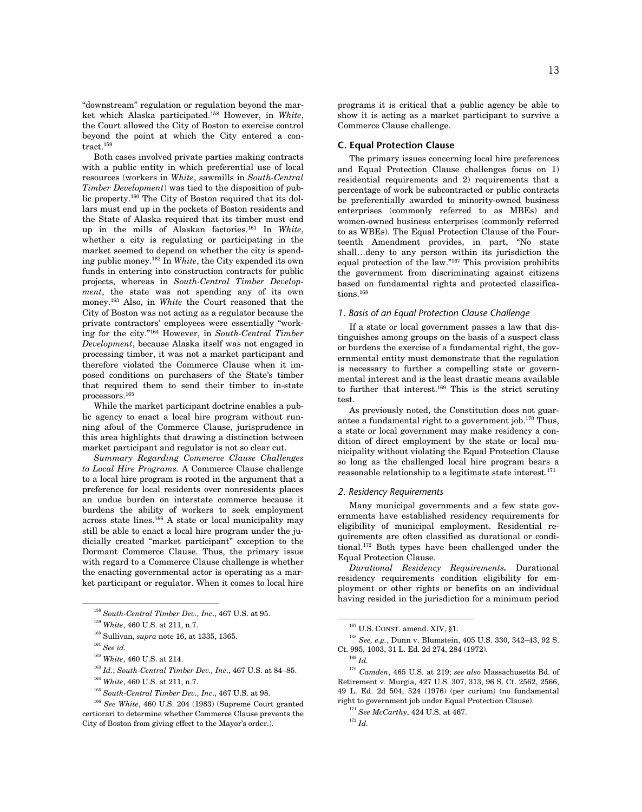"downstream" regulation or regulation beyond the market which Alaska participated.158 However, in *White*, the Court allowed the City of Boston to exercise control beyond the point at which the City entered a contract.<sup>159</sup>

Both cases involved private parties making contracts with a public entity in which preferential use of local resources (workers in *White*, sawmills in *South-Central Timber Development*) was tied to the disposition of public property.160 The City of Boston required that its dollars must end up in the pockets of Boston residents and the State of Alaska required that its timber must end up in the mills of Alaskan factories.161 In *White*, whether a city is regulating or participating in the market seemed to depend on whether the city is spending public money.162 In *White*, the City expended its own funds in entering into construction contracts for public projects, whereas in *South-Central Timber Development*, the state was not spending any of its own money.163 Also, in *White* the Court reasoned that the City of Boston was not acting as a regulator because the private contractors' employees were essentially "working for the city."164 However, in *South-Central Timber Development*, because Alaska itself was not engaged in processing timber, it was not a market participant and therefore violated the Commerce Clause when it imposed conditions on purchasers of the State's timber that required them to send their timber to in-state processors.165

While the market participant doctrine enables a public agency to enact a local hire program without running afoul of the Commerce Clause, jurisprudence in this area highlights that drawing a distinction between market participant and regulator is not so clear cut.

*Summary Regarding Commerce Clause Challenges to Local Hire Programs.* A Commerce Clause challenge to a local hire program is rooted in the argument that a preference for local residents over nonresidents places an undue burden on interstate commerce because it burdens the ability of workers to seek employment across state lines.166 A state or local municipality may still be able to enact a local hire program under the judicially created "market participant" exception to the Dormant Commerce Clause. Thus, the primary issue with regard to a Commerce Clause challenge is whether the enacting governmental actor is operating as a market participant or regulator. When it comes to local hire

programs it is critical that a public agency be able to show it is acting as a market participant to survive a Commerce Clause challenge.

## **C. Equal Protection Clause**

The primary issues concerning local hire preferences and Equal Protection Clause challenges focus on 1) residential requirements and 2) requirements that a percentage of work be subcontracted or public contracts be preferentially awarded to minority-owned business enterprises (commonly referred to as MBEs) and women-owned business enterprises (commonly referred to as WBEs). The Equal Protection Clause of the Fourteenth Amendment provides, in part, "No state shall...deny to any person within its jurisdiction the equal protection of the law."167 This provision prohibits the government from discriminating against citizens based on fundamental rights and protected classifications.<sup>168</sup>

## *1. Basis of an Equal Protection Clause Challenge*

If a state or local government passes a law that distinguishes among groups on the basis of a suspect class or burdens the exercise of a fundamental right, the governmental entity must demonstrate that the regulation is necessary to further a compelling state or governmental interest and is the least drastic means available to further that interest.<sup>169</sup> This is the strict scrutiny test.

As previously noted, the Constitution does not guarantee a fundamental right to a government job.170 Thus, a state or local government may make residency a condition of direct employment by the state or local municipality without violating the Equal Protection Clause so long as the challenged local hire program bears a reasonable relationship to a legitimate state interest.171

#### *2. Residency Requirements*

Many municipal governments and a few state governments have established residency requirements for eligibility of municipal employment. Residential requirements are often classified as durational or conditional.172 Both types have been challenged under the Equal Protection Clause.

*Durational Residency Requirements.* Durational residency requirements condition eligibility for employment or other rights or benefits on an individual having resided in the jurisdiction for a minimum period

<sup>&</sup>lt;sup>158</sup> *South-Central Timber Dev., Inc.*, 467 U.S. at 95.<br><sup>159</sup> *White*, 460 U.S. at 211, n.7.<br><sup>160</sup> Sullivan, *supra* note 16, at 1335, 1365.<br><sup>161</sup> *See id.* 

<sup>&</sup>lt;sup>162</sup> White, 460 U.S. at 214.<br><sup>163</sup> Id.; South-Central Timber Dev., Inc., 467 U.S. at 84–85.<br><sup>164</sup> White, 460 U.S. at 211, n.7.<br><sup>165</sup> South-Central Timber Dev., Inc., 467 U.S. at 98.<br><sup>166</sup> See White, 460 U.S. 204 (1983) (

certiorari to determine whether Commerce Clause prevents the City of Boston from giving effect to the Mayor's order.).

<sup>&</sup>lt;sup>167</sup> U.S. CONST. amend. XIV, §1.<br><sup>168</sup> *See, e.g.*, Dunn v. Blumstein, 405 U.S. 330, 342–43, 92 S. Ct. 995, 1003, 31 L. Ed. 2d 274, 284 (1972). $^{169}$   $Id_{\cdot}$ 

<sup>170</sup> *Camden*, 465 U.S. at 219; *see also* Massachusetts Bd. of Retirement v. Murgia, 427 U.S. 307, 313, 96 S. Ct. 2562, 2566, 49 L. Ed. 2d 504, 524 (1976) (per curium) (no fundamental right to government job under Equal Protection Clause). 171 *See McCarthy*, 424 U.S. at 467. 172 *Id.*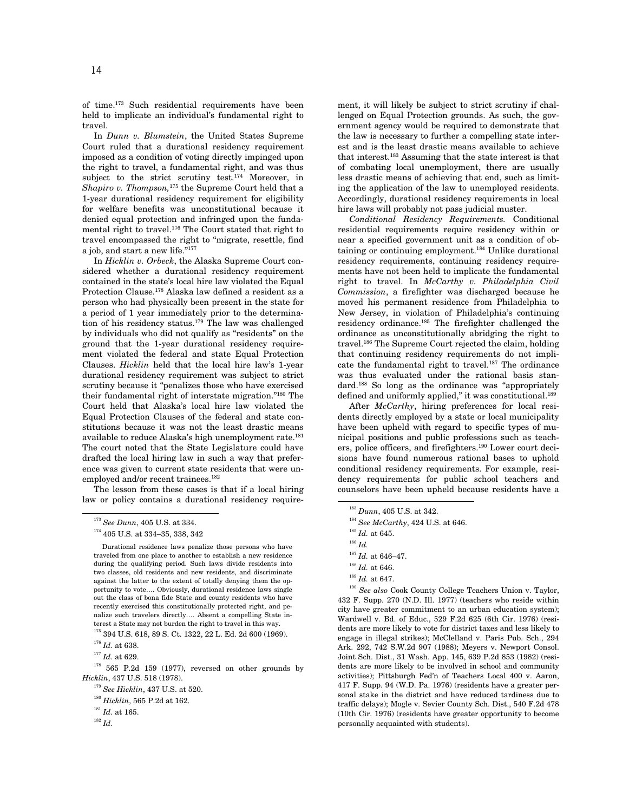of time.173 Such residential requirements have been held to implicate an individual's fundamental right to travel.

In *Dunn v. Blumstein*, the United States Supreme Court ruled that a durational residency requirement imposed as a condition of voting directly impinged upon the right to travel, a fundamental right, and was thus subject to the strict scrutiny test.<sup>174</sup> Moreover, in *Shapiro v. Thompson,*175 the Supreme Court held that a 1-year durational residency requirement for eligibility for welfare benefits was unconstitutional because it denied equal protection and infringed upon the fundamental right to travel.176 The Court stated that right to travel encompassed the right to "migrate, resettle, find a job, and start a new life."177

In *Hicklin v. Orbeck*, the Alaska Supreme Court considered whether a durational residency requirement contained in the state's local hire law violated the Equal Protection Clause.178 Alaska law defined a resident as a person who had physically been present in the state for a period of 1 year immediately prior to the determination of his residency status.179 The law was challenged by individuals who did not qualify as "residents" on the ground that the 1-year durational residency requirement violated the federal and state Equal Protection Clauses. *Hicklin* held that the local hire law's 1-year durational residency requirement was subject to strict scrutiny because it "penalizes those who have exercised their fundamental right of interstate migration."180 The Court held that Alaska's local hire law violated the Equal Protection Clauses of the federal and state constitutions because it was not the least drastic means available to reduce Alaska's high unemployment rate.181 The court noted that the State Legislature could have drafted the local hiring law in such a way that preference was given to current state residents that were unemployed and/or recent trainees.<sup>182</sup>

The lesson from these cases is that if a local hiring law or policy contains a durational residency require-

<sup>173</sup> *See Dunn*, 405 U.S. at 334. 174 405 U.S. at 334–35, 338, 342

<sup>175</sup> 394 U.S. 618, 89 S. Ct. 1322, 22 L. Ed. 2d 600 (1969).<br><sup>176</sup> *Id.* at 638. <sup>177</sup> *Id.* at 629. <sup>178</sup> 565 P.2d 159 (1977), reversed on other grounds by *Hicklin*, 437 U.S. 518 (1978).<br><sup>179</sup> *See Hicklin*, 437 U.S. at 520.<br><sup>180</sup> *Hicklin*, 565 P.2d at 162.<br><sup>181</sup> *Id.* at 165.<br><sup>182</sup> *Id.* 

ment, it will likely be subject to strict scrutiny if challenged on Equal Protection grounds. As such, the government agency would be required to demonstrate that the law is necessary to further a compelling state interest and is the least drastic means available to achieve that interest.183 Assuming that the state interest is that of combating local unemployment, there are usually less drastic means of achieving that end, such as limiting the application of the law to unemployed residents. Accordingly, durational residency requirements in local hire laws will probably not pass judicial muster.

*Conditional Residency Requirements.* Conditional residential requirements require residency within or near a specified government unit as a condition of obtaining or continuing employment.184 Unlike durational residency requirements, continuing residency requirements have not been held to implicate the fundamental right to travel. In *McCarthy v. Philadelphia Civil Commission*, a firefighter was discharged because he moved his permanent residence from Philadelphia to New Jersey, in violation of Philadelphia's continuing residency ordinance.185 The firefighter challenged the ordinance as unconstitutionally abridging the right to travel.186 The Supreme Court rejected the claim, holding that continuing residency requirements do not implicate the fundamental right to travel.187 The ordinance was thus evaluated under the rational basis standard.188 So long as the ordinance was "appropriately defined and uniformly applied," it was constitutional.<sup>189</sup>

After *McCarthy*, hiring preferences for local residents directly employed by a state or local municipality have been upheld with regard to specific types of municipal positions and public professions such as teachers, police officers, and firefighters.190 Lower court decisions have found numerous rational bases to uphold conditional residency requirements. For example, residency requirements for public school teachers and counselors have been upheld because residents have a

- <sup>183</sup> *Dunn*, 405 U.S. at 342.<br><sup>184</sup> *See McCarthy*, 424 U.S. at 646.<br><sup>185</sup> *Id.* at 645. <sup>186</sup> *Id*
- 
- 

- 
- 

<sup>187</sup> *Id.* at 646–47.<br><sup>188</sup> *Id.* at 646.<br><sup>189</sup> *Id.* at 647.<br><sup>190</sup> *See also* Cook County College Teachers Union v. Taylor, 432 F. Supp. 270 (N.D. Ill. 1977) (teachers who reside within city have greater commitment to an urban education system); Wardwell v. Bd. of Educ., 529 F.2d 625 (6th Cir. 1976) (residents are more likely to vote for district taxes and less likely to engage in illegal strikes); McClelland v. Paris Pub. Sch., 294 Ark. 292, 742 S.W.2d 907 (1988); Meyers v. Newport Consol. Joint Sch. Dist., 31 Wash. App. 145, 639 P.2d 853 (1982) (residents are more likely to be involved in school and community activities); Pittsburgh Fed'n of Teachers Local 400 v. Aaron, 417 F. Supp. 94 (W.D. Pa. 1976) (residents have a greater personal stake in the district and have reduced tardiness due to traffic delays); Mogle v. Sevier County Sch. Dist., 540 F.2d 478 (10th Cir. 1976) (residents have greater opportunity to become personally acquainted with students).

Durational residence laws penalize those persons who have traveled from one place to another to establish a new residence during the qualifying period. Such laws divide residents into two classes, old residents and new residents, and discriminate against the latter to the extent of totally denying them the opportunity to vote…. Obviously, durational residence laws single out the class of bona fide State and county residents who have recently exercised this constitutionally protected right, and penalize such travelers directly…. Absent a compelling State interest a State may not burden the right to travel in this way.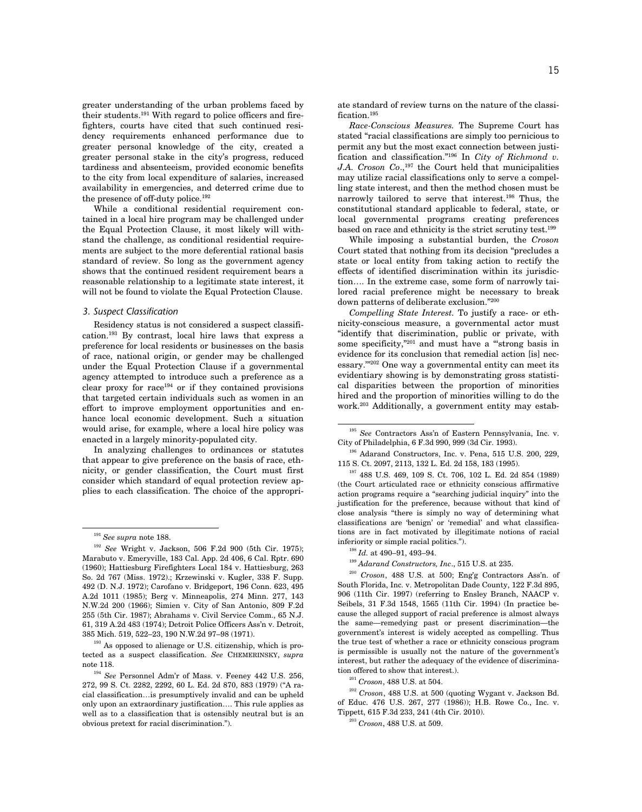greater understanding of the urban problems faced by their students.191 With regard to police officers and firefighters, courts have cited that such continued residency requirements enhanced performance due to greater personal knowledge of the city, created a greater personal stake in the city's progress, reduced tardiness and absenteeism, provided economic benefits to the city from local expenditure of salaries, increased availability in emergencies, and deterred crime due to the presence of off-duty police.192

While a conditional residential requirement contained in a local hire program may be challenged under the Equal Protection Clause, it most likely will withstand the challenge, as conditional residential requirements are subject to the more deferential rational basis standard of review. So long as the government agency shows that the continued resident requirement bears a reasonable relationship to a legitimate state interest, it will not be found to violate the Equal Protection Clause.

#### *3. Suspect Classification*

Residency status is not considered a suspect classification.193 By contrast, local hire laws that express a preference for local residents or businesses on the basis of race, national origin, or gender may be challenged under the Equal Protection Clause if a governmental agency attempted to introduce such a preference as a clear proxy for race194 or if they contained provisions that targeted certain individuals such as women in an effort to improve employment opportunities and enhance local economic development. Such a situation would arise, for example, where a local hire policy was enacted in a largely minority-populated city.

In analyzing challenges to ordinances or statutes that appear to give preference on the basis of race, ethnicity, or gender classification, the Court must first consider which standard of equal protection review applies to each classification. The choice of the appropri-

tected as a suspect classification. *See* CHEMERINSKY, *supra*

note 118. 194 *See* Personnel Adm'r of Mass. v. Feeney 442 U.S. 256, 272, 99 S. Ct. 2282, 2292, 60 L. Ed. 2d 870, 883 (1979) ("A racial classification…is presumptively invalid and can be upheld only upon an extraordinary justification…. This rule applies as well as to a classification that is ostensibly neutral but is an obvious pretext for racial discrimination.").

ate standard of review turns on the nature of the classification.<sup>195</sup>

*Race-Conscious Measures.* The Supreme Court has stated "racial classifications are simply too pernicious to permit any but the most exact connection between justification and classification."196 In *City of Richmond v. J.A. Croson Co*.,197 the Court held that municipalities may utilize racial classifications only to serve a compelling state interest, and then the method chosen must be narrowly tailored to serve that interest.198 Thus, the constitutional standard applicable to federal, state, or local governmental programs creating preferences based on race and ethnicity is the strict scrutiny test.<sup>199</sup>

While imposing a substantial burden, the *Croson* Court stated that nothing from its decision "precludes a state or local entity from taking action to rectify the effects of identified discrimination within its jurisdiction…. In the extreme case, some form of narrowly tailored racial preference might be necessary to break down patterns of deliberate exclusion."200

*Compelling State Interest.* To justify a race- or ethnicity-conscious measure, a governmental actor must "identify that discrimination, public or private, with some specificity,"<sup>201</sup> and must have a "strong basis in evidence for its conclusion that remedial action [is] necessary.'"202 One way a governmental entity can meet its evidentiary showing is by demonstrating gross statistical disparities between the proportion of minorities hired and the proportion of minorities willing to do the work.203 Additionally, a government entity may estab-

<sup>196</sup> Adarand Constructors, Inc. v. Pena, 515 U.S. 200, 229, 115 S. Ct. 2097, 2113, 132 L. Ed. 2d 158, 183 (1995).

197 488 U.S. 469, 109 S. Ct. 706, 102 L. Ed. 2d 854 (1989) (the Court articulated race or ethnicity conscious affirmative action programs require a "searching judicial inquiry" into the justification for the preference, because without that kind of close analysis "there is simply no way of determining what classifications are 'benign' or 'remedial' and what classifications are in fact motivated by illegitimate notions of racial inferiority or simple racial politics.").<br><sup>198</sup> *Id.* at 490–91, 493–94.<br><sup>199</sup> *Adarand Constructors, Inc.*, 515 U.S. at 235.<br><sup>200</sup> *Croson*, 488 U.S. at 500; Eng'g Contractors Ass'n. of

South Florida, Inc. v. Metropolitan Dade County, 122 F.3d 895, 906 (11th Cir. 1997) (referring to Ensley Branch, NAACP v. Seibels, 31 F.3d 1548, 1565 (11th Cir. 1994) (In practice because the alleged support of racial preference is almost always the same—remedying past or present discrimination—the government's interest is widely accepted as compelling. Thus the true test of whether a race or ethnicity conscious program is permissible is usually not the nature of the government's interest, but rather the adequacy of the evidence of discrimina-

tion offered to show that interest.).<br><sup>201</sup> *Croson*, 488 U.S. at 504.<br><sup>202</sup> *Croson*, 488 U.S. at 500 (quoting Wygant v. Jackson Bd. of Educ. 476 U.S. 267, 277 (1986)); H.B. Rowe Co., Inc. v. Tippett, 615 F.3d 233, 241 (4th Cir. 2010). 203 *Croson*, 488 U.S. at 509.

<sup>&</sup>lt;sup>191</sup> *See supra* note 188.<br><sup>192</sup> *See* Wright v. Jackson, 506 F.2d 900 (5th Cir. 1975); Marabuto v. Emeryville, 183 Cal. App. 2d 406, 6 Cal. Rptr. 690 (1960); Hattiesburg Firefighters Local 184 v. Hattiesburg, 263 So. 2d 767 (Miss. 1972).; Krzewinski v. Kugler, 338 F. Supp. 492 (D. N.J. 1972); Carofano v. Bridgeport, 196 Conn. 623, 495 A.2d 1011 (1985); Berg v. Minneapolis, 274 Minn. 277, 143 N.W.2d 200 (1966); Simien v. City of San Antonio, 809 F.2d 255 (5th Cir. 1987); Abrahams v. Civil Service Comm., 65 N.J. 61, 319 A.2d 483 (1974); Detroit Police Officers Ass'n v. Detroit, 385 Mich. 519, 522–23, 190 N.W.2d 97–98 (1971). 193 As opposed to alienage or U.S. citizenship, which is pro-

<sup>&</sup>lt;sup>195</sup> *See* Contractors Ass'n of Eastern Pennsylvania, Inc. v.<br>City of Philadelphia, 6 F.3d 990, 999 (3d Cir. 1993).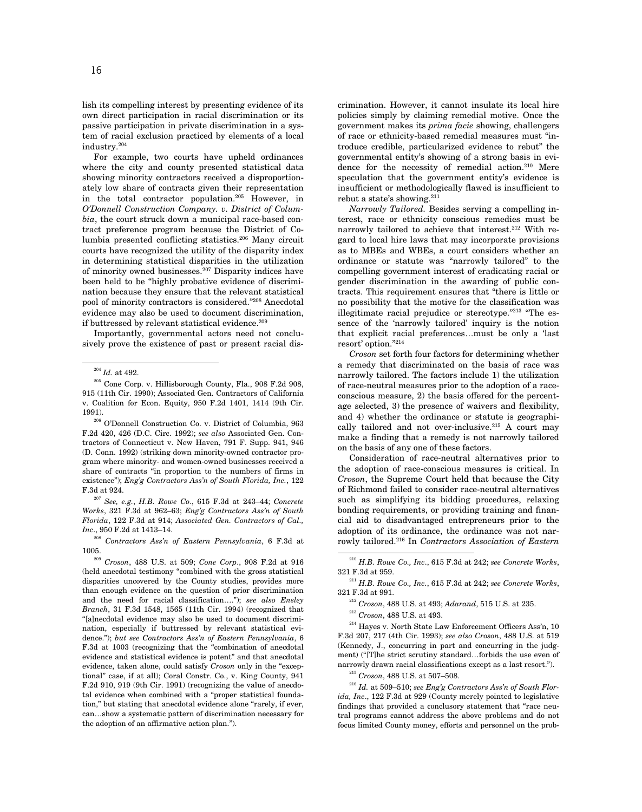industry.204 For example, two courts have upheld ordinances where the city and county presented statistical data showing minority contractors received a disproportionately low share of contracts given their representation in the total contractor population.205 However, in *O'Donnell Construction Company. v. District of Columbia*, the court struck down a municipal race-based contract preference program because the District of Columbia presented conflicting statistics.206 Many circuit courts have recognized the utility of the disparity index in determining statistical disparities in the utilization of minority owned businesses.207 Disparity indices have been held to be "highly probative evidence of discrimination because they ensure that the relevant statistical pool of minority contractors is considered."208 Anecdotal evidence may also be used to document discrimination, if buttressed by relevant statistical evidence.<sup>209</sup>

Importantly, governmental actors need not conclusively prove the existence of past or present racial dis-

1991).<br><sup>206</sup> O'Donnell Construction Co. v. District of Columbia, 963 F.2d 420, 426 (D.C. Circ. 1992); *see also* Associated Gen. Contractors of Connecticut v. New Haven, 791 F. Supp. 941, 946 (D. Conn. 1992) (striking down minority-owned contractor program where minority- and women-owned businesses received a share of contracts "in proportion to the numbers of firms in existence"); *Eng'g Contractors Ass'n of South Florida, Inc.*, 122 F.3d at 924. 207 *See, e.g.*, *H.B. Rowe Co*., 615 F.3d at 243–44; *Concrete*

*Works*, 321 F.3d at 962–63; *Eng'g Contractors Ass'n of South Florida*, 122 F.3d at 914; *Associated Gen. Contractors of Cal., Inc*., 950 F.2d at 1413–14.

 $^{208}$  *Contractors Ass'n of Eastern Pennsylvania*, 6 F.3d at 1005.

1005. 209 *Croson*, 488 U.S. at 509; *Cone Corp*., 908 F.2d at 916 (held anecdotal testimony "combined with the gross statistical disparities uncovered by the County studies, provides more than enough evidence on the question of prior discrimination and the need for racial classification…."); *see also Ensley Branch*, 31 F.3d 1548, 1565 (11th Cir. 1994) (recognized that "[a]necdotal evidence may also be used to document discrimination, especially if buttressed by relevant statistical evidence."); *but see Contractors Ass'n of Eastern Pennsylvania*, 6 F.3d at 1003 (recognizing that the "combination of anecdotal evidence and statistical evidence is potent" and that anecdotal evidence, taken alone, could satisfy *Croson* only in the "exceptional" case, if at all); Coral Constr. Co., v. King County, 941 F.2d 910, 919 (9th Cir. 1991) (recognizing the value of anecdotal evidence when combined with a "proper statistical foundation," but stating that anecdotal evidence alone "rarely, if ever, can…show a systematic pattern of discrimination necessary for the adoption of an affirmative action plan.").

crimination. However, it cannot insulate its local hire policies simply by claiming remedial motive. Once the government makes its *prima facie* showing, challengers of race or ethnicity-based remedial measures must "introduce credible, particularized evidence to rebut" the governmental entity's showing of a strong basis in evidence for the necessity of remedial action.<sup>210</sup> Mere speculation that the government entity's evidence is insufficient or methodologically flawed is insufficient to rebut a state's showing.211

*Narrowly Tailored.* Besides serving a compelling interest, race or ethnicity conscious remedies must be narrowly tailored to achieve that interest.<sup>212</sup> With regard to local hire laws that may incorporate provisions as to MBEs and WBEs, a court considers whether an ordinance or statute was "narrowly tailored" to the compelling government interest of eradicating racial or gender discrimination in the awarding of public contracts. This requirement ensures that "there is little or no possibility that the motive for the classification was illegitimate racial prejudice or stereotype."213 "The essence of the 'narrowly tailored' inquiry is the notion that explicit racial preferences…must be only a 'last resort' option."214

*Croson* set forth four factors for determining whether a remedy that discriminated on the basis of race was narrowly tailored. The factors include 1) the utilization of race-neutral measures prior to the adoption of a raceconscious measure, 2) the basis offered for the percentage selected, 3) the presence of waivers and flexibility, and 4) whether the ordinance or statute is geographically tailored and not over-inclusive.215 A court may make a finding that a remedy is not narrowly tailored on the basis of any one of these factors.

Consideration of race-neutral alternatives prior to the adoption of race-conscious measures is critical. In *Croson*, the Supreme Court held that because the City of Richmond failed to consider race-neutral alternatives such as simplifying its bidding procedures, relaxing bonding requirements, or providing training and financial aid to disadvantaged entrepreneurs prior to the adoption of its ordinance, the ordinance was not narrowly tailored.216 In *Contractors Association of Eastern* 

321 F.3d at 991. 212 *Croson*, 488 U.S. at 493; *Adarand*, 515 U.S. at 235. 213 *Croson*, 488 U.S. at 493. 214 Hayes v. North State Law Enforcement Officers Ass'n, 10

F.3d 207, 217 (4th Cir. 1993); *see also Croson*, 488 U.S. at 519 (Kennedy, J., concurring in part and concurring in the judgment) ("[T]he strict scrutiny standard…forbids the use even of narrowly drawn racial classifications except as a last resort.").<br><sup>215</sup> *Croson*, 488 U.S. at 507–508.<br><sup>216</sup> *Id.* at 509–510; *see Eng'g Contractors Ass'n of South Flor-*

*ida, Inc*., 122 F.3d at 929 (County merely pointed to legislative findings that provided a conclusory statement that "race neutral programs cannot address the above problems and do not focus limited County money, efforts and personnel on the prob-

 $204$  *Id.* at 492.<br><sup>205</sup> Cone Corp. v. Hillisborough County, Fla., 908 F.2d 908, 915 (11th Cir. 1990); Associated Gen. Contractors of California v. Coalition for Econ. Equity, 950 F.2d 1401, 1414 (9th Cir.

 <sup>210</sup> *H.B. Rowe Co., Inc*., 615 F.3d at 242; *see Concrete Works*, 321 F.3d at 959. 211 *H.B. Rowe Co., Inc.*, 615 F.3d at 242; *see Concrete Works*,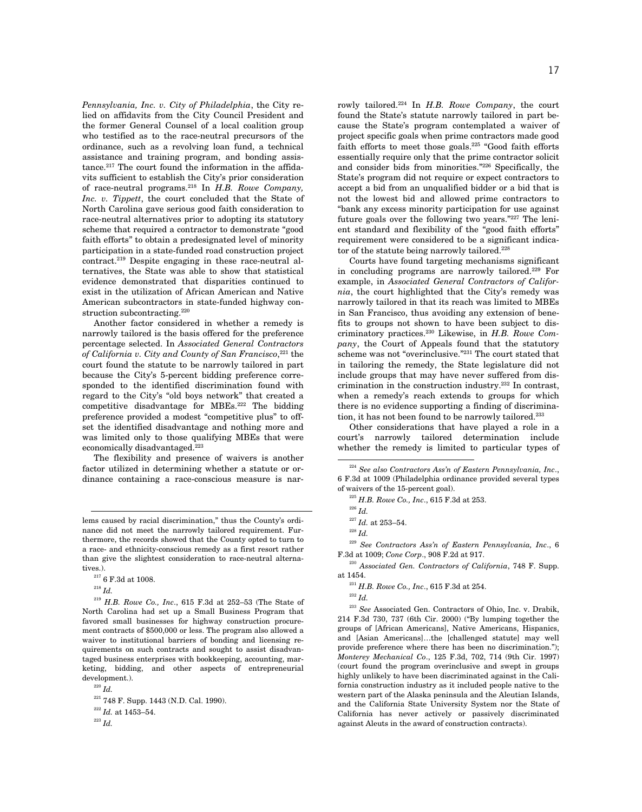*Pennsylvania, Inc. v. City of Philadelphia*, the City relied on affidavits from the City Council President and the former General Counsel of a local coalition group who testified as to the race-neutral precursors of the ordinance, such as a revolving loan fund, a technical assistance and training program, and bonding assis $t$ ance.<sup>217</sup> The court found the information in the affidavits sufficient to establish the City's prior consideration of race-neutral programs.218 In *H.B. Rowe Company, Inc. v. Tippett*, the court concluded that the State of North Carolina gave serious good faith consideration to race-neutral alternatives prior to adopting its statutory scheme that required a contractor to demonstrate "good faith efforts" to obtain a predesignated level of minority participation in a state-funded road construction project contract.219 Despite engaging in these race-neutral alternatives, the State was able to show that statistical evidence demonstrated that disparities continued to exist in the utilization of African American and Native American subcontractors in state-funded highway construction subcontracting.<sup>220</sup>

Another factor considered in whether a remedy is narrowly tailored is the basis offered for the preference percentage selected. In *Associated General Contractors of California v. City and County of San Francisco*, <sup>221</sup> the court found the statute to be narrowly tailored in part because the City's 5-percent bidding preference corresponded to the identified discrimination found with regard to the City's "old boys network" that created a competitive disadvantage for MBEs. $222$  The bidding preference provided a modest "competitive plus" to offset the identified disadvantage and nothing more and was limited only to those qualifying MBEs that were economically disadvantaged.223

The flexibility and presence of waivers is another factor utilized in determining whether a statute or ordinance containing a race-conscious measure is nar-

-

<sup>219</sup> *H.B. Rowe Co., Inc*., 615 F.3d at 252–53 (The State of North Carolina had set up a Small Business Program that favored small businesses for highway construction procurement contracts of \$500,000 or less. The program also allowed a waiver to institutional barriers of bonding and licensing requirements on such contracts and sought to assist disadvantaged business enterprises with bookkeeping, accounting, marketing, bidding, and other aspects of entrepreneurial development.).<br> $^{220}$ *Id.* 

<sup>221</sup> 748 F. Supp. 1443 (N.D. Cal. 1990).<br><sup>222</sup> *Id.* at 1453–54.<br><sup>223</sup> *Id.* 

rowly tailored.224 In *H.B. Rowe Company*, the court found the State's statute narrowly tailored in part because the State's program contemplated a waiver of project specific goals when prime contractors made good faith efforts to meet those goals.225 "Good faith efforts essentially require only that the prime contractor solicit and consider bids from minorities."226 Specifically, the State's program did not require or expect contractors to accept a bid from an unqualified bidder or a bid that is not the lowest bid and allowed prime contractors to "bank any excess minority participation for use against future goals over the following two years."227 The lenient standard and flexibility of the "good faith efforts" requirement were considered to be a significant indicator of the statute being narrowly tailored.<sup>228</sup>

Courts have found targeting mechanisms significant in concluding programs are narrowly tailored.229 For example, in *Associated General Contractors of California*, the court highlighted that the City's remedy was narrowly tailored in that its reach was limited to MBEs in San Francisco, thus avoiding any extension of benefits to groups not shown to have been subject to discriminatory practices.230 Likewise, in *H.B. Rowe Company*, the Court of Appeals found that the statutory scheme was not "overinclusive."231 The court stated that in tailoring the remedy, the State legislature did not include groups that may have never suffered from discrimination in the construction industry. $232$  In contrast, when a remedy's reach extends to groups for which there is no evidence supporting a finding of discrimination, it has not been found to be narrowly tailored.<sup>233</sup>

Other considerations that have played a role in a court's narrowly tailored determination include whether the remedy is limited to particular types of

<sup>229</sup> *See Contractors Ass'n of Eastern Pennsylvania, Inc.*, 6 **F**.3d at 1009; *Cone Corp.*, 908 **F**.2d at 917.

<sup>230</sup> Associated Gen. Contractors of California, 748 F. Supp. at 1454.  $\frac{^{231}}{^{232}}$  *H.B. Rowe Co., Inc.*, 615 F.3d at 254.  $\frac{^{232}}{^{232}}$  *Id*.

<sup>233</sup> *See* Associated Gen. Contractors of Ohio, Inc. v. Drabik, 214 F.3d 730, 737 (6th Cir. 2000) ("By lumping together the groups of [African Americans], Native Americans, Hispanics, and [Asian Americans]…the [challenged statute] may well provide preference where there has been no discrimination."); *Monterey Mechanical Co*., 125 F.3d, 702, 714 (9th Cir. 1997) (court found the program overinclusive and swept in groups highly unlikely to have been discriminated against in the California construction industry as it included people native to the western part of the Alaska peninsula and the Aleutian Islands, and the California State University System nor the State of California has never actively or passively discriminated against Aleuts in the award of construction contracts).

lems caused by racial discrimination," thus the County's ordinance did not meet the narrowly tailored requirement. Furthermore, the records showed that the County opted to turn to a race- and ethnicity-conscious remedy as a first resort rather than give the slightest consideration to race-neutral alternatives.).  $\frac{^{217}}{^{218}}$  6 F.3d at 1008.  $\frac{^{218}}{Id}$ .

 <sup>224</sup> *See also Contractors Ass'n of Eastern Pennsylvania, Inc*., 6 F.3d at 1009 (Philadelphia ordinance provided several types % of waivers of the 15-percent goal).  $$^{225}\,H.B.$   $Rowe$   $Co.$   $Inc.,$   $615$  F.3d at 253.  $^{226}$   $Id$ 

<sup>227</sup> *Id.* at 253–54. 228 *Id.*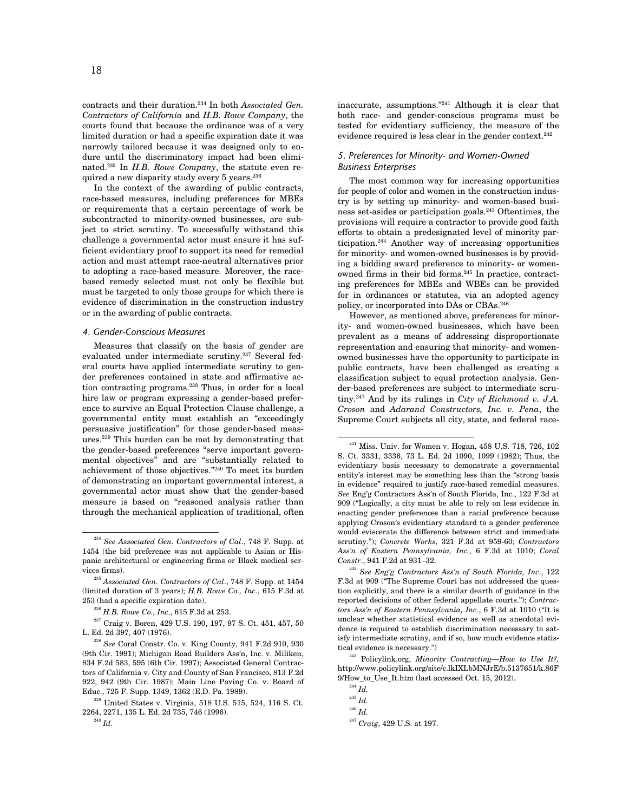contracts and their duration.234 In both *Associated Gen. Contractors of California* and *H.B. Rowe Company*, the courts found that because the ordinance was of a very limited duration or had a specific expiration date it was narrowly tailored because it was designed only to endure until the discriminatory impact had been eliminated.235 In *H.B. Rowe Company*, the statute even required a new disparity study every 5 years.236

In the context of the awarding of public contracts, race-based measures, including preferences for MBEs or requirements that a certain percentage of work be subcontracted to minority-owned businesses, are subject to strict scrutiny. To successfully withstand this challenge a governmental actor must ensure it has sufficient evidentiary proof to support its need for remedial action and must attempt race-neutral alternatives prior to adopting a race-based measure. Moreover, the racebased remedy selected must not only be flexible but must be targeted to only those groups for which there is evidence of discrimination in the construction industry or in the awarding of public contracts.

#### *4. Gender-Conscious Measures*

Measures that classify on the basis of gender are evaluated under intermediate scrutiny.237 Several federal courts have applied intermediate scrutiny to gender preferences contained in state and affirmative action contracting programs.238 Thus, in order for a local hire law or program expressing a gender-based preference to survive an Equal Protection Clause challenge, a governmental entity must establish an "exceedingly persuasive justification" for those gender-based measures.239 This burden can be met by demonstrating that the gender-based preferences "serve important governmental objectives" and are "substantially related to achievement of those objectives."240 To meet its burden of demonstrating an important governmental interest, a governmental actor must show that the gender-based measure is based on "reasoned analysis rather than through the mechanical application of traditional, often

253 (had a specific expiration date).<br><sup>236</sup> *H.B. Rowe Co., Inc.*, 615 F.3d at 253.<br><sup>237</sup> Craig v. Boren, 429 U.S. 190, 197, 97 S. Ct. 451, 457, 50<br>L. Ed. 2d 397, 407 (1976).

<sup>238</sup> See Coral Constr. Co. v. King County, 941 F.2d 910, 930 (9th Cir. 1991); Michigan Road Builders Ass'n, Inc. v. Miliken, 834 F.2d 583, 595 (6th Cir. 1997); Associated General Contractors of California v. City and County of San Francisco, 813 F.2d 922, 942 (9th Cir. 1987); Main Line Paving Co. v. Board of Educ., 725 F. Supp. 1349, 1362 (E.D. Pa. 1989). 239 United States v. Virginia, 518 U.S. 515, 524, 116 S. Ct.

inaccurate, assumptions."241 Although it is clear that both race- and gender-conscious programs must be tested for evidentiary sufficiency, the measure of the evidence required is less clear in the gender context.<sup>242</sup>

## *5. Preferences for Minority- and Women-Owned Business Enterprises*

The most common way for increasing opportunities for people of color and women in the construction industry is by setting up minority- and women-based business set-asides or participation goals.243 Oftentimes, the provisions will require a contractor to provide good faith efforts to obtain a predesignated level of minority participation.244 Another way of increasing opportunities for minority- and women-owned businesses is by providing a bidding award preference to minority- or womenowned firms in their bid forms.245 In practice, contracting preferences for MBEs and WBEs can be provided for in ordinances or statutes, via an adopted agency policy, or incorporated into DAs or CBAs.246

However, as mentioned above, preferences for minority- and women-owned businesses, which have been prevalent as a means of addressing disproportionate representation and ensuring that minority- and womenowned businesses have the opportunity to participate in public contracts, have been challenged as creating a classification subject to equal protection analysis. Gender-based preferences are subject to intermediate scrutiny.247 And by its rulings in *City of Richmond v. J.A. Croson* and *Adarand Constructors, Inc. v. Pena*, the Supreme Court subjects all city, state, and federal race-

F.3d at 909 ("The Supreme Court has not addressed the question explicitly, and there is a similar dearth of guidance in the reported decisions of other federal appellate courts."); *Contractors Ass'n of Eastern Pennsylvania, Inc.*, 6 F.3d at 1010 ("It is unclear whether statistical evidence as well as anecdotal evidence is required to establish discrimination necessary to satisfy intermediate scrutiny, and if so, how much evidence statis-

tical evidence is necessary.") 243 Policylink.org, *Minority Contracting—How to Use It?,* http://www.policylink.org/site/c.lkIXLbMNJrE/b.5137651/k.86F  $9/\mathrm{How\_to\_Use\_It.htm}$  (last accessed Oct. 15, 2012).  $^{244}$   $Id.$ 

 <sup>234</sup> *See Associated Gen. Contractors of Cal*., 748 F. Supp. at 1454 (the bid preference was not applicable to Asian or Hispanic architectural or engineering firms or Black medical services firms).

<sup>235</sup> *Associated Gen. Contractors of Cal*., 748 F. Supp. at 1454 (limited duration of 3 years); *H.B. Rowe Co., Inc*., 615 F.3d at

<sup>2264, 2271, 135</sup> L. Ed. 2d 735, 746 (1996). 240 *Id.*

<sup>&</sup>lt;sup>241</sup> Miss. Univ. for Women v. Hogan, 458 U.S. 718, 726, 102 S. Ct. 3331, 3336, 73 L. Ed. 2d 1090, 1099 (1982); Thus, the evidentiary basis necessary to demonstrate a governmental entity's interest may be something less than the "strong basis in evidence" required to justify race-based remedial measures. *See* Eng'g Contractors Ass'n of South Florida, Inc., 122 F.3d at 909 ("Logically, a city must be able to rely on less evidence in enacting gender preferences than a racial preference because applying Croson's evidentiary standard to a gender preference would eviscerate the difference between strict and immediate scrutiny."); *Concrete Works*, 321 F.3d at 959-60; *Contractors Ass'n of Eastern Pennsylvania, Inc.*, 6 F.3d at 1010; *Coral Constr*., 941 F.2d at 931–32. 242 *See Eng'g Contractors Ass'n of South Florida, Inc*., 122

<sup>245</sup> *Id.*

<sup>246</sup> *Id.*

<sup>247</sup> *Craig*, 429 U.S. at 197.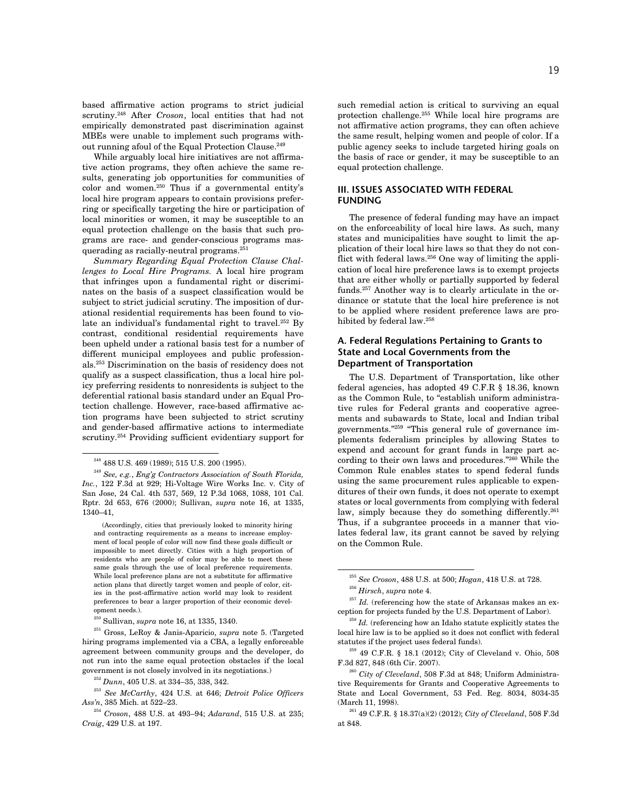based affirmative action programs to strict judicial scrutiny.248 After *Croson*, local entities that had not empirically demonstrated past discrimination against MBEs were unable to implement such programs without running afoul of the Equal Protection Clause.<sup>249</sup>

While arguably local hire initiatives are not affirmative action programs, they often achieve the same results, generating job opportunities for communities of color and women.<sup>250</sup> Thus if a governmental entity's local hire program appears to contain provisions preferring or specifically targeting the hire or participation of local minorities or women, it may be susceptible to an equal protection challenge on the basis that such programs are race- and gender-conscious programs masquerading as racially-neutral programs.<sup>251</sup>

*Summary Regarding Equal Protection Clause Challenges to Local Hire Programs.* A local hire program that infringes upon a fundamental right or discriminates on the basis of a suspect classification would be subject to strict judicial scrutiny. The imposition of durational residential requirements has been found to violate an individual's fundamental right to travel.<sup>252</sup> By contrast, conditional residential requirements have been upheld under a rational basis test for a number of different municipal employees and public professionals.253 Discrimination on the basis of residency does not qualify as a suspect classification, thus a local hire policy preferring residents to nonresidents is subject to the deferential rational basis standard under an Equal Protection challenge. However, race-based affirmative action programs have been subjected to strict scrutiny and gender-based affirmative actions to intermediate scrutiny.254 Providing sufficient evidentiary support for

 248 488 U.S. 469 (1989); 515 U.S. 200 (1995). 249 *See, e.g.*, *Eng'g Contractors Association of South Florida, Inc.*, 122 F.3d at 929; Hi-Voltage Wire Works Inc. v. City of San Jose, 24 Cal. 4th 537, 569, 12 P.3d 1068, 1088, 101 Cal. Rptr. 2d 653, 676 (2000); Sullivan, *supra* note 16, at 1335, 1340–41,

(Accordingly, cities that previously looked to minority hiring and contracting requirements as a means to increase employment of local people of color will now find these goals difficult or impossible to meet directly. Cities with a high proportion of residents who are people of color may be able to meet these same goals through the use of local preference requirements. While local preference plans are not a substitute for affirmative action plans that directly target women and people of color, cities in the post-affirmative action world may look to resident preferences to bear a larger proportion of their economic devel-% opment needs.).<br> $^{250}$  Sullivan, *supra* note 16, at 1335, 1340.

<sup>251</sup> Gross, LeRoy & Janis-Aparicio, *supra* note 5. (Targeted hiring programs implemented via a CBA, a legally enforceable agreement between community groups and the developer, do not run into the same equal protection obstacles if the local government is not closely involved in its negotiations.)<br><sup>252</sup> *Dunn*, 405 U.S. at 334–35, 338, 342.<br><sup>253</sup> *See McCarthy*, 424 U.S. at 646; *Detroit Police Officers* 

such remedial action is critical to surviving an equal protection challenge.255 While local hire programs are not affirmative action programs, they can often achieve the same result, helping women and people of color. If a public agency seeks to include targeted hiring goals on the basis of race or gender, it may be susceptible to an equal protection challenge.

## **III. ISSUES ASSOCIATED WITH FEDERAL FUNDING**

The presence of federal funding may have an impact on the enforceability of local hire laws. As such, many states and municipalities have sought to limit the application of their local hire laws so that they do not conflict with federal laws.<sup>256</sup> One way of limiting the application of local hire preference laws is to exempt projects that are either wholly or partially supported by federal funds.257 Another way is to clearly articulate in the ordinance or statute that the local hire preference is not to be applied where resident preference laws are prohibited by federal law.258

## **A. Federal Regulations Pertaining to Grants to State and Local Governments from the Department of Transportation**

The U.S. Department of Transportation, like other federal agencies, has adopted 49 C.F.R § 18.36, known as the Common Rule, to "establish uniform administrative rules for Federal grants and cooperative agreements and subawards to State, local and Indian tribal governments."259 "This general rule of governance implements federalism principles by allowing States to expend and account for grant funds in large part according to their own laws and procedures."260 While the Common Rule enables states to spend federal funds using the same procurement rules applicable to expenditures of their own funds, it does not operate to exempt states or local governments from complying with federal law, simply because they do something differently.<sup>261</sup> Thus, if a subgrantee proceeds in a manner that violates federal law, its grant cannot be saved by relying on the Common Rule.

*Ass'n*, 385 Mich. at 522–23.

<sup>254</sup> *Croson*, 488 U.S. at 493–94; *Adarand*, 515 U.S. at 235; *Craig*, 429 U.S. at 197.

<sup>&</sup>lt;sup>255</sup> *See Croson*, 488 U.S. at 500; *Hogan*, 418 U.S. at 728.<br><sup>256</sup> *Hirsch*, *supra* note 4.<br><sup>257</sup> *Id.* (referencing how the state of Arkansas makes an ex-<br>ception for projects funded by the U.S. Department of Labor).

 $^{258}$  *Id.* (referencing how an Idaho statute explicitly states the local hire law is to be applied so it does not conflict with federal

statutes if the project uses federal funds).<br><sup>259</sup> 49 C.F.R. § 18.1 (2012); City of Cleveland v. Ohio, 508<br>F.3d 827, 848 (6th Cir. 2007).

<sup>&</sup>lt;sup>260</sup> *City of Cleveland*, 508 F.3d at 848; Uniform Administrative Requirements for Grants and Cooperative Agreements to State and Local Government, 53 Fed. Reg. 8034, 8034-35 (March 11, 1998). 261 49 C.F.R. § 18.37(a)(2) (2012); *City of Cleveland*, 508 F.3d

at 848.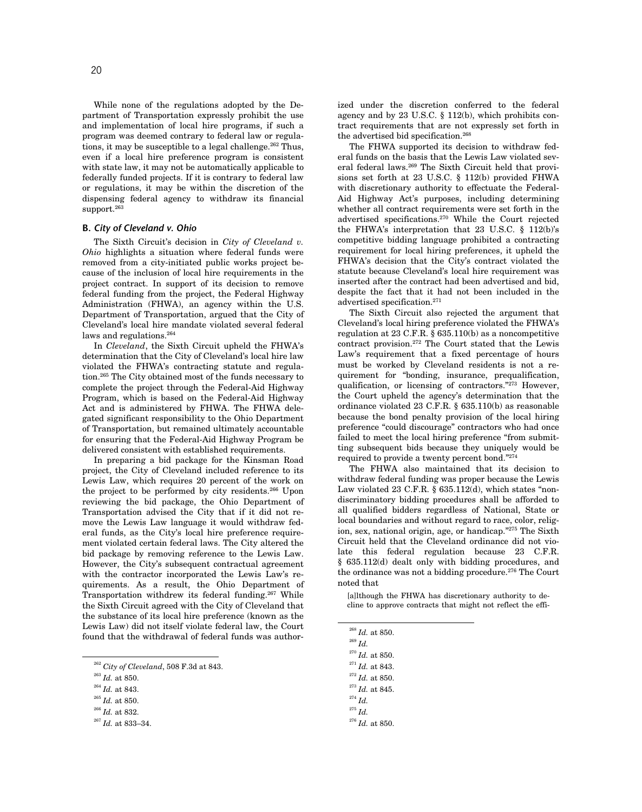While none of the regulations adopted by the Department of Transportation expressly prohibit the use and implementation of local hire programs, if such a program was deemed contrary to federal law or regulations, it may be susceptible to a legal challenge.<sup>262</sup> Thus, even if a local hire preference program is consistent with state law, it may not be automatically applicable to federally funded projects. If it is contrary to federal law or regulations, it may be within the discretion of the dispensing federal agency to withdraw its financial support.<sup>263</sup>

## **B.** *City of Cleveland v. Ohio*

The Sixth Circuit's decision in *City of Cleveland v. Ohio* highlights a situation where federal funds were removed from a city-initiated public works project because of the inclusion of local hire requirements in the project contract. In support of its decision to remove federal funding from the project, the Federal Highway Administration (FHWA), an agency within the U.S. Department of Transportation, argued that the City of Cleveland's local hire mandate violated several federal laws and regulations.  $^{264}$ 

In *Cleveland*, the Sixth Circuit upheld the FHWA's determination that the City of Cleveland's local hire law violated the FHWA's contracting statute and regulation.265 The City obtained most of the funds necessary to complete the project through the Federal-Aid Highway Program, which is based on the Federal-Aid Highway Act and is administered by FHWA. The FHWA delegated significant responsibility to the Ohio Department of Transportation, but remained ultimately accountable for ensuring that the Federal-Aid Highway Program be delivered consistent with established requirements.

In preparing a bid package for the Kinsman Road project, the City of Cleveland included reference to its Lewis Law, which requires 20 percent of the work on the project to be performed by city residents.266 Upon reviewing the bid package, the Ohio Department of Transportation advised the City that if it did not remove the Lewis Law language it would withdraw federal funds, as the City's local hire preference requirement violated certain federal laws. The City altered the bid package by removing reference to the Lewis Law. However, the City's subsequent contractual agreement with the contractor incorporated the Lewis Law's requirements. As a result, the Ohio Department of Transportation withdrew its federal funding.267 While the Sixth Circuit agreed with the City of Cleveland that the substance of its local hire preference (known as the Lewis Law) did not itself violate federal law, the Court found that the withdrawal of federal funds was author-

ized under the discretion conferred to the federal agency and by 23 U.S.C. § 112(b), which prohibits contract requirements that are not expressly set forth in the advertised bid specification.268

The FHWA supported its decision to withdraw federal funds on the basis that the Lewis Law violated several federal laws.269 The Sixth Circuit held that provisions set forth at 23 U.S.C. § 112(b) provided FHWA with discretionary authority to effectuate the Federal-Aid Highway Act's purposes, including determining whether all contract requirements were set forth in the advertised specifications.270 While the Court rejected the FHWA's interpretation that 23 U.S.C. § 112(b)'s competitive bidding language prohibited a contracting requirement for local hiring preferences, it upheld the FHWA's decision that the City's contract violated the statute because Cleveland's local hire requirement was inserted after the contract had been advertised and bid, despite the fact that it had not been included in the advertised specification.271

The Sixth Circuit also rejected the argument that Cleveland's local hiring preference violated the FHWA's regulation at 23 C.F.R. § 635.110(b) as a noncompetitive contract provision.272 The Court stated that the Lewis Law's requirement that a fixed percentage of hours must be worked by Cleveland residents is not a requirement for "bonding, insurance, prequalification, qualification, or licensing of contractors."273 However, the Court upheld the agency's determination that the ordinance violated 23 C.F.R. § 635.110(b) as reasonable because the bond penalty provision of the local hiring preference "could discourage" contractors who had once failed to meet the local hiring preference "from submitting subsequent bids because they uniquely would be required to provide a twenty percent bond."274

The FHWA also maintained that its decision to withdraw federal funding was proper because the Lewis Law violated 23 C.F.R. § 635.112(d), which states "nondiscriminatory bidding procedures shall be afforded to all qualified bidders regardless of National, State or local boundaries and without regard to race, color, religion, sex, national origin, age, or handicap."275 The Sixth Circuit held that the Cleveland ordinance did not violate this federal regulation because 23 C.F.R. § 635.112(d) dealt only with bidding procedures, and the ordinance was not a bidding procedure.<sup>276</sup> The Court noted that

[a]lthough the FHWA has discretionary authority to decline to approve contracts that might not reflect the effi-

- 
- 
- 270 *Id.* at 850. 271 *Id.* at 843. 272 *Id.* at 850. 273 *Id.* at 845. 274 *Id.*
- 

<sup>&</sup>lt;sup>262</sup> *City of Cleveland*, 508 F.3d at 843.<br><sup>263</sup> *Id.* at 850.<br><sup>264</sup> *Id.* at 843.<br><sup>265</sup> *Id.* at 850. <sup>266</sup> *Id.* at 832. <sup>267</sup> *Id.* at 833–34.

 $\frac{^{268}}{^{269}}$  *Id.* at 850.<br><sup>270</sup> *Id.* at 850.

<sup>275</sup> *Id.*

<sup>276</sup> *Id.* at 850.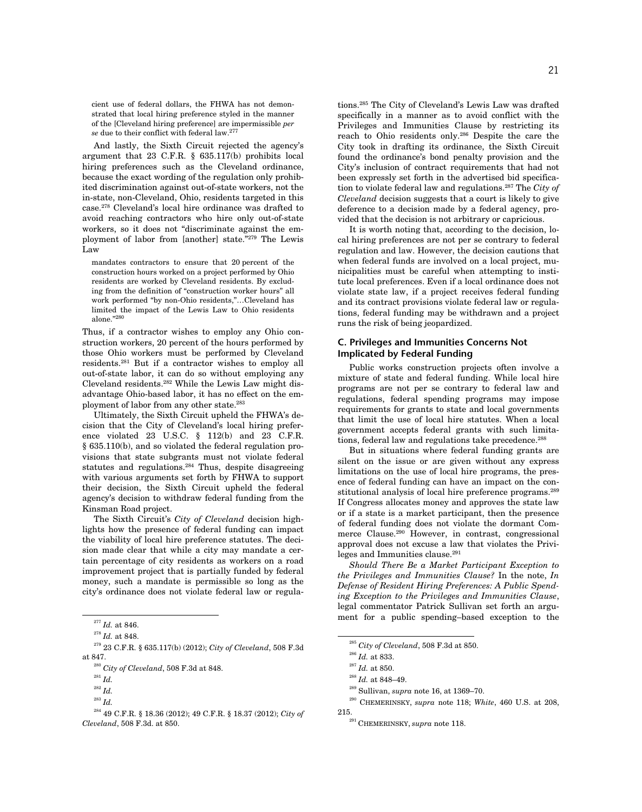cient use of federal dollars, the FHWA has not demonstrated that local hiring preference styled in the manner of the [Cleveland hiring preference] are impermissible *per se* due to their conflict with federal law.<sup>277</sup>

And lastly, the Sixth Circuit rejected the agency's argument that 23 C.F.R. § 635.117(b) prohibits local hiring preferences such as the Cleveland ordinance, because the exact wording of the regulation only prohibited discrimination against out-of-state workers, not the in-state, non-Cleveland, Ohio, residents targeted in this case.278 Cleveland's local hire ordinance was drafted to avoid reaching contractors who hire only out-of-state workers, so it does not "discriminate against the employment of labor from [another] state."<sup>279</sup> The Lewis Law

mandates contractors to ensure that 20 percent of the construction hours worked on a project performed by Ohio residents are worked by Cleveland residents. By excluding from the definition of "construction worker hours" all work performed "by non-Ohio residents,"…Cleveland has limited the impact of the Lewis Law to Ohio residents alone."<sup>280</sup>

Thus, if a contractor wishes to employ any Ohio construction workers, 20 percent of the hours performed by those Ohio workers must be performed by Cleveland residents.281 But if a contractor wishes to employ all out-of-state labor, it can do so without employing any Cleveland residents.282 While the Lewis Law might disadvantage Ohio-based labor, it has no effect on the employment of labor from any other state.<sup>283</sup>

Ultimately, the Sixth Circuit upheld the FHWA's decision that the City of Cleveland's local hiring preference violated 23 U.S.C. § 112(b) and 23 C.F.R. § 635.110(b), and so violated the federal regulation provisions that state subgrants must not violate federal statutes and regulations.<sup>284</sup> Thus, despite disagreeing with various arguments set forth by FHWA to support their decision, the Sixth Circuit upheld the federal agency's decision to withdraw federal funding from the Kinsman Road project.

The Sixth Circuit's *City of Cleveland* decision highlights how the presence of federal funding can impact the viability of local hire preference statutes. The decision made clear that while a city may mandate a certain percentage of city residents as workers on a road improvement project that is partially funded by federal money, such a mandate is permissible so long as the city's ordinance does not violate federal law or regulations.285 The City of Cleveland's Lewis Law was drafted specifically in a manner as to avoid conflict with the Privileges and Immunities Clause by restricting its reach to Ohio residents only.286 Despite the care the City took in drafting its ordinance, the Sixth Circuit found the ordinance's bond penalty provision and the City's inclusion of contract requirements that had not been expressly set forth in the advertised bid specification to violate federal law and regulations.287 The *City of Cleveland* decision suggests that a court is likely to give deference to a decision made by a federal agency, provided that the decision is not arbitrary or capricious.

It is worth noting that, according to the decision, local hiring preferences are not per se contrary to federal regulation and law. However, the decision cautions that when federal funds are involved on a local project, municipalities must be careful when attempting to institute local preferences. Even if a local ordinance does not violate state law, if a project receives federal funding and its contract provisions violate federal law or regulations, federal funding may be withdrawn and a project runs the risk of being jeopardized.

## **C. Privileges and Immunities Concerns Not Implicated by Federal Funding**

Public works construction projects often involve a mixture of state and federal funding. While local hire programs are not per se contrary to federal law and regulations, federal spending programs may impose requirements for grants to state and local governments that limit the use of local hire statutes. When a local government accepts federal grants with such limitations, federal law and regulations take precedence.<sup>288</sup>

But in situations where federal funding grants are silent on the issue or are given without any express limitations on the use of local hire programs, the presence of federal funding can have an impact on the constitutional analysis of local hire preference programs.<sup>289</sup> If Congress allocates money and approves the state law or if a state is a market participant, then the presence of federal funding does not violate the dormant Commerce Clause.290 However, in contrast, congressional approval does not excuse a law that violates the Privileges and Immunities clause.<sup>291</sup>

*Should There Be a Market Participant Exception to the Privileges and Immunities Clause?* In the note, *In Defense of Resident Hiring Preferences: A Public Spending Exception to the Privileges and Immunities Clause*, legal commentator Patrick Sullivan set forth an argument for a public spending–based exception to the

<sup>277</sup> *Id.* at 846. 278 *Id.* at 848. 279 23 C.F.R. § 635.117(b) (2012); *City of Cleveland*, 508 F.3d at 847. 280 *City of Cleveland*, 508 F.3d at 848. 281 *Id.*

<sup>282</sup> *Id.*

<sup>283</sup> *Id.*

<sup>284 49</sup> C.F.R. § 18.36 (2012); 49 C.F.R. § 18.37 (2012); *City of Cleveland*, 508 F.3d. at 850.

<sup>&</sup>lt;sup>285</sup> *City of Cleveland*, 508 F.3d at 850.<br><sup>286</sup> *Id.* at 833.<br><sup>287</sup> *Id.* at 850.<br><sup>288</sup> *Id.* at 848–49.<br><sup>288</sup> Sullivan, *supra* note 16, at 1369–70.<br><sup>290</sup> CHEMERINSKY, *supra* note 118; *White*, 460 U.S. at 208,  $^{291}{\rm CHEMERINSKY,}$   $supra$  note 118.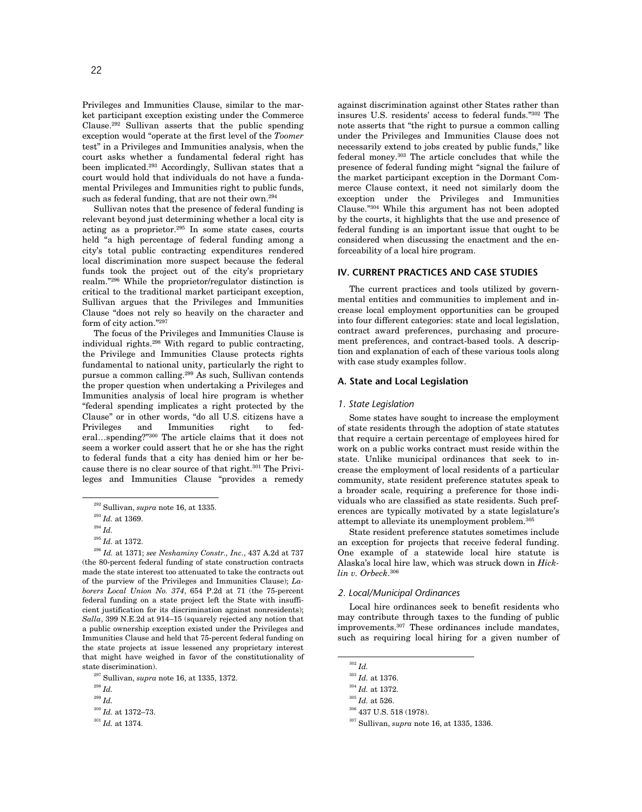Privileges and Immunities Clause, similar to the market participant exception existing under the Commerce Clause.292 Sullivan asserts that the public spending exception would "operate at the first level of the *Toomer* test" in a Privileges and Immunities analysis, when the court asks whether a fundamental federal right has been implicated.293 Accordingly, Sullivan states that a court would hold that individuals do not have a fundamental Privileges and Immunities right to public funds, such as federal funding, that are not their own.<sup>294</sup>

Sullivan notes that the presence of federal funding is relevant beyond just determining whether a local city is acting as a proprietor.<sup>295</sup> In some state cases, courts held "a high percentage of federal funding among a city's total public contracting expenditures rendered local discrimination more suspect because the federal funds took the project out of the city's proprietary realm."296 While the proprietor/regulator distinction is critical to the traditional market participant exception, Sullivan argues that the Privileges and Immunities Clause "does not rely so heavily on the character and form of city action."297

The focus of the Privileges and Immunities Clause is individual rights.298 With regard to public contracting, the Privilege and Immunities Clause protects rights fundamental to national unity, particularly the right to pursue a common calling.299 As such, Sullivan contends the proper question when undertaking a Privileges and Immunities analysis of local hire program is whether "federal spending implicates a right protected by the Clause" or in other words, "do all U.S. citizens have a Privileges and Immunities right to federal…spending?"300 The article claims that it does not seem a worker could assert that he or she has the right to federal funds that a city has denied him or her because there is no clear source of that right.301 The Privileges and Immunities Clause "provides a remedy

<sup>295</sup> *Id.* at 1372. 296 *Id.* at 1371; *see Neshaminy Constr., Inc*., 437 A.2d at 737 (the 80-percent federal funding of state construction contracts made the state interest too attenuated to take the contracts out of the purview of the Privileges and Immunities Clause); *Laborers Local Union No. 374*, 654 P.2d at 71 (the 75-percent federal funding on a state project left the State with insufficient justification for its discrimination against nonresidents); *Salla*, 399 N.E.2d at 914–15 (squarely rejected any notion that a public ownership exception existed under the Privileges and Immunities Clause and held that 75-percent federal funding on the state projects at issue lessened any proprietary interest that might have weighed in favor of the constitutionality of state discrimination). 297 Sullivan, *supra* note 16, at 1335, 1372. 298 *Id.*

against discrimination against other States rather than insures U.S. residents' access to federal funds."302 The note asserts that "the right to pursue a common calling under the Privileges and Immunities Clause does not necessarily extend to jobs created by public funds," like federal money.303 The article concludes that while the presence of federal funding might "signal the failure of the market participant exception in the Dormant Commerce Clause context, it need not similarly doom the exception under the Privileges and Immunities Clause."304 While this argument has not been adopted by the courts, it highlights that the use and presence of federal funding is an important issue that ought to be considered when discussing the enactment and the enforceability of a local hire program.

## **IV. CURRENT PRACTICES AND CASE STUDIES**

The current practices and tools utilized by governmental entities and communities to implement and increase local employment opportunities can be grouped into four different categories: state and local legislation, contract award preferences, purchasing and procurement preferences, and contract-based tools. A description and explanation of each of these various tools along with case study examples follow.

### **A. State and Local Legislation**

#### *1. State Legislation*

Some states have sought to increase the employment of state residents through the adoption of state statutes that require a certain percentage of employees hired for work on a public works contract must reside within the state. Unlike municipal ordinances that seek to increase the employment of local residents of a particular community, state resident preference statutes speak to a broader scale, requiring a preference for those individuals who are classified as state residents. Such preferences are typically motivated by a state legislature's attempt to alleviate its unemployment problem.305

State resident preference statutes sometimes include an exception for projects that receive federal funding. One example of a statewide local hire statute is Alaska's local hire law, which was struck down in *Hicklin v. Orbeck*. 306

#### *2. Local/Municipal Ordinances*

Local hire ordinances seek to benefit residents who may contribute through taxes to the funding of public improvements.307 These ordinances include mandates, such as requiring local hiring for a given number of

 <sup>292</sup> Sullivan, *supra* note 16, at 1335. 293 *Id.* at 1369. 294 *Id.*

<sup>299</sup> *Id.*<sup>300</sup> *Id.* at 1372–73. 301 *Id.* at 1374.

 <sup>302</sup> *Id.*

<sup>&</sup>lt;sup>303</sup> *Id.* at 1376.<br><sup>304</sup> *Id.* at 1372.<br><sup>305</sup> *Id.* at 526.<br><sup>306</sup> 437 U.S. 518 (1978).<br><sup>307</sup> Sullivan, *supra* note 16, at 1335, 1336.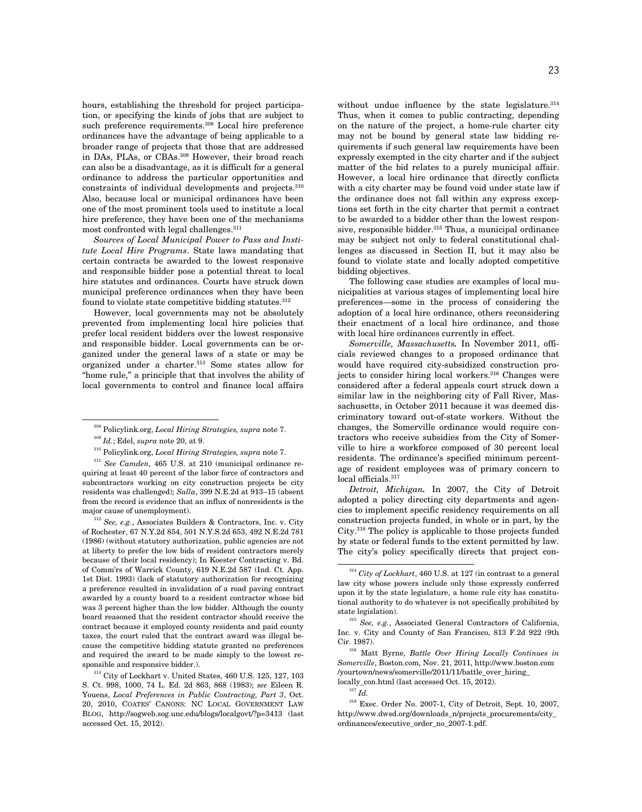hours, establishing the threshold for project participation, or specifying the kinds of jobs that are subject to such preference requirements.<sup>308</sup> Local hire preference ordinances have the advantage of being applicable to a broader range of projects that those that are addressed in DAs, PLAs, or CBAs.<sup>309</sup> However, their broad reach can also be a disadvantage, as it is difficult for a general ordinance to address the particular opportunities and constraints of individual developments and projects.310 Also, because local or municipal ordinances have been one of the most prominent tools used to institute a local hire preference, they have been one of the mechanisms most confronted with legal challenges.311

*Sources of Local Municipal Power to Pass and Institute Local Hire Programs*. State laws mandating that certain contracts be awarded to the lowest responsive and responsible bidder pose a potential threat to local hire statutes and ordinances. Courts have struck down municipal preference ordinances when they have been found to violate state competitive bidding statutes.<sup>312</sup>

However, local governments may not be absolutely prevented from implementing local hire policies that prefer local resident bidders over the lowest responsive and responsible bidder. Local governments can be organized under the general laws of a state or may be organized under a charter.313 Some states allow for "home rule," a principle that that involves the ability of local governments to control and finance local affairs

quiring at least 40 percent of the labor force of contractors and subcontractors working on city construction projects be city residents was challenged); *Salla*, 399 N.E.2d at 913–15 (absent from the record is evidence that an influx of nonresidents is the

major cause of unemployment).  $\frac{312}{3}$  *See, e.g.*, Associates Builders & Contractors, Inc. v. City of Rochester, 67 N.Y.2d 854, 501 N.Y.S.2d 653, 492 N.E.2d 781 (1986) (without statutory authorization, public agencies are not at liberty to prefer the low bids of resident contractors merely because of their local residency); In Koester Contracting v. Bd. of Comm'rs of Warrick County, 619 N.E.2d 587 (Ind. Ct. App. 1st Dist. 1993) (lack of statutory authorization for recognizing a preference resulted in invalidation of a road paving contract awarded by a county board to a resident contractor whose bid was 3 percent higher than the low bidder. Although the county board reasoned that the resident contractor should receive the contract because it employed county residents and paid county taxes, the court ruled that the contract award was illegal because the competitive bidding statute granted no preferences and required the award to be made simply to the lowest re-

sponsible and responsive bidder.).  $\frac{313}{313}$  City of Lockhart v. United States, 460 U.S. 125, 127, 103 S. Ct. 998, 1000, 74 L. Ed. 2d 863, 868 (1983); *see* Eileen R. Youens, *Local Preferences in Public Contracting, Part 3*, Oct. 20, 2010, COATES' CANONS: NC LOCAL GOVERNMENT LAW BLOG, http://sogweb.sog.unc.edu/blogs/localgovt/?p=3413 (last accessed Oct. 15, 2012).

without undue influence by the state legislature.<sup>314</sup> Thus, when it comes to public contracting, depending on the nature of the project, a home-rule charter city may not be bound by general state law bidding requirements if such general law requirements have been expressly exempted in the city charter and if the subject matter of the bid relates to a purely municipal affair. However, a local hire ordinance that directly conflicts with a city charter may be found void under state law if the ordinance does not fall within any express exceptions set forth in the city charter that permit a contract to be awarded to a bidder other than the lowest responsive, responsible bidder.<sup>315</sup> Thus, a municipal ordinance may be subject not only to federal constitutional challenges as discussed in Section II, but it may also be found to violate state and locally adopted competitive bidding objectives.

The following case studies are examples of local municipalities at various stages of implementing local hire preferences—some in the process of considering the adoption of a local hire ordinance, others reconsidering their enactment of a local hire ordinance, and those with local hire ordinances currently in effect.

*Somerville, Massachusetts.* In November 2011, officials reviewed changes to a proposed ordinance that would have required city-subsidized construction projects to consider hiring local workers.<sup>316</sup> Changes were considered after a federal appeals court struck down a similar law in the neighboring city of Fall River, Massachusetts, in October 2011 because it was deemed discriminatory toward out-of-state workers. Without the changes, the Somerville ordinance would require contractors who receive subsidies from the City of Somerville to hire a workforce composed of 30 percent local residents. The ordinance's specified minimum percentage of resident employees was of primary concern to local officials.<sup>317</sup>

*Detroit, Michigan.* In 2007, the City of Detroit adopted a policy directing city departments and agencies to implement specific residency requirements on all construction projects funded, in whole or in part, by the City.318 The policy is applicable to those projects funded by state or federal funds to the extent permitted by law. The city's policy specifically directs that project con-

<sup>&</sup>lt;sup>308</sup> Policylink.org, *Local Hiring Strategies, supra* note 7.<br><sup>309</sup> Id.; Edel, *supra* note 20, at 9.<br><sup>310</sup> Policylink.org, *Local Hiring Strategies, supra* note 7.<br><sup>311</sup> *See Camden*, 465 U.S. at 210 (municipal ordinanc

 $314$  *City of Lockhart*, 460 U.S. at 127 (in contrast to a general law city whose powers include only those expressly conferred upon it by the state legislature, a home rule city has constitutional authority to do whatever is not specifically prohibited by

<sup>&</sup>lt;sup>315</sup> See, e.g., Associated General Contractors of California, Inc. v. City and County of San Francisco, 813 F.2d 922 (9th Cir. 1987). 316 Matt Byrne, *Battle Over Hiring Locally Continues in* 

*Somerville*, Boston.com, Nov. 21, 2011, http://www.boston.com /yourtown/news/somerville/2011/11/battle\_over\_hiring\_

locally\_con.html (last accessed Oct. 15, 2012). 317 *Id.* 318 Exec. Order No. 2007-1, City of Detroit, Sept. 10, 2007, http://www.dwsd.org/downloads\_n/projects\_procurements/city\_ ordinances/executive\_order\_no\_2007-1.pdf.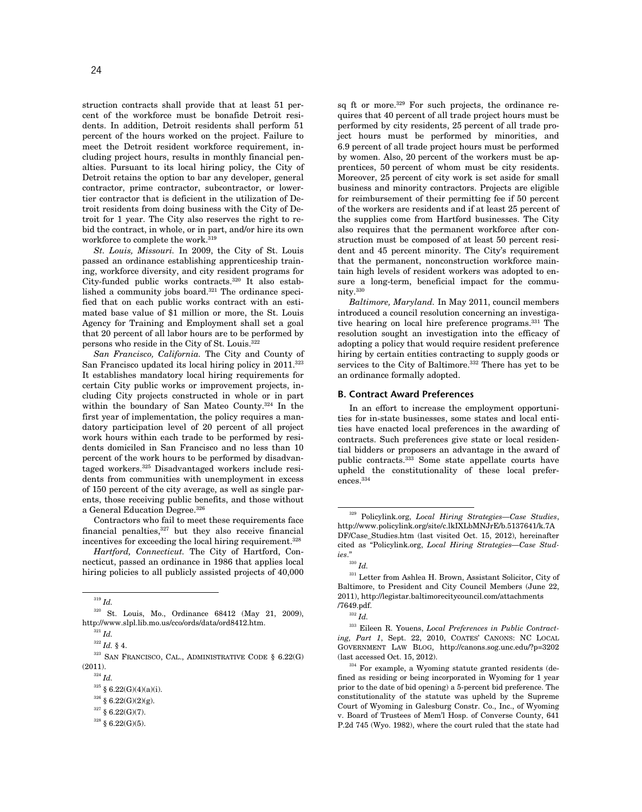struction contracts shall provide that at least 51 percent of the workforce must be bonafide Detroit residents. In addition, Detroit residents shall perform 51 percent of the hours worked on the project. Failure to meet the Detroit resident workforce requirement, including project hours, results in monthly financial penalties. Pursuant to its local hiring policy, the City of Detroit retains the option to bar any developer, general contractor, prime contractor, subcontractor, or lowertier contractor that is deficient in the utilization of Detroit residents from doing business with the City of Detroit for 1 year. The City also reserves the right to rebid the contract, in whole, or in part, and/or hire its own workforce to complete the work.<sup>319</sup>

*St. Louis, Missouri.* In 2009, the City of St. Louis passed an ordinance establishing apprenticeship training, workforce diversity, and city resident programs for City-funded public works contracts.320 It also established a community jobs board.<sup>321</sup> The ordinance specified that on each public works contract with an estimated base value of \$1 million or more, the St. Louis Agency for Training and Employment shall set a goal that 20 percent of all labor hours are to be performed by persons who reside in the City of St. Louis.322

*San Francisco, California.* The City and County of San Francisco updated its local hiring policy in 2011.<sup>323</sup> It establishes mandatory local hiring requirements for certain City public works or improvement projects, including City projects constructed in whole or in part within the boundary of San Mateo County.324 In the first year of implementation, the policy requires a mandatory participation level of 20 percent of all project work hours within each trade to be performed by residents domiciled in San Francisco and no less than 10 percent of the work hours to be performed by disadvantaged workers.325 Disadvantaged workers include residents from communities with unemployment in excess of 150 percent of the city average, as well as single parents, those receiving public benefits, and those without a General Education Degree.326

Contractors who fail to meet these requirements face financial penalties, $327$  but they also receive financial incentives for exceeding the local hiring requirement.<sup>328</sup>

*Hartford, Connecticut.* The City of Hartford, Connecticut, passed an ordinance in 1986 that applies local hiring policies to all publicly assisted projects of 40,000

<sup>323</sup> SAN FRANCISCO, CAL., ADMINISTRATIVE CODE § 6.22(G)  $\overset{(2011)}{\rule{0pt}{0.5pt}}_{\rule{0pt}{0pt}^{324} \, \, \mathrm{Id.}}$ 

325 § 6.22(G)(4)(a)(i).<br><sup>326</sup> § 6.22(G)(2)(g).<br><sup>327</sup> § 6.22(G)(7).<br><sup>328</sup> § 6.22(G)(5).

- 
- 
- 

sq ft or more.<sup>329</sup> For such projects, the ordinance requires that 40 percent of all trade project hours must be performed by city residents, 25 percent of all trade project hours must be performed by minorities, and 6.9 percent of all trade project hours must be performed by women. Also, 20 percent of the workers must be apprentices, 50 percent of whom must be city residents. Moreover, 25 percent of city work is set aside for small business and minority contractors. Projects are eligible for reimbursement of their permitting fee if 50 percent of the workers are residents and if at least 25 percent of the supplies come from Hartford businesses. The City also requires that the permanent workforce after construction must be composed of at least 50 percent resident and 45 percent minority. The City's requirement that the permanent, nonconstruction workforce maintain high levels of resident workers was adopted to ensure a long-term, beneficial impact for the community.330

*Baltimore, Maryland.* In May 2011, council members introduced a council resolution concerning an investigative hearing on local hire preference programs.331 The resolution sought an investigation into the efficacy of adopting a policy that would require resident preference hiring by certain entities contracting to supply goods or services to the City of Baltimore.<sup>332</sup> There has yet to be an ordinance formally adopted.

#### **B. Contract Award Preferences**

In an effort to increase the employment opportunities for in-state businesses, some states and local entities have enacted local preferences in the awarding of contracts. Such preferences give state or local residential bidders or proposers an advantage in the award of public contracts.333 Some state appellate courts have upheld the constitutionality of these local preferences.334

*ing, Part 1*, Sept. 22, 2010, COATES' CANONS: NC LOCAL GOVERNMENT LAW BLOG, http://canons.sog.unc.edu/?p=3202 (last accessed Oct. 15, 2012).  $334$  For example, a Wyoming statute granted residents (de-

fined as residing or being incorporated in Wyoming for 1 year prior to the date of bid opening) a 5-percent bid preference. The constitutionality of the statute was upheld by the Supreme Court of Wyoming in Galesburg Constr. Co., Inc., of Wyoming v. Board of Trustees of Mem'l Hosp. of Converse County, 641 P.2d 745 (Wyo. 1982), where the court ruled that the state had

<sup>&</sup>lt;sup>319</sup> *Id.* 320 St. Louis, Mo., Ordinance 68412 (May 21, 2009), http://www.slpl.lib.mo.us/cco/ords/data/ord8412.htm. 321 *Id.*

 <sup>329</sup> Policylink.org, *Local Hiring Strategies—Case Studies*, http://www.policylink.org/site/c.lkIXLbMNJrE/b.5137641/k.7A DF/Case\_Studies.htm (last visited Oct. 15, 2012), hereinafter cited as "Policylink.org, *Local Hiring Strategies—Case Studies*."

<sup>&</sup>lt;sup>331</sup> Letter from Ashlea H. Brown, Assistant Solicitor, City of Baltimore, to President and City Council Members (June 22, 2011), http://legistar.baltimorecitycouncil.com/attachments /7649.pdf. 332 *Id.* 333 Eileen R. Youens, *Local Preferences in Public Contract-*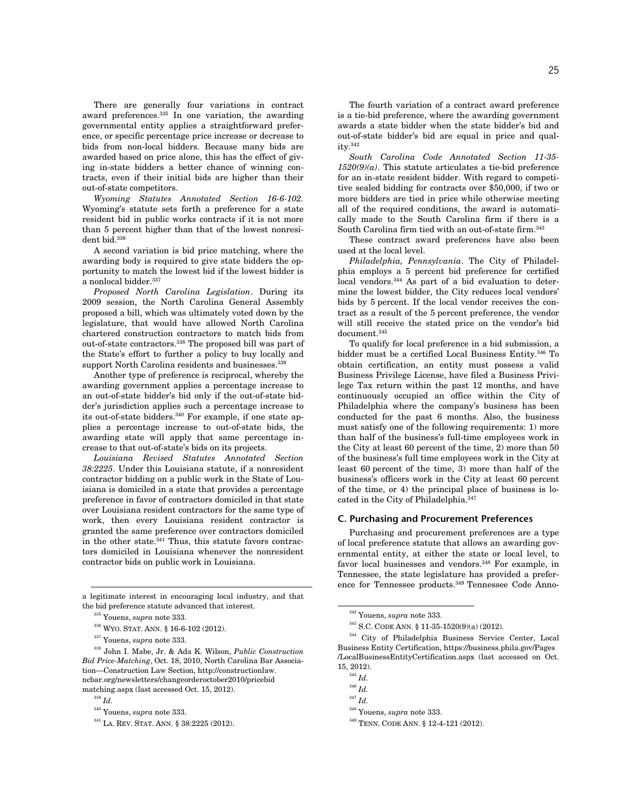There are generally four variations in contract award preferences.335 In one variation, the awarding governmental entity applies a straightforward preference, or specific percentage price increase or decrease to bids from non-local bidders. Because many bids are awarded based on price alone, this has the effect of giving in-state bidders a better chance of winning contracts, even if their initial bids are higher than their out-of-state competitors.

*Wyoming Statutes Annotated Section 16-6-102.* Wyoming's statute sets forth a preference for a state resident bid in public works contracts if it is not more than 5 percent higher than that of the lowest nonresident bid.<sup>336</sup>

A second variation is bid price matching, where the awarding body is required to give state bidders the opportunity to match the lowest bid if the lowest bidder is a nonlocal bidder.<sup>337</sup>

*Proposed North Carolina Legislation*. During its 2009 session, the North Carolina General Assembly proposed a bill, which was ultimately voted down by the legislature, that would have allowed North Carolina chartered construction contractors to match bids from out-of-state contractors.338 The proposed bill was part of the State's effort to further a policy to buy locally and support North Carolina residents and businesses.<sup>339</sup>

Another type of preference is reciprocal, whereby the awarding government applies a percentage increase to an out-of-state bidder's bid only if the out-of-state bidder's jurisdiction applies such a percentage increase to its out-of-state bidders.<sup>340</sup> For example, if one state applies a percentage increase to out-of-state bids, the awarding state will apply that same percentage increase to that out-of-state's bids on its projects.

*Louisiana Revised Statutes Annotated Section 38:2225*. Under this Louisiana statute, if a nonresident contractor bidding on a public work in the State of Louisiana is domiciled in a state that provides a percentage preference in favor of contractors domiciled in that state over Louisiana resident contractors for the same type of work, then every Louisiana resident contractor is granted the same preference over contractors domiciled in the other state.341 Thus, this statute favors contractors domiciled in Louisiana whenever the nonresident contractor bids on public work in Louisiana.

a legitimate interest in encouraging local industry, and that

-

The fourth variation of a contract award preference is a tie-bid preference, where the awarding government awards a state bidder when the state bidder's bid and out-of-state bidder's bid are equal in price and quality.342

*South Carolina Code Annotated Section 11-35-*  $1520(9)(a)$ . This statute articulates a tie-bid preference for an in-state resident bidder. With regard to competitive sealed bidding for contracts over \$50,000, if two or more bidders are tied in price while otherwise meeting all of the required conditions, the award is automatically made to the South Carolina firm if there is a South Carolina firm tied with an out-of-state firm.<sup>343</sup>

These contract award preferences have also been used at the local level.

*Philadelphia, Pennsylvania*. The City of Philadelphia employs a 5 percent bid preference for certified local vendors.344 As part of a bid evaluation to determine the lowest bidder, the City reduces local vendors' bids by 5 percent. If the local vendor receives the contract as a result of the 5 percent preference, the vendor will still receive the stated price on the vendor's bid document.<sup>345</sup>

To qualify for local preference in a bid submission, a bidder must be a certified Local Business Entity.346 To obtain certification, an entity must possess a valid Business Privilege License, have filed a Business Privilege Tax return within the past 12 months, and have continuously occupied an office within the City of Philadelphia where the company's business has been conducted for the past 6 months. Also, the business must satisfy one of the following requirements: 1) more than half of the business's full-time employees work in the City at least 60 percent of the time, 2) more than 50 of the business's full time employees work in the City at least 60 percent of the time, 3) more than half of the business's officers work in the City at least 60 percent of the time, or 4) the principal place of business is located in the City of Philadelphia.347

#### **C. Purchasing and Procurement Preferences**

Purchasing and procurement preferences are a type of local preference statute that allows an awarding governmental entity, at either the state or local level, to favor local businesses and vendors.<sup>348</sup> For example, in Tennessee, the state legislature has provided a preference for Tennessee products.<sup>349</sup> Tennessee Code Anno-

<sup>&</sup>lt;sup>335</sup> Youens, *supra* note 333.<br><sup>336</sup> WYO. STAT. ANN. § 16-6-102 (2012).<br><sup>337</sup> Youens, *supra* note 333.<br><sup>338</sup> John I. Mabe, Jr. & Ada K. Wilson, *Public Construction Bid Price-Matching*, Oct. 18, 2010, North Carolina Bar Association—Construction Law Section, http://constructionlaw. ncbar.org/newsletters/changeorderoctober2010/pricebid matching.aspx (last accessed Oct. 15, 2012). 339 *Id.*

<sup>&</sup>lt;sup>340</sup> Youens, *supra* note 333.<br><sup>341</sup> LA. REV. STAT. ANN. § 38:2225 (2012).

<sup>&</sup>lt;sup>342</sup> Youens, *supra* note 333.<br><sup>343</sup> S.C. CODE ANN. § 11-35-1520(9)(a) (2012).<br><sup>344</sup> City of Philadelphia Business Service Center, Local Business Entity Certification, https://business.phila.gov/Pages /LocalBusinessEntityCertification.aspx (last accessed on Oct. 15, 2012).<br><sup>345</sup> *Id.*<br><sup>346</sup> *Id.*<br><sup>348</sup> Youens, *supra* note 333.<br><sup>349</sup> TENN. CODE ANN. § 12-4-121 (2012).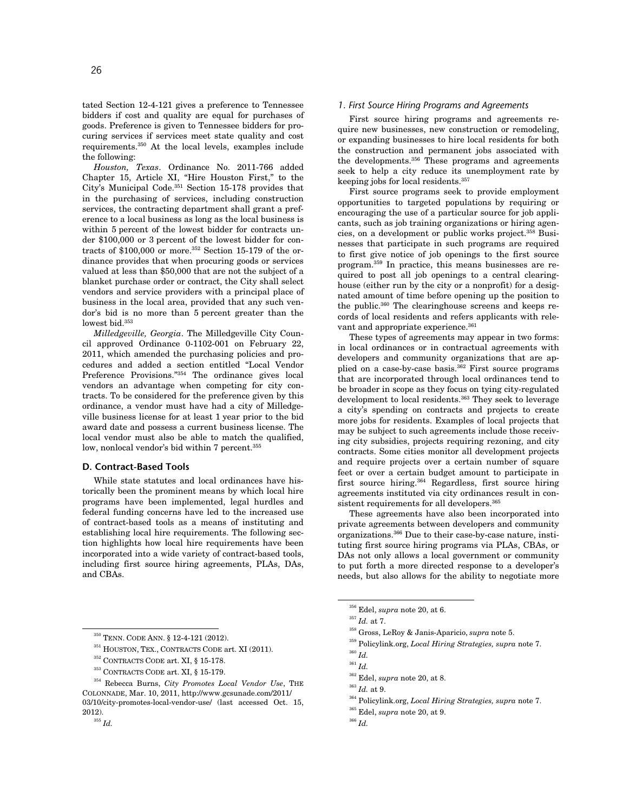tated Section 12-4-121 gives a preference to Tennessee bidders if cost and quality are equal for purchases of goods. Preference is given to Tennessee bidders for procuring services if services meet state quality and cost requirements.350 At the local levels, examples include the following:

*Houston, Texas*. Ordinance No. 2011-766 added Chapter 15, Article XI, "Hire Houston First," to the City's Municipal Code.351 Section 15-178 provides that in the purchasing of services, including construction services, the contracting department shall grant a preference to a local business as long as the local business is within 5 percent of the lowest bidder for contracts under \$100,000 or 3 percent of the lowest bidder for contracts of \$100,000 or more.352 Section 15-179 of the ordinance provides that when procuring goods or services valued at less than \$50,000 that are not the subject of a blanket purchase order or contract, the City shall select vendors and service providers with a principal place of business in the local area, provided that any such vendor's bid is no more than 5 percent greater than the lowest bid.<sup>353</sup>

*Milledgeville, Georgia*. The Milledgeville City Council approved Ordinance 0-1102-001 on February 22, 2011, which amended the purchasing policies and procedures and added a section entitled "Local Vendor Preference Provisions."354 The ordinance gives local vendors an advantage when competing for city contracts. To be considered for the preference given by this ordinance, a vendor must have had a city of Milledgeville business license for at least 1 year prior to the bid award date and possess a current business license. The local vendor must also be able to match the qualified, low, nonlocal vendor's bid within 7 percent.<sup>355</sup>

#### **D. Contract-Based Tools**

While state statutes and local ordinances have historically been the prominent means by which local hire programs have been implemented, legal hurdles and federal funding concerns have led to the increased use of contract-based tools as a means of instituting and establishing local hire requirements. The following section highlights how local hire requirements have been incorporated into a wide variety of contract-based tools, including first source hiring agreements, PLAs, DAs, and CBAs.

- 
- 
- 
- 
- <sup>350</sup> TENN. CODE ANN. § 12-4-121 (2012).<br><sup>351</sup> HOUSTON, TEX., CONTRACTS CODE art. XI (2011).<br><sup>352</sup> CONTRACTS CODE art. XI, § 15-178.<br><sup>353</sup> CONTRACTS CODE art. XI, § 15-179.<br><sup>354</sup> Rebecca Burns, *City Promotes Local Vendor* COLONNADE, Mar. 10, 2011, http://www.gcsunade.com/2011/ 03/10/city-promotes-local-vendor-use/ (last accessed Oct. 15,  $^{2012)}$ .<br><sup>355</sup> *Id.*

#### *1. First Source Hiring Programs and Agreements*

First source hiring programs and agreements require new businesses, new construction or remodeling, or expanding businesses to hire local residents for both the construction and permanent jobs associated with the developments.356 These programs and agreements seek to help a city reduce its unemployment rate by keeping jobs for local residents.<sup>357</sup>

First source programs seek to provide employment opportunities to targeted populations by requiring or encouraging the use of a particular source for job applicants, such as job training organizations or hiring agencies, on a development or public works project.358 Businesses that participate in such programs are required to first give notice of job openings to the first source program.359 In practice, this means businesses are required to post all job openings to a central clearinghouse (either run by the city or a nonprofit) for a designated amount of time before opening up the position to the public.360 The clearinghouse screens and keeps records of local residents and refers applicants with relevant and appropriate experience.<sup>361</sup>

These types of agreements may appear in two forms: in local ordinances or in contractual agreements with developers and community organizations that are applied on a case-by-case basis.<sup>362</sup> First source programs that are incorporated through local ordinances tend to be broader in scope as they focus on tying city-regulated development to local residents.363 They seek to leverage a city's spending on contracts and projects to create more jobs for residents. Examples of local projects that may be subject to such agreements include those receiving city subsidies, projects requiring rezoning, and city contracts. Some cities monitor all development projects and require projects over a certain number of square feet or over a certain budget amount to participate in first source hiring.364 Regardless, first source hiring agreements instituted via city ordinances result in consistent requirements for all developers.<sup>365</sup>

These agreements have also been incorporated into private agreements between developers and community organizations.366 Due to their case-by-case nature, instituting first source hiring programs via PLAs, CBAs, or DAs not only allows a local government or community to put forth a more directed response to a developer's needs, but also allows for the ability to negotiate more

 <sup>356</sup> Edel, *supra* note 20, at 6. 357 *Id.* at 7. 358 Gross, LeRoy & Janis-Aparicio, *supra* note 5. 359 Policylink.org, *Local Hiring Strategies, supra* note 7. 360 *Id.*

<sup>361</sup> *Id.* 362 Edel, *supra* note 20, at 8. 363 *Id.* at 9. 364 Policylink.org, *Local Hiring Strategies, supra* note 7. 365 Edel, *supra* note 20, at 9. 366 *Id.*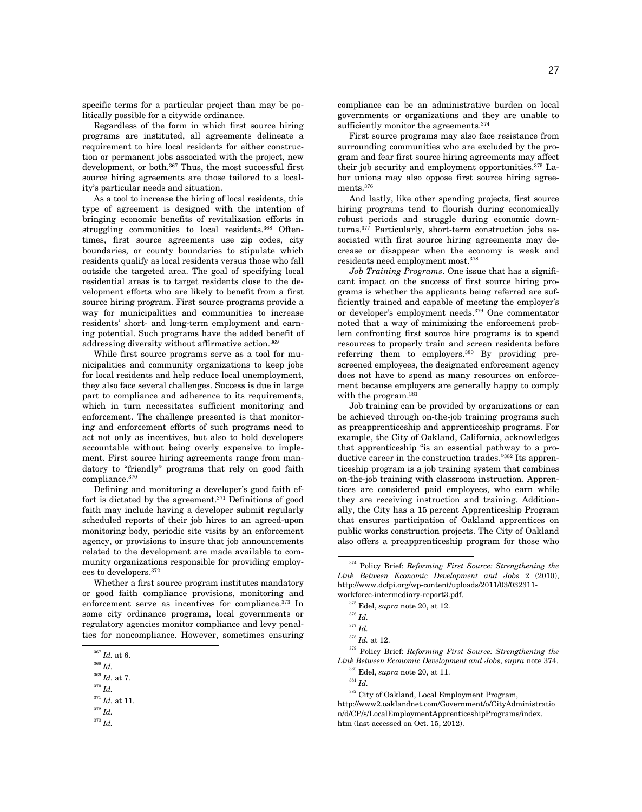specific terms for a particular project than may be politically possible for a citywide ordinance.

Regardless of the form in which first source hiring programs are instituted, all agreements delineate a requirement to hire local residents for either construction or permanent jobs associated with the project, new development, or both.<sup>367</sup> Thus, the most successful first source hiring agreements are those tailored to a locality's particular needs and situation.

As a tool to increase the hiring of local residents, this type of agreement is designed with the intention of bringing economic benefits of revitalization efforts in struggling communities to local residents.<sup>368</sup> Oftentimes, first source agreements use zip codes, city boundaries, or county boundaries to stipulate which residents qualify as local residents versus those who fall outside the targeted area. The goal of specifying local residential areas is to target residents close to the development efforts who are likely to benefit from a first source hiring program. First source programs provide a way for municipalities and communities to increase residents' short- and long-term employment and earning potential. Such programs have the added benefit of addressing diversity without affirmative action.369

While first source programs serve as a tool for municipalities and community organizations to keep jobs for local residents and help reduce local unemployment, they also face several challenges. Success is due in large part to compliance and adherence to its requirements, which in turn necessitates sufficient monitoring and enforcement. The challenge presented is that monitoring and enforcement efforts of such programs need to act not only as incentives, but also to hold developers accountable without being overly expensive to implement. First source hiring agreements range from mandatory to "friendly" programs that rely on good faith compliance.370

Defining and monitoring a developer's good faith effort is dictated by the agreement.371 Definitions of good faith may include having a developer submit regularly scheduled reports of their job hires to an agreed-upon monitoring body, periodic site visits by an enforcement agency, or provisions to insure that job announcements related to the development are made available to community organizations responsible for providing employees to developers.372

Whether a first source program institutes mandatory or good faith compliance provisions, monitoring and enforcement serve as incentives for compliance.<sup>373</sup> In some city ordinance programs, local governments or regulatory agencies monitor compliance and levy penalties for noncompliance. However, sometimes ensuring

 $\frac{371}{372}$  *Id.* at 11.

<sup>373</sup> *Id.*

compliance can be an administrative burden on local governments or organizations and they are unable to sufficiently monitor the agreements.<sup>374</sup>

First source programs may also face resistance from surrounding communities who are excluded by the program and fear first source hiring agreements may affect their job security and employment opportunities.375 Labor unions may also oppose first source hiring agreements<sup>376</sup>

And lastly, like other spending projects, first source hiring programs tend to flourish during economically robust periods and struggle during economic downturns.377 Particularly, short-term construction jobs associated with first source hiring agreements may decrease or disappear when the economy is weak and residents need employment most.378

*Job Training Programs*. One issue that has a significant impact on the success of first source hiring programs is whether the applicants being referred are sufficiently trained and capable of meeting the employer's or developer's employment needs.379 One commentator noted that a way of minimizing the enforcement problem confronting first source hire programs is to spend resources to properly train and screen residents before referring them to employers.380 By providing prescreened employees, the designated enforcement agency does not have to spend as many resources on enforcement because employers are generally happy to comply with the program.<sup>381</sup>

Job training can be provided by organizations or can be achieved through on-the-job training programs such as preapprenticeship and apprenticeship programs. For example, the City of Oakland, California, acknowledges that apprenticeship "is an essential pathway to a productive career in the construction trades."382 Its apprenticeship program is a job training system that combines on-the-job training with classroom instruction. Apprentices are considered paid employees, who earn while they are receiving instruction and training. Additionally, the City has a 15 percent Apprenticeship Program that ensures participation of Oakland apprentices on public works construction projects. The City of Oakland also offers a preapprenticeship program for those who

workforce-intermediary-report3.pdf. 375 Edel, *supra* note 20, at 12. 376 *Id.*

<sup>379</sup> Policy Brief: *Reforming First Source: Strengthening the Link Between Economic Development and Jobs, supra* note 374.<br><sup>380</sup> Edel, *supra* note 20, at 11.<br><sup>381</sup> *Id.* 

<sup>382</sup> City of Oakland, Local Employment Program, http://www2.oaklandnet.com/Government/o/CityAdministratio n/d/CP/s/LocalEmploymentApprenticeshipPrograms/index. htm (last accessed on Oct. 15, 2012).

 $\frac{367}{368}$ *Id.* at 6.  $\frac{368}{1}$ 

 $\frac{369}{370}$  *Id.* at 7.

 <sup>374</sup> Policy Brief: *Reforming First Source: Strengthening the Link Between Economic Development and Jobs* 2 (2010), http://www.dcfpi.org/wp-content/uploads/2011/03/032311-

 $\!\! \begin{array}{c} \!\! 377 \!\! \phantom{0} \bar{1} \!\! \phantom{0} \bar{3} \!\! \phantom{0} \bar{3} \!\! \phantom{0} \bar{3} \!\! \phantom{0} \bar{3} \!\! \phantom{0} \bar{3} \!\! \phantom{0} \phantom{0} \bar{3} \!\! \phantom{0} \phantom{0} \phantom{0} \phantom{0} \phantom{0} \phantom{0} \phantom{0} \phantom{0} \phantom{0} \phantom{0} \phantom{0} \phantom{0} \phantom{0} \phantom{0} \phantom{0} \phantom{0}$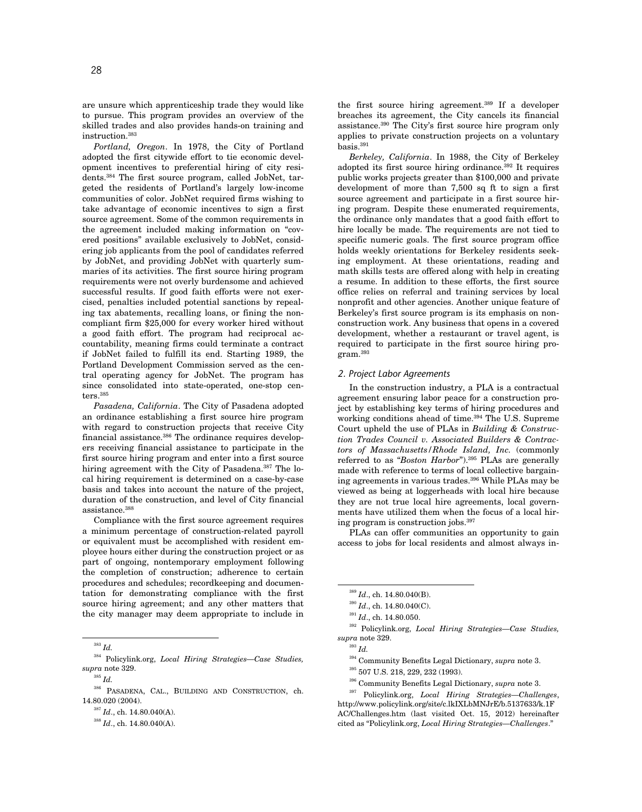are unsure which apprenticeship trade they would like to pursue. This program provides an overview of the skilled trades and also provides hands-on training and instruction.383

*Portland, Oregon*. In 1978, the City of Portland adopted the first citywide effort to tie economic development incentives to preferential hiring of city residents.384 The first source program, called JobNet, targeted the residents of Portland's largely low-income communities of color. JobNet required firms wishing to take advantage of economic incentives to sign a first source agreement. Some of the common requirements in the agreement included making information on "covered positions" available exclusively to JobNet, considering job applicants from the pool of candidates referred by JobNet, and providing JobNet with quarterly summaries of its activities. The first source hiring program requirements were not overly burdensome and achieved successful results. If good faith efforts were not exercised, penalties included potential sanctions by repealing tax abatements, recalling loans, or fining the noncompliant firm \$25,000 for every worker hired without a good faith effort. The program had reciprocal accountability, meaning firms could terminate a contract if JobNet failed to fulfill its end. Starting 1989, the Portland Development Commission served as the central operating agency for JobNet. The program has since consolidated into state-operated, one-stop centers.<sup>385</sup>

*Pasadena, California*. The City of Pasadena adopted an ordinance establishing a first source hire program with regard to construction projects that receive City financial assistance.386 The ordinance requires developers receiving financial assistance to participate in the first source hiring program and enter into a first source hiring agreement with the City of Pasadena.<sup>387</sup> The local hiring requirement is determined on a case-by-case basis and takes into account the nature of the project, duration of the construction, and level of City financial assistance.388

Compliance with the first source agreement requires a minimum percentage of construction-related payroll or equivalent must be accomplished with resident employee hours either during the construction project or as part of ongoing, nontemporary employment following the completion of construction; adherence to certain procedures and schedules; recordkeeping and documentation for demonstrating compliance with the first source hiring agreement; and any other matters that the city manager may deem appropriate to include in

383 *Id.*

the first source hiring agreement.389 If a developer breaches its agreement, the City cancels its financial assistance.390 The City's first source hire program only applies to private construction projects on a voluntary basis.391

*Berkeley, California*. In 1988, the City of Berkeley adopted its first source hiring ordinance.<sup>392</sup> It requires public works projects greater than \$100,000 and private development of more than 7,500 sq ft to sign a first source agreement and participate in a first source hiring program. Despite these enumerated requirements, the ordinance only mandates that a good faith effort to hire locally be made. The requirements are not tied to specific numeric goals. The first source program office holds weekly orientations for Berkeley residents seeking employment. At these orientations, reading and math skills tests are offered along with help in creating a resume. In addition to these efforts, the first source office relies on referral and training services by local nonprofit and other agencies. Another unique feature of Berkeley's first source program is its emphasis on nonconstruction work. Any business that opens in a covered development, whether a restaurant or travel agent, is required to participate in the first source hiring program.393

#### *2. Project Labor Agreements*

In the construction industry, a PLA is a contractual agreement ensuring labor peace for a construction project by establishing key terms of hiring procedures and working conditions ahead of time.<sup>394</sup> The U.S. Supreme Court upheld the use of PLAs in *Building & Construction Trades Council v. Associated Builders & Contractors of Massachusetts/Rhode Island, Inc.* (commonly referred to as "*Boston Harbor*").395 PLAs are generally made with reference to terms of local collective bargaining agreements in various trades.396 While PLAs may be viewed as being at loggerheads with local hire because they are not true local hire agreements, local governments have utilized them when the focus of a local hiring program is construction jobs.397

PLAs can offer communities an opportunity to gain access to jobs for local residents and almost always in-

<sup>389</sup> *Id.*, ch. 14.80.040(B).<br><sup>390</sup> *Id.*, ch. 14.80.040(C).<br><sup>391</sup> *Id.*, ch. 14.80.050.<br><sup>392</sup> Policylink.org, *Local Hiring Strategies—Case Studies*, *supra* note 329. 393 *Id.* 394 Community Benefits Legal Dictionary, *supra* note 3. 395 507 U.S. 218, 229, 232 (1993).

- 
- 
- 396 Community Benefits Legal Dictionary, *supra* note 3. 397 Policylink.org, *Local Hiring Strategies—Challenges*,

http://www.policylink.org/site/c.lkIXLbMNJrE/b.5137633/k.1F AC/Challenges.htm (last visited Oct. 15, 2012) hereinafter cited as "Policylink.org, *Local Hiring Strategies—Challenges*."

<sup>384</sup> Policylink.org, *Local Hiring Strategies—Case Studies,*  $\sup_{^{385}Id.}$ 

<sup>386</sup> PASADENA, CAL., BUILDING AND CONSTRUCTION, ch. 14.80.020 (2004). 387 *Id*., ch. 14.80.040(A). 388 *Id*., ch. 14.80.040(A).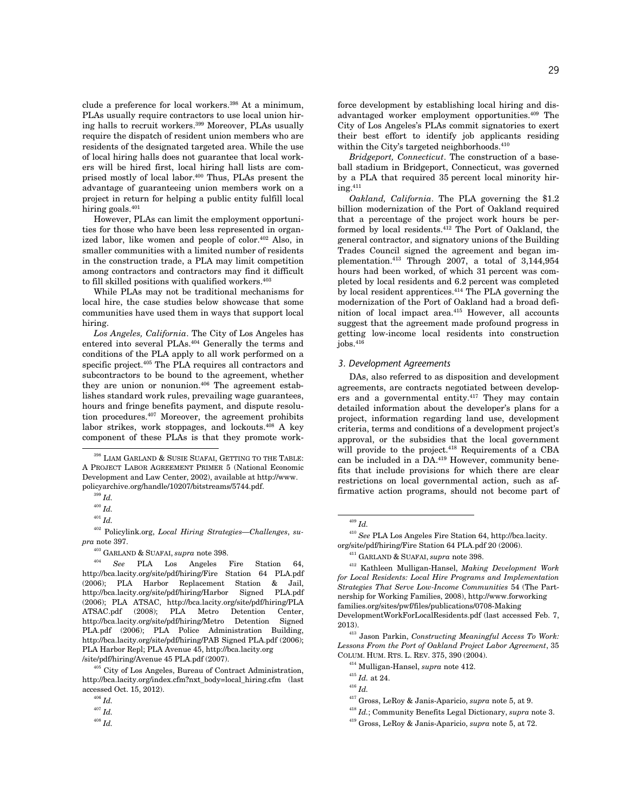clude a preference for local workers.<sup>398</sup> At a minimum, PLAs usually require contractors to use local union hiring halls to recruit workers.<sup>399</sup> Moreover, PLAs usually require the dispatch of resident union members who are residents of the designated targeted area. While the use of local hiring halls does not guarantee that local workers will be hired first, local hiring hall lists are comprised mostly of local labor.400 Thus, PLAs present the advantage of guaranteeing union members work on a project in return for helping a public entity fulfill local hiring goals.<sup>401</sup>

However, PLAs can limit the employment opportunities for those who have been less represented in organized labor, like women and people of color.<sup>402</sup> Also, in smaller communities with a limited number of residents in the construction trade, a PLA may limit competition among contractors and contractors may find it difficult to fill skilled positions with qualified workers.<sup>403</sup>

While PLAs may not be traditional mechanisms for local hire, the case studies below showcase that some communities have used them in ways that support local hiring.

*Los Angeles, California*. The City of Los Angeles has entered into several PLAs.<sup>404</sup> Generally the terms and conditions of the PLA apply to all work performed on a specific project.<sup>405</sup> The PLA requires all contractors and subcontractors to be bound to the agreement, whether they are union or nonunion.406 The agreement establishes standard work rules, prevailing wage guarantees, hours and fringe benefits payment, and dispute resolution procedures.407 Moreover, the agreement prohibits labor strikes, work stoppages, and lockouts.408 A key component of these PLAs is that they promote work-

 $^\mathrm{398}$  LIAM GARLAND & SUSIE SUAFAI, GETTING TO THE TABLE: A PROJECT LABOR AGREEMENT PRIMER 5 (National Economic Development and Law Center, 2002), available at http://www. policyarchive.org/handle/10207/bitstreams/5744.pdf. 399 *Id.*

402 Policylink.org, *Local Hiring Strategies—Challenges*, *supra* note 397.

/site/pdf/hiring/Avenue 45 PLA.pdf (2007). 405 City of Los Angeles, Bureau of Contract Administration, http://bca.lacity.org/index.cfm?nxt\_body=local\_hiring.cfm (last accessed Oct. 15, 2012). 406 *Id.*

<sup>408</sup> *Id.*

*Bridgeport, Connecticut*. The construction of a baseball stadium in Bridgeport, Connecticut, was governed by a PLA that required 35 percent local minority hir $ine<sup>.411</sup>$ 

*Oakland, California*. The PLA governing the \$1.2 billion modernization of the Port of Oakland required that a percentage of the project work hours be performed by local residents.<sup>412</sup> The Port of Oakland, the general contractor, and signatory unions of the Building Trades Council signed the agreement and began implementation.413 Through 2007, a total of 3,144,954 hours had been worked, of which 31 percent was completed by local residents and 6.2 percent was completed by local resident apprentices.<sup>414</sup> The PLA governing the modernization of the Port of Oakland had a broad definition of local impact area.415 However, all accounts suggest that the agreement made profound progress in getting low-income local residents into construction jobs.416

#### *3. Development Agreements*

DAs, also referred to as disposition and development agreements, are contracts negotiated between developers and a governmental entity. $417$  They may contain detailed information about the developer's plans for a project, information regarding land use, development criteria, terms and conditions of a development project's approval, or the subsidies that the local government will provide to the project.<sup>418</sup> Requirements of a CBA can be included in a DA.419 However, community benefits that include provisions for which there are clear restrictions on local governmental action, such as affirmative action programs, should not become part of

<sup>410</sup> *See* PLA Los Angeles Fire Station 64, http://bca.lacity. org/site/pdf/hiring/Fire Station 64 PLA.pdf 20 (2006). 411 GARLAND & SUAFAI, *supra* note 398. 412 Kathleen Mulligan-Hansel, *Making Development Work* 

*Lessons From the Port of Oakland Project Labor Agreement*, 35 COLUM. HUM. RTS. L. REV. 375, 390 (2004). 414 Mulligan-Hansel, *supra* note 412. 415 *Id.* at 24. 416 *Id.*

<sup>400</sup> *Id.*

<sup>401</sup> *Id.*

<sup>403</sup> GARLAND & SUAFAI, *supra* note 398. 404 *See* PLA Los Angeles Fire Station 64, http://bca.lacity.org/site/pdf/hiring/Fire Station 64 PLA.pdf (2006); PLA Harbor Replacement Station & Jail, http://bca.lacity.org/site/pdf/hiring/Harbor Signed PLA.pdf (2006); PLA ATSAC, http://bca.lacity.org/site/pdf/hiring/PLA ATSAC.pdf (2008); PLA Metro Detention Center, http://bca.lacity.org/site/pdf/hiring/Metro Detention Signed PLA.pdf (2006); PLA Police Administration Building, http://bca.lacity.org/site/pdf/hiring/PAB Signed PLA.pdf (2006); PLA Harbor Repl; PLA Avenue 45, http://bca.lacity.org

<sup>407</sup> *Id.*

force development by establishing local hiring and disadvantaged worker employment opportunities.409 The City of Los Angeles's PLAs commit signatories to exert their best effort to identify job applicants residing within the City's targeted neighborhoods.<sup>410</sup>

 <sup>409</sup> *Id.*

*for Local Residents: Local Hire Programs and Implementation Strategies That Serve Low-Income Communities* 54 (The Partnership for Working Families, 2008), http://www.forworking families.org/sites/pwf/files/publications/0708-Making DevelopmentWorkForLocalResidents.pdf (last accessed Feb. 7, 2013). 413 Jason Parkin, *Constructing Meaningful Access To Work:* 

<sup>&</sup>lt;sup>417</sup> Gross, LeRoy & Janis-Aparicio, *supra* note 5, at 9.<br><sup>418</sup> *Id.*; Community Benefits Legal Dictionary, *supra* note 3.<br><sup>419</sup> Gross, LeRoy & Janis-Aparicio, *supra* note 5, at 72.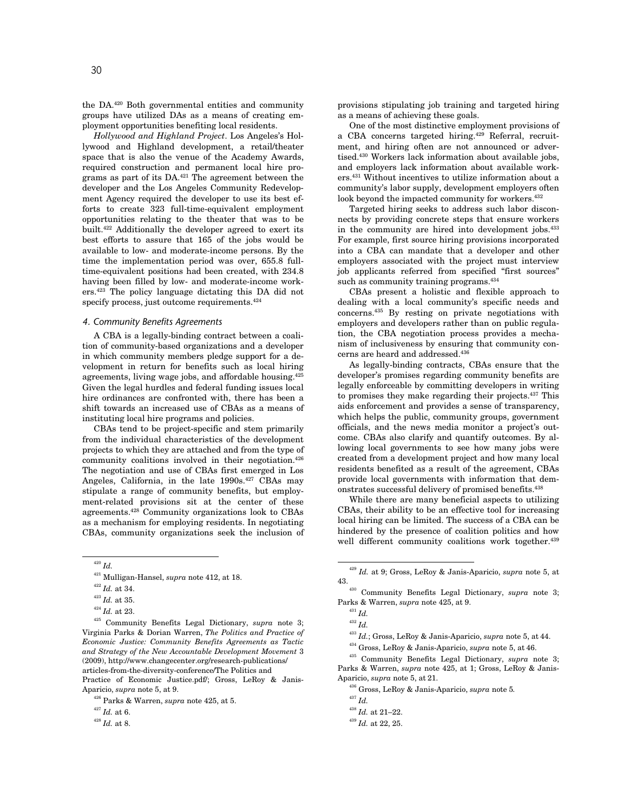the DA.420 Both governmental entities and community groups have utilized DAs as a means of creating employment opportunities benefiting local residents.

*Hollywood and Highland Project*. Los Angeles's Hollywood and Highland development, a retail/theater space that is also the venue of the Academy Awards, required construction and permanent local hire programs as part of its DA.421 The agreement between the developer and the Los Angeles Community Redevelopment Agency required the developer to use its best efforts to create 323 full-time-equivalent employment opportunities relating to the theater that was to be built.422 Additionally the developer agreed to exert its best efforts to assure that 165 of the jobs would be available to low- and moderate-income persons. By the time the implementation period was over, 655.8 fulltime-equivalent positions had been created, with 234.8 having been filled by low- and moderate-income workers.423 The policy language dictating this DA did not specify process, just outcome requirements.<sup>424</sup>

#### *4. Community Benefits Agreements*

A CBA is a legally-binding contract between a coalition of community-based organizations and a developer in which community members pledge support for a development in return for benefits such as local hiring agreements, living wage jobs, and affordable housing.425 Given the legal hurdles and federal funding issues local hire ordinances are confronted with, there has been a shift towards an increased use of CBAs as a means of instituting local hire programs and policies.

CBAs tend to be project-specific and stem primarily from the individual characteristics of the development projects to which they are attached and from the type of community coalitions involved in their negotiation.426 The negotiation and use of CBAs first emerged in Los Angeles, California, in the late 1990s.<sup>427</sup> CBAs may stipulate a range of community benefits, but employment-related provisions sit at the center of these agreements.428 Community organizations look to CBAs as a mechanism for employing residents. In negotiating CBAs, community organizations seek the inclusion of

<sup>421</sup> Mulligan-Hansel, *supra* note 412, at 18.<br><sup>422</sup> *Id.* at 34.<br><sup>423</sup> *Id.* at 35.<br><sup>424</sup> *Id.* at 23. Community Benefits Legal Dictionary, *supra* note 3; Virginia Parks & Dorian Warren, *The Politics and Practice of Economic Justice: Community Benefits Agreements as Tactic and Strategy of the New Accountable Development Movement* 3 (2009), http://www.changecenter.org/research-publications/ articles-from-the-diversity-conference/The Politics and Practice of Economic Justice.pdf/; Gross, LeRoy & Janis-

provisions stipulating job training and targeted hiring as a means of achieving these goals.

One of the most distinctive employment provisions of a CBA concerns targeted hiring.429 Referral, recruitment, and hiring often are not announced or advertised.430 Workers lack information about available jobs, and employers lack information about available workers.431 Without incentives to utilize information about a community's labor supply, development employers often look beyond the impacted community for workers.<sup>432</sup>

Targeted hiring seeks to address such labor disconnects by providing concrete steps that ensure workers in the community are hired into development jobs.<sup>433</sup> For example, first source hiring provisions incorporated into a CBA can mandate that a developer and other employers associated with the project must interview job applicants referred from specified "first sources" such as community training programs.<sup>434</sup>

CBAs present a holistic and flexible approach to dealing with a local community's specific needs and concerns.435 By resting on private negotiations with employers and developers rather than on public regulation, the CBA negotiation process provides a mechanism of inclusiveness by ensuring that community concerns are heard and addressed.436

As legally-binding contracts, CBAs ensure that the developer's promises regarding community benefits are legally enforceable by committing developers in writing to promises they make regarding their projects.437 This aids enforcement and provides a sense of transparency, which helps the public, community groups, government officials, and the news media monitor a project's outcome. CBAs also clarify and quantify outcomes. By allowing local governments to see how many jobs were created from a development project and how many local residents benefited as a result of the agreement, CBAs provide local governments with information that demonstrates successful delivery of promised benefits.438

While there are many beneficial aspects to utilizing CBAs, their ability to be an effective tool for increasing local hiring can be limited. The success of a CBA can be hindered by the presence of coalition politics and how well different community coalitions work together.<sup>439</sup>

Parks & Warren, *supra* note 425, at 1; Gross, LeRoy & Janis-

 <sup>420</sup> *Id.*

Aparicio, *supra* note 5, at 9.<br><sup>426</sup> Parks & Warren, *supra* note 425, at 5.<br><sup>427</sup> *Id.* at 6.<br><sup>428</sup> *Id.* at 8.

 $^{429}$  *Id.* at 9; Gross, LeRoy & Janis-Aparicio, *supra* note 5, at 43.

<sup>&</sup>lt;sup>430</sup> Community Benefits Legal Dictionary, *supra* note 3; Parks & Warren, *supra* note 425, at 9. 431 *Id.*

<sup>432</sup> *Id.*

<sup>&</sup>lt;sup>433</sup> *Id.*; Gross, LeRoy & Janis-Aparicio, *supra* note 5, at 44.<br><sup>434</sup> Gross, LeRoy & Janis-Aparicio, *supra* note 5, at 46.<br><sup>435</sup> Community Benefits Legal Dictionary, *supra* note 3;

 $436$  Gross, LeRoy & Janis-Aparicio, *supra* note 5.

 $^{437}$  *Id.*<br> $^{438}$  *Id.* at 21–22.

<sup>&</sup>lt;sup>439</sup> *Id.* at 22, 25.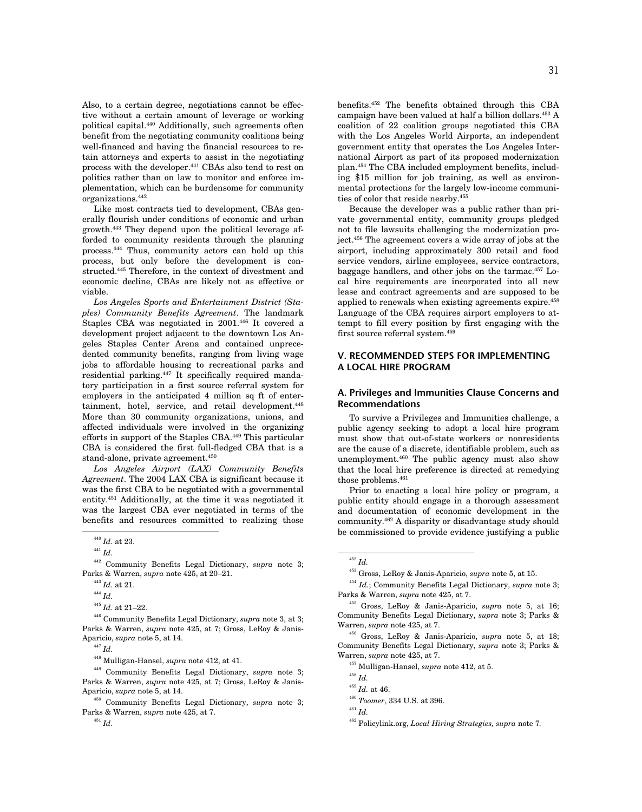Also, to a certain degree, negotiations cannot be effective without a certain amount of leverage or working political capital.440 Additionally, such agreements often benefit from the negotiating community coalitions being well-financed and having the financial resources to retain attorneys and experts to assist in the negotiating process with the developer.441 CBAs also tend to rest on politics rather than on law to monitor and enforce implementation, which can be burdensome for community organizations.442

Like most contracts tied to development, CBAs generally flourish under conditions of economic and urban growth.443 They depend upon the political leverage afforded to community residents through the planning process.444 Thus, community actors can hold up this process, but only before the development is constructed.445 Therefore, in the context of divestment and economic decline, CBAs are likely not as effective or viable.

*Los Angeles Sports and Entertainment District (Staples) Community Benefits Agreement*. The landmark Staples CBA was negotiated in 2001.<sup>446</sup> It covered a development project adjacent to the downtown Los Angeles Staples Center Arena and contained unprecedented community benefits, ranging from living wage jobs to affordable housing to recreational parks and residential parking.447 It specifically required mandatory participation in a first source referral system for employers in the anticipated 4 million sq ft of entertainment, hotel, service, and retail development.<sup>448</sup> More than 30 community organizations, unions, and affected individuals were involved in the organizing efforts in support of the Staples CBA.449 This particular CBA is considered the first full-fledged CBA that is a stand-alone, private agreement.<sup>450</sup>

*Los Angeles Airport (LAX) Community Benefits Agreement*. The 2004 LAX CBA is significant because it was the first CBA to be negotiated with a governmental entity.451 Additionally, at the time it was negotiated it was the largest CBA ever negotiated in terms of the benefits and resources committed to realizing those

442 Community Benefits Legal Dictionary, *supra* note 3; Parks & Warren, *supra* note 425, at 20–21. 443 *Id.* at 21. 444 *Id.*

<sup>446</sup> Community Benefits Legal Dictionary, *supra* note 3, at 3; Parks & Warren, *supra* note 425, at 7; Gross, LeRoy & Janis-Aparicio, *supra* note 5, at 14. 447 *Id.*

<sup>448</sup> Mulligan-Hansel, *supra* note 412, at 41.<br><sup>449</sup> Community Benefits Legal Dictionary, *supra* note 3; Parks & Warren, *supra* note 425, at 7; Gross, LeRoy & Janis-

<sup>450</sup> Community Benefits Legal Dictionary, *supra* note 3; Parks & Warren, *supra* note 425, at 7. 451 *Id.*

benefits.452 The benefits obtained through this CBA campaign have been valued at half a billion dollars.453 A coalition of 22 coalition groups negotiated this CBA with the Los Angeles World Airports, an independent government entity that operates the Los Angeles International Airport as part of its proposed modernization plan.454 The CBA included employment benefits, including \$15 million for job training, as well as environmental protections for the largely low-income communities of color that reside nearby.455

Because the developer was a public rather than private governmental entity, community groups pledged not to file lawsuits challenging the modernization project.456 The agreement covers a wide array of jobs at the airport, including approximately 300 retail and food service vendors, airline employees, service contractors, baggage handlers, and other jobs on the tarmac.457 Local hire requirements are incorporated into all new lease and contract agreements and are supposed to be applied to renewals when existing agreements expire.<sup>458</sup> Language of the CBA requires airport employers to attempt to fill every position by first engaging with the first source referral system.459

## **V. RECOMMENDED STEPS FOR IMPLEMENTING A LOCAL HIRE PROGRAM**

## **A. Privileges and Immunities Clause Concerns and Recommendations**

To survive a Privileges and Immunities challenge, a public agency seeking to adopt a local hire program must show that out-of-state workers or nonresidents are the cause of a discrete, identifiable problem, such as unemployment.460 The public agency must also show that the local hire preference is directed at remedying those problems.<sup>461</sup>

Prior to enacting a local hire policy or program, a public entity should engage in a thorough assessment and documentation of economic development in the community.462 A disparity or disadvantage study should be commissioned to provide evidence justifying a public

<sup>440</sup> *Id.* at 23. 441 *Id.*

 <sup>452</sup> *Id.*

<sup>&</sup>lt;sup>453</sup> Gross, LeRoy & Janis-Aparicio, *supra* note 5, at 15.<br><sup>454</sup> *Id.*; Community Benefits Legal Dictionary, *supra* note 3;<br>Parks & Warren, *supra* note 425, at 7.

<sup>&</sup>lt;sup>455</sup> Gross, LeRoy & Janis-Aparicio, *supra* note 5, at 16; Community Benefits Legal Dictionary, *supra* note 3; Parks &

Warren, *supra* note 425, at 7. 456 Gross, LeRoy & Janis-Aparicio, *supra* note 5, at 18; Community Benefits Legal Dictionary, *supra* note 3; Parks & Warren, *supra* note 425, at 7.<br><sup>457</sup> Mulligan-Hansel, *supra* note 412, at 5.<br><sup>458</sup> *Id.* at 46.

<sup>459</sup> *Id.* at 46. 460 *Toomer*, 334 U.S. at 396. 461 *Id.*

<sup>462</sup> Policylink.org, *Local Hiring Strategies, supra* note 7*.*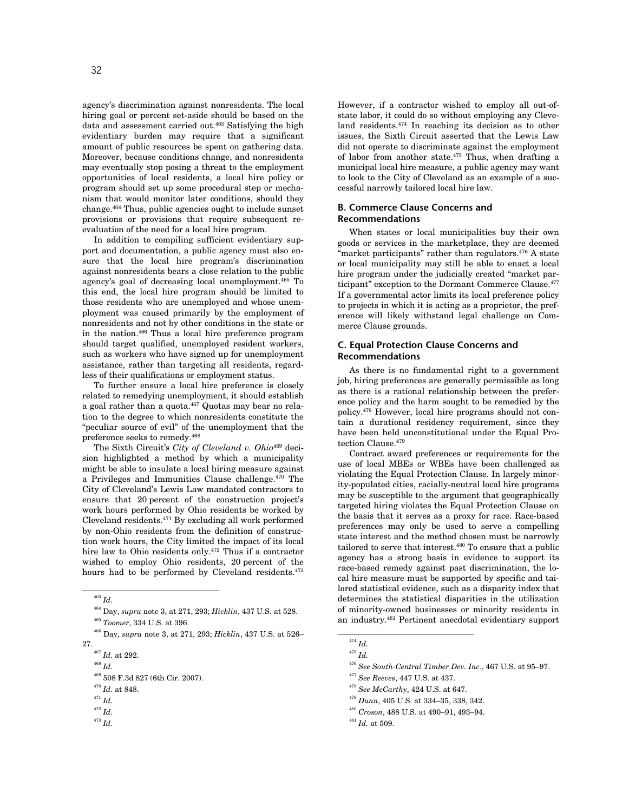agency's discrimination against nonresidents. The local hiring goal or percent set-aside should be based on the data and assessment carried out.463 Satisfying the high evidentiary burden may require that a significant amount of public resources be spent on gathering data. Moreover, because conditions change, and nonresidents may eventually stop posing a threat to the employment opportunities of local residents, a local hire policy or program should set up some procedural step or mechanism that would monitor later conditions, should they change.464 Thus, public agencies ought to include sunset provisions or provisions that require subsequent reevaluation of the need for a local hire program.

In addition to compiling sufficient evidentiary support and documentation, a public agency must also ensure that the local hire program's discrimination against nonresidents bears a close relation to the public agency's goal of decreasing local unemployment.<sup>465</sup> To this end, the local hire program should be limited to those residents who are unemployed and whose unemployment was caused primarily by the employment of nonresidents and not by other conditions in the state or in the nation.466 Thus a local hire preference program should target qualified, unemployed resident workers, such as workers who have signed up for unemployment assistance, rather than targeting all residents, regardless of their qualifications or employment status.

To further ensure a local hire preference is closely related to remedying unemployment, it should establish a goal rather than a quota.<sup>467</sup> Quotas may bear no relation to the degree to which nonresidents constitute the "peculiar source of evil" of the unemployment that the preference seeks to remedy.468

The Sixth Circuit's *City of Cleveland v. Ohio*<sup>469</sup> decision highlighted a method by which a municipality might be able to insulate a local hiring measure against a Privileges and Immunities Clause challenge.470 The City of Cleveland's Lewis Law mandated contractors to ensure that 20 percent of the construction project's work hours performed by Ohio residents be worked by Cleveland residents.471 By excluding all work performed by non-Ohio residents from the definition of construction work hours, the City limited the impact of its local hire law to Ohio residents only.472 Thus if a contractor wished to employ Ohio residents, 20 percent of the hours had to be performed by Cleveland residents.<sup>473</sup>

<sup>463</sup> *Id.* 464 Day, *supra* note 3, at 271, 293; *Hicklin*, 437 U.S. at 528. 465 *Toomer*, 334 U.S. at 396. 466 Day, *supra* note 3, at 271, 293; *Hicklin*, 437 U.S. at 526– 27.<br>
<sup>467</sup> *Id.* at 292.<br>
<sup>468</sup> *508* F.3d 827 (6th Cir. 2007).<br>
<sup>470</sup> *Id.* at 848.<br>
<sup>471</sup> *Id.*<br>
<sup>472</sup> *Id.*<br>
<sup>472</sup> *Id.* 

- 
- 
- 

However, if a contractor wished to employ all out-ofstate labor, it could do so without employing any Cleveland residents.474 In reaching its decision as to other issues, the Sixth Circuit asserted that the Lewis Law did not operate to discriminate against the employment of labor from another state.<sup>475</sup> Thus, when drafting a municipal local hire measure, a public agency may want to look to the City of Cleveland as an example of a successful narrowly tailored local hire law.

## **B. Commerce Clause Concerns and Recommendations**

When states or local municipalities buy their own goods or services in the marketplace, they are deemed "market participants" rather than regulators.<sup>476</sup> A state or local municipality may still be able to enact a local hire program under the judicially created "market participant" exception to the Dormant Commerce Clause.<sup>477</sup> If a governmental actor limits its local preference policy to projects in which it is acting as a proprietor, the preference will likely withstand legal challenge on Commerce Clause grounds.

## **C. Equal Protection Clause Concerns and Recommendations**

As there is no fundamental right to a government job, hiring preferences are generally permissible as long as there is a rational relationship between the preference policy and the harm sought to be remedied by the policy.478 However, local hire programs should not contain a durational residency requirement, since they have been held unconstitutional under the Equal Protection Clause.479

Contract award preferences or requirements for the use of local MBEs or WBEs have been challenged as violating the Equal Protection Clause. In largely minority-populated cities, racially-neutral local hire programs may be susceptible to the argument that geographically targeted hiring violates the Equal Protection Clause on the basis that it serves as a proxy for race. Race-based preferences may only be used to serve a compelling state interest and the method chosen must be narrowly tailored to serve that interest.480 To ensure that a public agency has a strong basis in evidence to support its race-based remedy against past discrimination, the local hire measure must be supported by specific and tailored statistical evidence, such as a disparity index that determines the statistical disparities in the utilization of minority-owned businesses or minority residents in an industry.481 Pertinent anecdotal evidentiary support

 $\begin{array}{l} \begin{array}{l} \vspace{0.1cm} \begin{array}{l} \vspace{0.1cm} \end{array} \ \hline \begin{array}{l} \vspace{0.1cm} \end{array} \ \hline \begin{array}{l} \vspace{0.1cm} \end{array} \ \hline \begin{array}{l} \vspace{0.1cm} \end{array} \ \hline \begin{array}{l} \vspace{0.1cm} \end{array} \ \hline \begin{array}{l} \vspace{0.1cm} \end{array} \ \hline \begin{array}{l} \vspace{0.1cm} \end{array} \ \hline \begin{array}{l} \vspace{0.1cm} \end{array} \$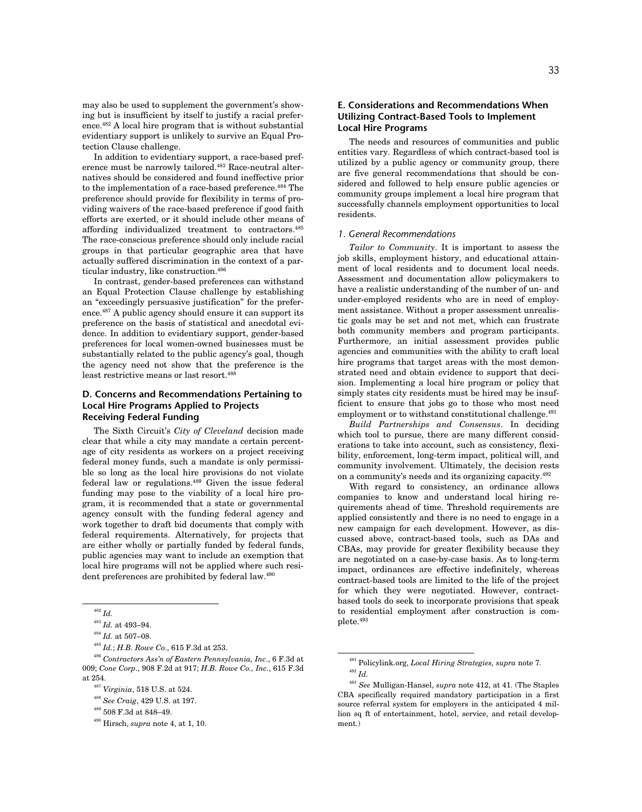may also be used to supplement the government's showing but is insufficient by itself to justify a racial preference.482 A local hire program that is without substantial evidentiary support is unlikely to survive an Equal Protection Clause challenge.

In addition to evidentiary support, a race-based preference must be narrowly tailored.<sup>483</sup> Race-neutral alternatives should be considered and found ineffective prior to the implementation of a race-based preference.<sup>484</sup> The preference should provide for flexibility in terms of providing waivers of the race-based preference if good faith efforts are exerted, or it should include other means of affording individualized treatment to contractors.485 The race-conscious preference should only include racial groups in that particular geographic area that have actually suffered discrimination in the context of a particular industry, like construction.486

In contrast, gender-based preferences can withstand an Equal Protection Clause challenge by establishing an "exceedingly persuasive justification" for the preference.487 A public agency should ensure it can support its preference on the basis of statistical and anecdotal evidence. In addition to evidentiary support, gender-based preferences for local women-owned businesses must be substantially related to the public agency's goal, though the agency need not show that the preference is the least restrictive means or last resort.<sup>488</sup>

## **D. Concerns and Recommendations Pertaining to Local Hire Programs Applied to Projects Receiving Federal Funding**

The Sixth Circuit's *City of Cleveland* decision made clear that while a city may mandate a certain percentage of city residents as workers on a project receiving federal money funds, such a mandate is only permissible so long as the local hire provisions do not violate federal law or regulations.489 Given the issue federal funding may pose to the viability of a local hire program, it is recommended that a state or governmental agency consult with the funding federal agency and work together to draft bid documents that comply with federal requirements. Alternatively, for projects that are either wholly or partially funded by federal funds, public agencies may want to include an exemption that local hire programs will not be applied where such resident preferences are prohibited by federal law.<sup>490</sup>

## **E. Considerations and Recommendations When Utilizing Contract-Based Tools to Implement Local Hire Programs**

The needs and resources of communities and public entities vary. Regardless of which contract-based tool is utilized by a public agency or community group, there are five general recommendations that should be considered and followed to help ensure public agencies or community groups implement a local hire program that successfully channels employment opportunities to local residents.

#### *1. General Recommendations*

*Tailor to Community*. It is important to assess the job skills, employment history, and educational attainment of local residents and to document local needs. Assessment and documentation allow policymakers to have a realistic understanding of the number of un- and under-employed residents who are in need of employment assistance. Without a proper assessment unrealistic goals may be set and not met, which can frustrate both community members and program participants. Furthermore, an initial assessment provides public agencies and communities with the ability to craft local hire programs that target areas with the most demonstrated need and obtain evidence to support that decision. Implementing a local hire program or policy that simply states city residents must be hired may be insufficient to ensure that jobs go to those who most need employment or to withstand constitutional challenge.<sup>491</sup>

*Build Partnerships and Consensus*. In deciding which tool to pursue, there are many different considerations to take into account, such as consistency, flexibility, enforcement, long-term impact, political will, and community involvement. Ultimately, the decision rests on a community's needs and its organizing capacity.492

With regard to consistency, an ordinance allows companies to know and understand local hiring requirements ahead of time. Threshold requirements are applied consistently and there is no need to engage in a new campaign for each development. However, as discussed above, contract-based tools, such as DAs and CBAs, may provide for greater flexibility because they are negotiated on a case-by-case basis. As to long-term impact, ordinances are effective indefinitely, whereas contract-based tools are limited to the life of the project for which they were negotiated. However, contractbased tools do seek to incorporate provisions that speak to residential employment after construction is complete.493

<sup>482</sup> *Id.*<sup>483</sup> *Id.* at 493–94. 484 *Id.* at 507–08. 485 *Id.*; *H.B. Rowe Co*., 615 F.3d at 253. 486 *Contractors Ass'n of Eastern Pennsylvania, Inc*., 6 F.3d at 009; *Cone Corp*., 908 F.2d at 917; *H.B. Rowe Co., Inc.*, 615 F.3d at 254. 487 *Virginia*, 518 U.S. at 524. 488 *See Craig*, 429 U.S. at 197. 489 508 F.3d at 848–49. 490 Hirsch, *supra* note 4, at 1, 10.

 <sup>491</sup> Policylink.org, *Local Hiring Strategies, supra* note 7*.*

<sup>492</sup> *Id.*<sup>493</sup> *See* Mulligan-Hansel, *supra* note 412, at 41. (The Staples CBA specifically required mandatory participation in a first source referral system for employers in the anticipated 4 million sq ft of entertainment, hotel, service, and retail development.)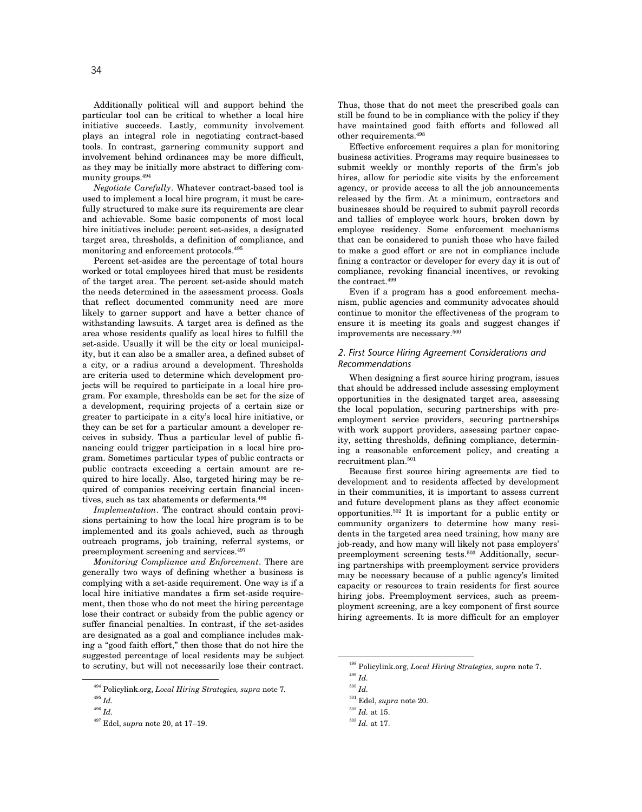34

Additionally political will and support behind the particular tool can be critical to whether a local hire initiative succeeds. Lastly, community involvement plays an integral role in negotiating contract-based tools. In contrast, garnering community support and involvement behind ordinances may be more difficult, as they may be initially more abstract to differing community groups.494

*Negotiate Carefully*. Whatever contract-based tool is used to implement a local hire program, it must be carefully structured to make sure its requirements are clear and achievable. Some basic components of most local hire initiatives include: percent set-asides, a designated target area, thresholds, a definition of compliance, and monitoring and enforcement protocols.495

Percent set-asides are the percentage of total hours worked or total employees hired that must be residents of the target area. The percent set-aside should match the needs determined in the assessment process. Goals that reflect documented community need are more likely to garner support and have a better chance of withstanding lawsuits. A target area is defined as the area whose residents qualify as local hires to fulfill the set-aside. Usually it will be the city or local municipality, but it can also be a smaller area, a defined subset of a city, or a radius around a development. Thresholds are criteria used to determine which development projects will be required to participate in a local hire program. For example, thresholds can be set for the size of a development, requiring projects of a certain size or greater to participate in a city's local hire initiative, or they can be set for a particular amount a developer receives in subsidy. Thus a particular level of public financing could trigger participation in a local hire program. Sometimes particular types of public contracts or public contracts exceeding a certain amount are required to hire locally. Also, targeted hiring may be required of companies receiving certain financial incentives, such as tax abatements or deferments.496

*Implementation*. The contract should contain provisions pertaining to how the local hire program is to be implemented and its goals achieved, such as through outreach programs, job training, referral systems, or preemployment screening and services.497

*Monitoring Compliance and Enforcement*. There are generally two ways of defining whether a business is complying with a set-aside requirement. One way is if a local hire initiative mandates a firm set-aside requirement, then those who do not meet the hiring percentage lose their contract or subsidy from the public agency or suffer financial penalties. In contrast, if the set-asides are designated as a goal and compliance includes making a "good faith effort," then those that do not hire the suggested percentage of local residents may be subject to scrutiny, but will not necessarily lose their contract. Thus, those that do not meet the prescribed goals can still be found to be in compliance with the policy if they have maintained good faith efforts and followed all other requirements.498

Effective enforcement requires a plan for monitoring business activities. Programs may require businesses to submit weekly or monthly reports of the firm's job hires, allow for periodic site visits by the enforcement agency, or provide access to all the job announcements released by the firm. At a minimum, contractors and businesses should be required to submit payroll records and tallies of employee work hours, broken down by employee residency. Some enforcement mechanisms that can be considered to punish those who have failed to make a good effort or are not in compliance include fining a contractor or developer for every day it is out of compliance, revoking financial incentives, or revoking the contract.499

Even if a program has a good enforcement mechanism, public agencies and community advocates should continue to monitor the effectiveness of the program to ensure it is meeting its goals and suggest changes if improvements are necessary.500

## *2. First Source Hiring Agreement Considerations and Recommendations*

When designing a first source hiring program, issues that should be addressed include assessing employment opportunities in the designated target area, assessing the local population, securing partnerships with preemployment service providers, securing partnerships with work support providers, assessing partner capacity, setting thresholds, defining compliance, determining a reasonable enforcement policy, and creating a recruitment plan.501

Because first source hiring agreements are tied to development and to residents affected by development in their communities, it is important to assess current and future development plans as they affect economic opportunities.502 It is important for a public entity or community organizers to determine how many residents in the targeted area need training, how many are job-ready, and how many will likely not pass employers' preemployment screening tests.503 Additionally, securing partnerships with preemployment service providers may be necessary because of a public agency's limited capacity or resources to train residents for first source hiring jobs. Preemployment services, such as preemployment screening, are a key component of first source hiring agreements. It is more difficult for an employer

 <sup>494</sup> Policylink.org, *Local Hiring Strategies, supra* note 7*.*

<sup>495</sup> *Id.*<sup>496</sup> *Id.* 497 Edel, *supra* note 20, at 17–19.

 <sup>498</sup> Policylink.org, *Local Hiring Strategies, supra* note 7. 499 *Id.*

<sup>500</sup> *Id.* 501 Edel, *supra* note 20. 502 *Id.* at 15. 503 *Id.* at 17.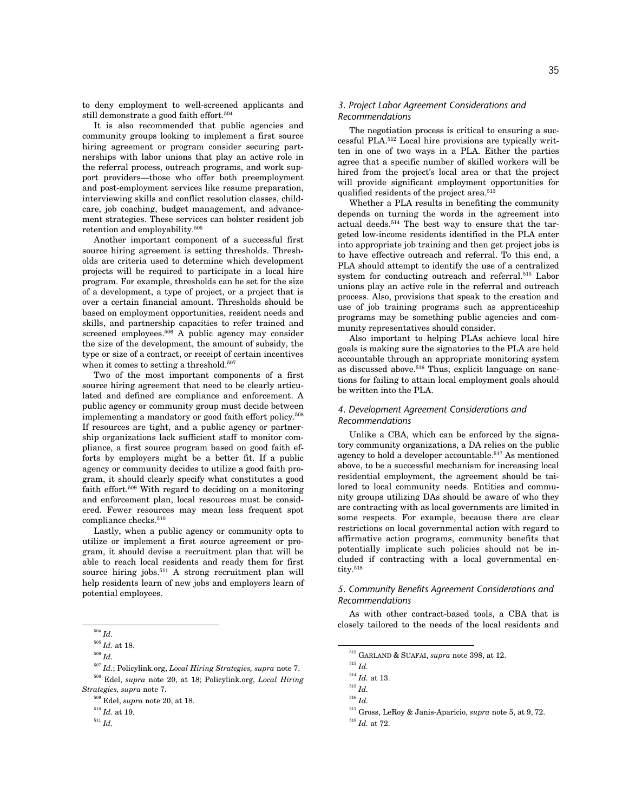to deny employment to well-screened applicants and still demonstrate a good faith effort.<sup>504</sup>

It is also recommended that public agencies and community groups looking to implement a first source hiring agreement or program consider securing partnerships with labor unions that play an active role in the referral process, outreach programs, and work support providers—those who offer both preemployment and post-employment services like resume preparation, interviewing skills and conflict resolution classes, childcare, job coaching, budget management, and advancement strategies. These services can bolster resident job retention and employability.505

Another important component of a successful first source hiring agreement is setting thresholds. Thresholds are criteria used to determine which development projects will be required to participate in a local hire program. For example, thresholds can be set for the size of a development, a type of project, or a project that is over a certain financial amount. Thresholds should be based on employment opportunities, resident needs and skills, and partnership capacities to refer trained and screened employees. $506$  A public agency may consider the size of the development, the amount of subsidy, the type or size of a contract, or receipt of certain incentives when it comes to setting a threshold.<sup>507</sup>

Two of the most important components of a first source hiring agreement that need to be clearly articulated and defined are compliance and enforcement. A public agency or community group must decide between implementing a mandatory or good faith effort policy.<sup>508</sup> If resources are tight, and a public agency or partnership organizations lack sufficient staff to monitor compliance, a first source program based on good faith efforts by employers might be a better fit. If a public agency or community decides to utilize a good faith program, it should clearly specify what constitutes a good faith effort.509 With regard to deciding on a monitoring and enforcement plan, local resources must be considered. Fewer resources may mean less frequent spot compliance checks.<sup>510</sup>

Lastly, when a public agency or community opts to utilize or implement a first source agreement or program, it should devise a recruitment plan that will be able to reach local residents and ready them for first source hiring jobs.<sup>511</sup> A strong recruitment plan will help residents learn of new jobs and employers learn of potential employees.

## *3. Project Labor Agreement Considerations and Recommendations*

The negotiation process is critical to ensuring a successful PLA.512 Local hire provisions are typically written in one of two ways in a PLA. Either the parties agree that a specific number of skilled workers will be hired from the project's local area or that the project will provide significant employment opportunities for qualified residents of the project area.<sup>513</sup>

Whether a PLA results in benefiting the community depends on turning the words in the agreement into actual deeds.514 The best way to ensure that the targeted low-income residents identified in the PLA enter into appropriate job training and then get project jobs is to have effective outreach and referral. To this end, a PLA should attempt to identify the use of a centralized system for conducting outreach and referral.<sup>515</sup> Labor unions play an active role in the referral and outreach process. Also, provisions that speak to the creation and use of job training programs such as apprenticeship programs may be something public agencies and community representatives should consider.

Also important to helping PLAs achieve local hire goals is making sure the signatories to the PLA are held accountable through an appropriate monitoring system as discussed above.<sup>516</sup> Thus, explicit language on sanctions for failing to attain local employment goals should be written into the PLA.

## *4. Development Agreement Considerations and Recommendations*

Unlike a CBA, which can be enforced by the signatory community organizations, a DA relies on the public agency to hold a developer accountable.<sup>517</sup> As mentioned above, to be a successful mechanism for increasing local residential employment, the agreement should be tailored to local community needs. Entities and community groups utilizing DAs should be aware of who they are contracting with as local governments are limited in some respects. For example, because there are clear restrictions on local governmental action with regard to affirmative action programs, community benefits that potentially implicate such policies should not be included if contracting with a local governmental entity.<sup>518</sup>

## *5. Community Benefits Agreement Considerations and Recommendations*

As with other contract-based tools, a CBA that is closely tailored to the needs of the local residents and

<sup>504</sup> *Id.*<sup>505</sup> *Id.* at 18. 506 *Id.*<sup>507</sup> *Id.*; Policylink.org, *Local Hiring Strategies, supra* note 7. 508 Edel, *supra* note 20, at 18; Policylink.org, *Local Hiring Strategies, supra* note 7. 509 Edel, *supra* note 20, at 18. 510 *Id.* at 19. 511 *Id.*

<sup>&</sup>lt;sup>512</sup> GARLAND & SUAFAI, *supra* note 398, at 12.<br><sup>513</sup> *Id.*<br><sup>514</sup> *Id.* at 13.<br><sup>515</sup> *Id.* 516 *Id.*<br><sup>517</sup> Gross, LeRoy & Janis-Aparicio, *supra* note 5, at 9, 72.<br><sup>518</sup> *Id.* at 72.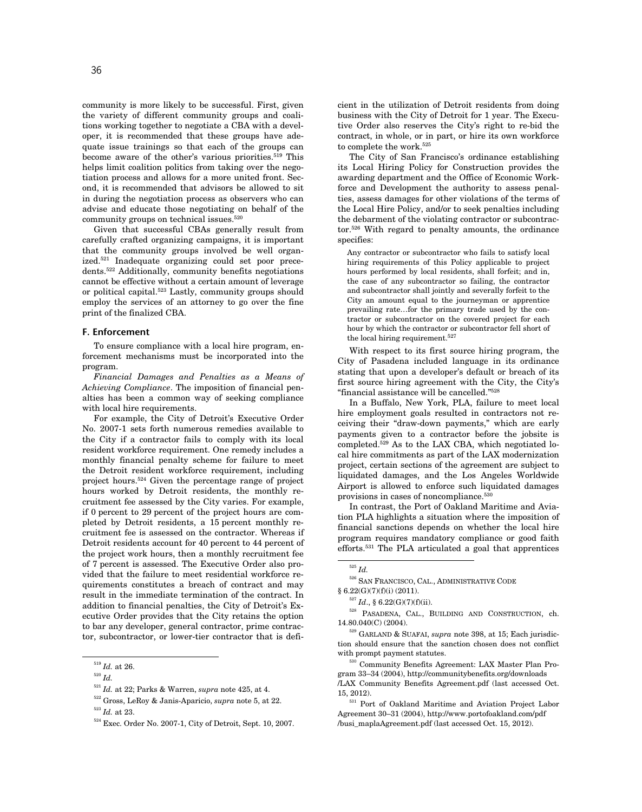community is more likely to be successful. First, given the variety of different community groups and coalitions working together to negotiate a CBA with a developer, it is recommended that these groups have adequate issue trainings so that each of the groups can become aware of the other's various priorities.519 This helps limit coalition politics from taking over the negotiation process and allows for a more united front. Second, it is recommended that advisors be allowed to sit in during the negotiation process as observers who can advise and educate those negotiating on behalf of the community groups on technical issues.520

Given that successful CBAs generally result from carefully crafted organizing campaigns, it is important that the community groups involved be well organized.521 Inadequate organizing could set poor precedents.522 Additionally, community benefits negotiations cannot be effective without a certain amount of leverage or political capital.523 Lastly, community groups should employ the services of an attorney to go over the fine print of the finalized CBA.

#### **F. Enforcement**

To ensure compliance with a local hire program, enforcement mechanisms must be incorporated into the program.

*Financial Damages and Penalties as a Means of Achieving Compliance*. The imposition of financial penalties has been a common way of seeking compliance with local hire requirements.

For example, the City of Detroit's Executive Order No. 2007-1 sets forth numerous remedies available to the City if a contractor fails to comply with its local resident workforce requirement. One remedy includes a monthly financial penalty scheme for failure to meet the Detroit resident workforce requirement, including project hours.524 Given the percentage range of project hours worked by Detroit residents, the monthly recruitment fee assessed by the City varies. For example, if 0 percent to 29 percent of the project hours are completed by Detroit residents, a 15 percent monthly recruitment fee is assessed on the contractor. Whereas if Detroit residents account for 40 percent to 44 percent of the project work hours, then a monthly recruitment fee of 7 percent is assessed. The Executive Order also provided that the failure to meet residential workforce requirements constitutes a breach of contract and may result in the immediate termination of the contract. In addition to financial penalties, the City of Detroit's Executive Order provides that the City retains the option to bar any developer, general contractor, prime contractor, subcontractor, or lower-tier contractor that is defi-

cient in the utilization of Detroit residents from doing business with the City of Detroit for 1 year. The Executive Order also reserves the City's right to re-bid the contract, in whole, or in part, or hire its own workforce to complete the work.525

The City of San Francisco's ordinance establishing its Local Hiring Policy for Construction provides the awarding department and the Office of Economic Workforce and Development the authority to assess penalties, assess damages for other violations of the terms of the Local Hire Policy, and/or to seek penalties including the debarment of the violating contractor or subcontractor.526 With regard to penalty amounts, the ordinance specifies:

Any contractor or subcontractor who fails to satisfy local hiring requirements of this Policy applicable to project hours performed by local residents, shall forfeit; and in, the case of any subcontractor so failing, the contractor and subcontractor shall jointly and severally forfeit to the City an amount equal to the journeyman or apprentice prevailing rate…for the primary trade used by the contractor or subcontractor on the covered project for each hour by which the contractor or subcontractor fell short of the local hiring requirement.<sup>527</sup>

With respect to its first source hiring program, the City of Pasadena included language in its ordinance stating that upon a developer's default or breach of its first source hiring agreement with the City, the City's "financial assistance will be cancelled."528

In a Buffalo, New York, PLA, failure to meet local hire employment goals resulted in contractors not receiving their "draw-down payments," which are early payments given to a contractor before the jobsite is completed.529 As to the LAX CBA, which negotiated local hire commitments as part of the LAX modernization project, certain sections of the agreement are subject to liquidated damages, and the Los Angeles Worldwide Airport is allowed to enforce such liquidated damages provisions in cases of noncompliance.530

In contrast, the Port of Oakland Maritime and Aviation PLA highlights a situation where the imposition of financial sanctions depends on whether the local hire program requires mandatory compliance or good faith efforts.531 The PLA articulated a goal that apprentices

 $\label{eq:3.1} \begin{aligned} \S~6.22(\mathrm{G})(7)(\mathrm{f})(\mathrm{i})~(2011).\\ &\overset{527}{ }~Id., \S~6.22(\mathrm{G})(7)(\mathrm{f})(\mathrm{ii}).\\ &\overset{528}{ }~{\text{PASADENA}}.~\text{CAL.,~BULDING~AND~CONSTRUCTION,~ch.} \end{aligned}$ 14.80.040(C) (2004). 529 GARLAND & SUAFAI, *supra* note 398, at 15; Each jurisdic-

tion should ensure that the sanction chosen does not conflict

 $530$  Community Benefits Agreement: LAX Master Plan Program 33–34 (2004), http://communitybenefits.org/downloads /LAX Community Benefits Agreement.pdf (last accessed Oct.

<sup>531</sup> Port of Oakland Maritime and Aviation Project Labor Agreement 30–31 (2004), http://www.portofoakland.com/pdf /busi\_maplaAgreement.pdf (last accessed Oct. 15, 2012).

<sup>&</sup>lt;sup>519</sup> *Id.* at 26.<br><sup>520</sup> *Id.* at 22; Parks & Warren, *supra* note 425, at 4.<br><sup>522</sup> Gross, LeRoy & Janis-Aparicio, *supra* note 5, at 22.<br><sup>523</sup> *Id.* at 23.<br><sup>524</sup> Exec. Order No. 2007-1, City of Detroit, Sept. 10, 2007.

<sup>&</sup>lt;sup>525</sup> Id.<br><sup>526</sup> SAN FRANCISCO, CAL., ADMINISTRATIVE CODE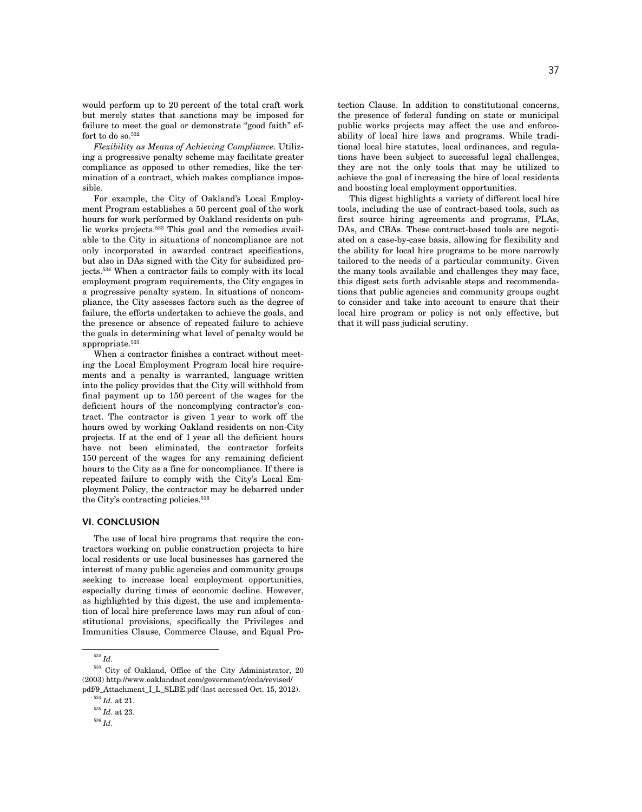would perform up to 20 percent of the total craft work but merely states that sanctions may be imposed for failure to meet the goal or demonstrate "good faith" effort to do so. $\boldsymbol{^{532}}$ 

*Flexibility as Means of Achieving Compliance*. Utilizing a progressive penalty scheme may facilitate greater compliance as opposed to other remedies, like the termination of a contract, which makes compliance impossible.

For example, the City of Oakland's Local Employment Program establishes a 50 percent goal of the work hours for work performed by Oakland residents on public works projects.533 This goal and the remedies available to the City in situations of noncompliance are not only incorporated in awarded contract specifications, but also in DAs signed with the City for subsidized projects.534 When a contractor fails to comply with its local employment program requirements, the City engages in a progressive penalty system. In situations of noncompliance, the City assesses factors such as the degree of failure, the efforts undertaken to achieve the goals, and the presence or absence of repeated failure to achieve the goals in determining what level of penalty would be appropriate.<sup>535</sup>

When a contractor finishes a contract without meeting the Local Employment Program local hire requirements and a penalty is warranted, language written into the policy provides that the City will withhold from final payment up to 150 percent of the wages for the deficient hours of the noncomplying contractor's contract. The contractor is given 1 year to work off the hours owed by working Oakland residents on non-City projects. If at the end of 1 year all the deficient hours have not been eliminated, the contractor forfeits 150 percent of the wages for any remaining deficient hours to the City as a fine for noncompliance. If there is repeated failure to comply with the City's Local Employment Policy, the contractor may be debarred under the City's contracting policies.<sup>536</sup>

#### **VI. CONCLUSION**

The use of local hire programs that require the contractors working on public construction projects to hire local residents or use local businesses has garnered the interest of many public agencies and community groups seeking to increase local employment opportunities, especially during times of economic decline. However, as highlighted by this digest, the use and implementation of local hire preference laws may run afoul of constitutional provisions, specifically the Privileges and Immunities Clause, Commerce Clause, and Equal Pro-

tection Clause. In addition to constitutional concerns, the presence of federal funding on state or municipal public works projects may affect the use and enforceability of local hire laws and programs. While traditional local hire statutes, local ordinances, and regulations have been subject to successful legal challenges, they are not the only tools that may be utilized to achieve the goal of increasing the hire of local residents and boosting local employment opportunities.

This digest highlights a variety of different local hire tools, including the use of contract-based tools, such as first source hiring agreements and programs, PLAs, DAs, and CBAs. These contract-based tools are negotiated on a case-by-case basis, allowing for flexibility and the ability for local hire programs to be more narrowly tailored to the needs of a particular community. Given the many tools available and challenges they may face, this digest sets forth advisable steps and recommendations that public agencies and community groups ought to consider and take into account to ensure that their local hire program or policy is not only effective, but that it will pass judicial scrutiny.

 <sup>532</sup> *Id.*

<sup>533</sup> City of Oakland, Office of the City Administrator, 20 (2003) http://www.oaklandnet.com/government/ceda/revised/ pdf/9\_Attachment\_I\_L\_SLBE.pdf (last accessed Oct. 15, 2012).<br><sup>534</sup> *Id.* at 21.<br><sup>535</sup> *Id.* at 23.<br><sup>536</sup> *Id.*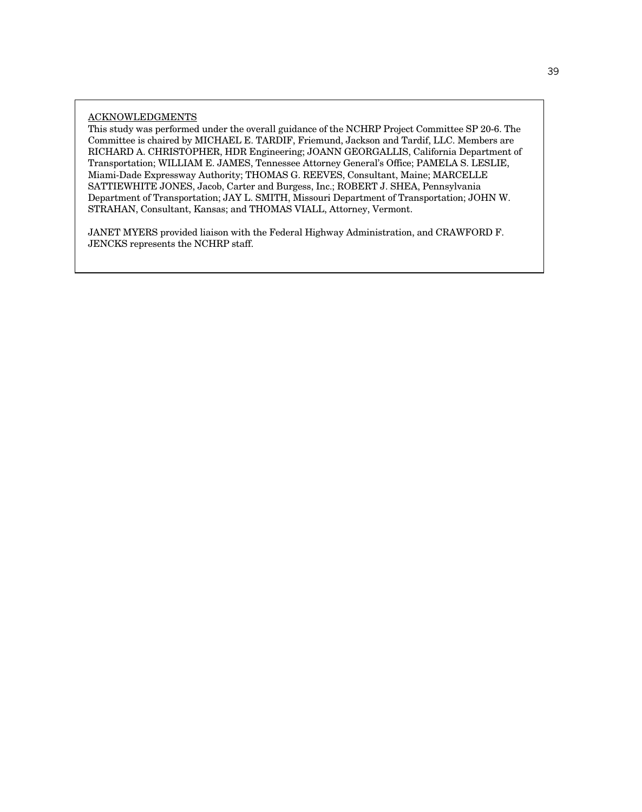## ACKNOWLEDGMENTS

This study was performed under the overall guidance of the NCHRP Project Committee SP 20-6. The Committee is chaired by MICHAEL E. TARDIF, Friemund, Jackson and Tardif, LLC. Members are RICHARD A. CHRISTOPHER, HDR Engineering; JOANN GEORGALLIS, California Department of Transportation; WILLIAM E. JAMES, Tennessee Attorney General's Office; PAMELA S. LESLIE, Miami-Dade Expressway Authority; THOMAS G. REEVES, Consultant, Maine; MARCELLE SATTIEWHITE JONES, Jacob, Carter and Burgess, Inc.; ROBERT J. SHEA, Pennsylvania Department of Transportation; JAY L. SMITH, Missouri Department of Transportation; JOHN W. STRAHAN, Consultant, Kansas; and THOMAS VIALL, Attorney, Vermont.

JANET MYERS provided liaison with the Federal Highway Administration, and CRAWFORD F. JENCKS represents the NCHRP staff.